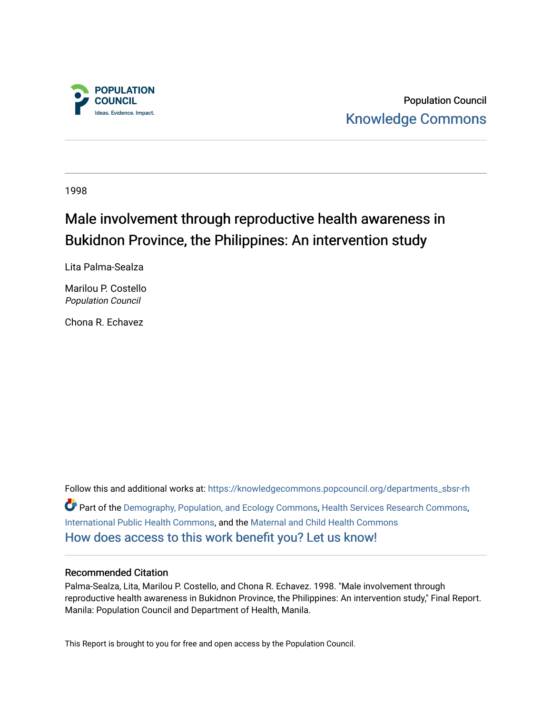

Population Council [Knowledge Commons](https://knowledgecommons.popcouncil.org/) 

1998

# Male involvement through reproductive health awareness in Bukidnon Province, the Philippines: An intervention study

Lita Palma-Sealza

Marilou P. Costello Population Council

Chona R. Echavez

Follow this and additional works at: [https://knowledgecommons.popcouncil.org/departments\\_sbsr-rh](https://knowledgecommons.popcouncil.org/departments_sbsr-rh?utm_source=knowledgecommons.popcouncil.org%2Fdepartments_sbsr-rh%2F2059&utm_medium=PDF&utm_campaign=PDFCoverPages)  Part of the [Demography, Population, and Ecology Commons,](https://network.bepress.com/hgg/discipline/418?utm_source=knowledgecommons.popcouncil.org%2Fdepartments_sbsr-rh%2F2059&utm_medium=PDF&utm_campaign=PDFCoverPages) [Health Services Research Commons,](https://network.bepress.com/hgg/discipline/816?utm_source=knowledgecommons.popcouncil.org%2Fdepartments_sbsr-rh%2F2059&utm_medium=PDF&utm_campaign=PDFCoverPages) [International Public Health Commons](https://network.bepress.com/hgg/discipline/746?utm_source=knowledgecommons.popcouncil.org%2Fdepartments_sbsr-rh%2F2059&utm_medium=PDF&utm_campaign=PDFCoverPages), and the [Maternal and Child Health Commons](https://network.bepress.com/hgg/discipline/745?utm_source=knowledgecommons.popcouncil.org%2Fdepartments_sbsr-rh%2F2059&utm_medium=PDF&utm_campaign=PDFCoverPages)  [How does access to this work benefit you? Let us know!](https://pcouncil.wufoo.com/forms/open-access-to-population-council-research/)

## Recommended Citation

Palma-Sealza, Lita, Marilou P. Costello, and Chona R. Echavez. 1998. "Male involvement through reproductive health awareness in Bukidnon Province, the Philippines: An intervention study," Final Report. Manila: Population Council and Department of Health, Manila.

This Report is brought to you for free and open access by the Population Council.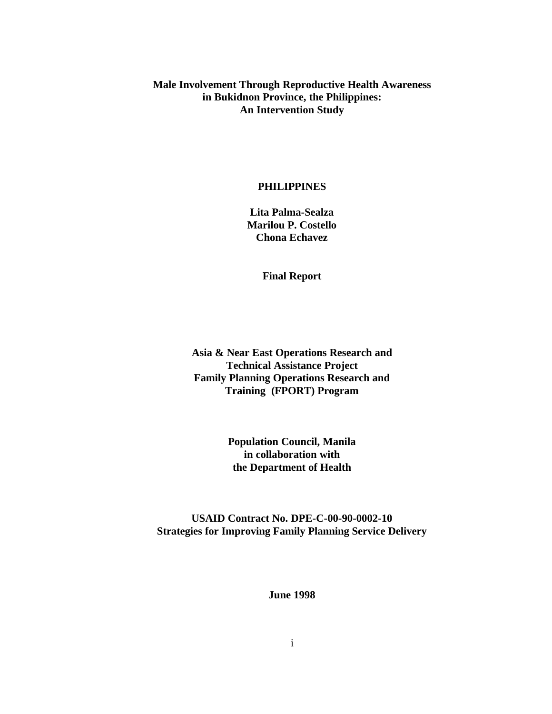**Male Involvement Through Reproductive Health Awareness in Bukidnon Province, the Philippines: An Intervention Study**

### **PHILIPPINES**

**Lita Palma-Sealza Marilou P. Costello Chona Echavez**

**Final Report**

**Asia & Near East Operations Research and Technical Assistance Project Family Planning Operations Research and Training (FPORT) Program**

> **Population Council, Manila in collaboration with the Department of Health**

**USAID Contract No. DPE-C-00-90-0002-10 Strategies for Improving Family Planning Service Delivery**

**June 1998**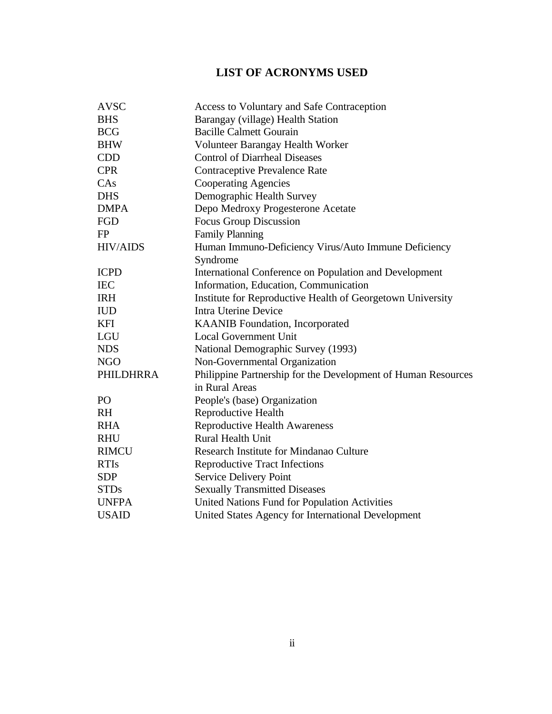## **LIST OF ACRONYMS USED**

| <b>AVSC</b>      | Access to Voluntary and Safe Contraception                    |  |  |
|------------------|---------------------------------------------------------------|--|--|
| <b>BHS</b>       | Barangay (village) Health Station                             |  |  |
| <b>BCG</b>       | <b>Bacille Calmett Gourain</b>                                |  |  |
| <b>BHW</b>       | Volunteer Barangay Health Worker                              |  |  |
| <b>CDD</b>       | <b>Control of Diarrheal Diseases</b>                          |  |  |
| <b>CPR</b>       | <b>Contraceptive Prevalence Rate</b>                          |  |  |
| CAs              | <b>Cooperating Agencies</b>                                   |  |  |
| <b>DHS</b>       | Demographic Health Survey                                     |  |  |
| <b>DMPA</b>      | Depo Medroxy Progesterone Acetate                             |  |  |
| FGD              | <b>Focus Group Discussion</b>                                 |  |  |
| FP               | <b>Family Planning</b>                                        |  |  |
| <b>HIV/AIDS</b>  | Human Immuno-Deficiency Virus/Auto Immune Deficiency          |  |  |
|                  | Syndrome                                                      |  |  |
| <b>ICPD</b>      | International Conference on Population and Development        |  |  |
| <b>IEC</b>       | Information, Education, Communication                         |  |  |
| <b>IRH</b>       | Institute for Reproductive Health of Georgetown University    |  |  |
| <b>IUD</b>       | <b>Intra Uterine Device</b>                                   |  |  |
| <b>KFI</b>       | KAANIB Foundation, Incorporated                               |  |  |
| LGU              | <b>Local Government Unit</b>                                  |  |  |
| <b>NDS</b>       | National Demographic Survey (1993)                            |  |  |
| <b>NGO</b>       | Non-Governmental Organization                                 |  |  |
| <b>PHILDHRRA</b> | Philippine Partnership for the Development of Human Resources |  |  |
|                  | in Rural Areas                                                |  |  |
| P <sub>O</sub>   | People's (base) Organization                                  |  |  |
| <b>RH</b>        | Reproductive Health                                           |  |  |
| <b>RHA</b>       | <b>Reproductive Health Awareness</b>                          |  |  |
| <b>RHU</b>       | <b>Rural Health Unit</b>                                      |  |  |
| <b>RIMCU</b>     | Research Institute for Mindanao Culture                       |  |  |
| <b>RTIs</b>      | <b>Reproductive Tract Infections</b>                          |  |  |
| <b>SDP</b>       | Service Delivery Point                                        |  |  |
| <b>STDs</b>      | <b>Sexually Transmitted Diseases</b>                          |  |  |
| <b>UNFPA</b>     | United Nations Fund for Population Activities                 |  |  |
| <b>USAID</b>     | United States Agency for International Development            |  |  |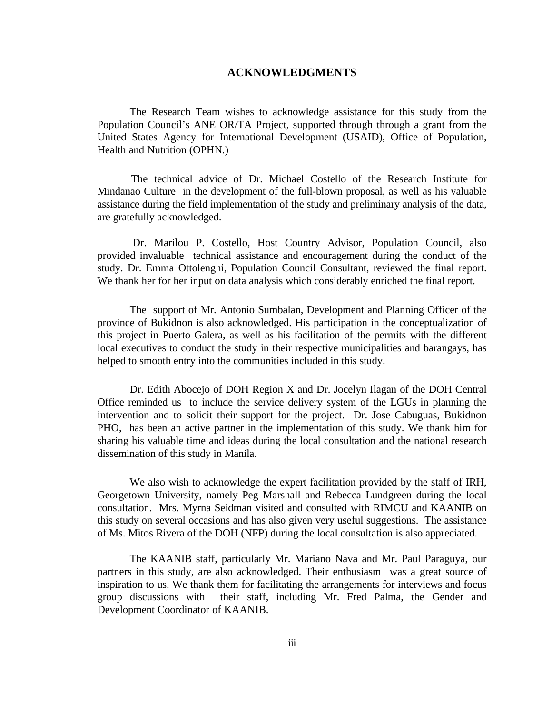### **ACKNOWLEDGMENTS**

The Research Team wishes to acknowledge assistance for this study from the Population Council's ANE OR/TA Project, supported through through a grant from the United States Agency for International Development (USAID), Office of Population, Health and Nutrition (OPHN.)

 The technical advice of Dr. Michael Costello of the Research Institute for Mindanao Culture in the development of the full-blown proposal, as well as his valuable assistance during the field implementation of the study and preliminary analysis of the data, are gratefully acknowledged.

 Dr. Marilou P. Costello, Host Country Advisor, Population Council, also provided invaluable technical assistance and encouragement during the conduct of the study. Dr. Emma Ottolenghi, Population Council Consultant, reviewed the final report. We thank her for her input on data analysis which considerably enriched the final report.

The support of Mr. Antonio Sumbalan, Development and Planning Officer of the province of Bukidnon is also acknowledged. His participation in the conceptualization of this project in Puerto Galera, as well as his facilitation of the permits with the different local executives to conduct the study in their respective municipalities and barangays, has helped to smooth entry into the communities included in this study.

Dr. Edith Abocejo of DOH Region X and Dr. Jocelyn Ilagan of the DOH Central Office reminded us to include the service delivery system of the LGUs in planning the intervention and to solicit their support for the project. Dr. Jose Cabuguas, Bukidnon PHO, has been an active partner in the implementation of this study. We thank him for sharing his valuable time and ideas during the local consultation and the national research dissemination of this study in Manila.

We also wish to acknowledge the expert facilitation provided by the staff of IRH, Georgetown University, namely Peg Marshall and Rebecca Lundgreen during the local consultation. Mrs. Myrna Seidman visited and consulted with RIMCU and KAANIB on this study on several occasions and has also given very useful suggestions. The assistance of Ms. Mitos Rivera of the DOH (NFP) during the local consultation is also appreciated.

The KAANIB staff, particularly Mr. Mariano Nava and Mr. Paul Paraguya, our partners in this study, are also acknowledged. Their enthusiasm was a great source of inspiration to us. We thank them for facilitating the arrangements for interviews and focus group discussions with their staff, including Mr. Fred Palma, the Gender and Development Coordinator of KAANIB.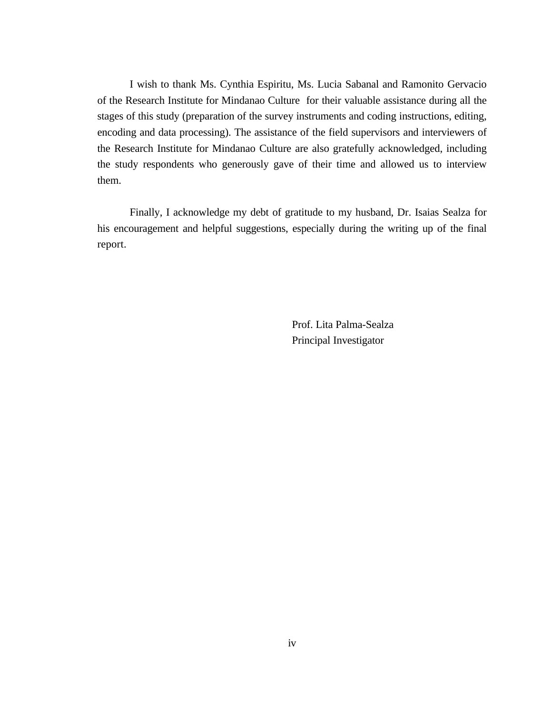I wish to thank Ms. Cynthia Espiritu, Ms. Lucia Sabanal and Ramonito Gervacio of the Research Institute for Mindanao Culture for their valuable assistance during all the stages of this study (preparation of the survey instruments and coding instructions, editing, encoding and data processing). The assistance of the field supervisors and interviewers of the Research Institute for Mindanao Culture are also gratefully acknowledged, including the study respondents who generously gave of their time and allowed us to interview them.

Finally, I acknowledge my debt of gratitude to my husband, Dr. Isaias Sealza for his encouragement and helpful suggestions, especially during the writing up of the final report.

> Prof. Lita Palma-Sealza Principal Investigator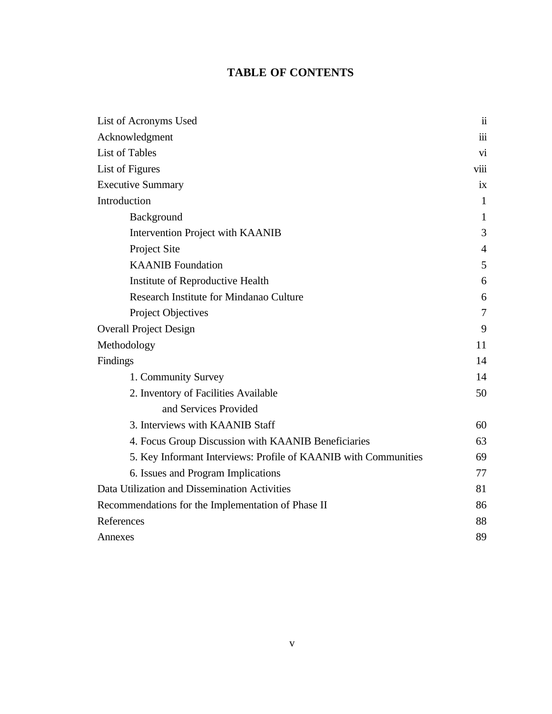## **TABLE OF CONTENTS**

| List of Acronyms Used                                           | $\ddot{\mathbf{i}}$     |
|-----------------------------------------------------------------|-------------------------|
| Acknowledgment                                                  | $\overline{\text{iii}}$ |
| <b>List of Tables</b>                                           | vi                      |
| List of Figures                                                 | <b>V111</b>             |
| <b>Executive Summary</b>                                        | ix                      |
| Introduction                                                    | $\mathbf{1}$            |
| Background                                                      | $\mathbf{1}$            |
| Intervention Project with KAANIB                                | 3                       |
| Project Site                                                    | $\overline{4}$          |
| <b>KAANIB</b> Foundation                                        | 5                       |
| Institute of Reproductive Health                                | 6                       |
| Research Institute for Mindanao Culture                         | 6                       |
| Project Objectives                                              | $\overline{7}$          |
| <b>Overall Project Design</b>                                   | 9                       |
| Methodology                                                     | 11                      |
| Findings                                                        | 14                      |
| 1. Community Survey                                             | 14                      |
| 2. Inventory of Facilities Available                            | 50                      |
| and Services Provided                                           |                         |
| 3. Interviews with KAANIB Staff                                 | 60                      |
| 4. Focus Group Discussion with KAANIB Beneficiaries             | 63                      |
| 5. Key Informant Interviews: Profile of KAANIB with Communities | 69                      |
| 6. Issues and Program Implications                              | 77                      |
| Data Utilization and Dissemination Activities                   | 81                      |
| Recommendations for the Implementation of Phase II              |                         |
| References                                                      | 88                      |
| Annexes                                                         | 89                      |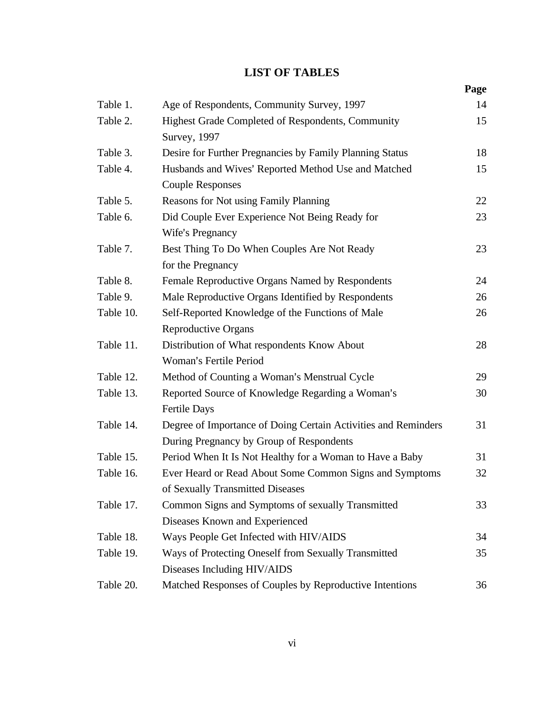## **LIST OF TABLES**

|           |                                                                                                            | Page |
|-----------|------------------------------------------------------------------------------------------------------------|------|
| Table 1.  | Age of Respondents, Community Survey, 1997                                                                 | 14   |
| Table 2.  | Highest Grade Completed of Respondents, Community<br><b>Survey</b> , 1997                                  | 15   |
| Table 3.  | Desire for Further Pregnancies by Family Planning Status                                                   | 18   |
| Table 4.  | Husbands and Wives' Reported Method Use and Matched<br><b>Couple Responses</b>                             |      |
| Table 5.  | Reasons for Not using Family Planning                                                                      | 22   |
| Table 6.  | Did Couple Ever Experience Not Being Ready for<br>Wife's Pregnancy                                         | 23   |
| Table 7.  | Best Thing To Do When Couples Are Not Ready<br>for the Pregnancy                                           | 23   |
| Table 8.  | Female Reproductive Organs Named by Respondents                                                            | 24   |
| Table 9.  | Male Reproductive Organs Identified by Respondents                                                         | 26   |
| Table 10. | Self-Reported Knowledge of the Functions of Male<br><b>Reproductive Organs</b>                             | 26   |
| Table 11. | Distribution of What respondents Know About<br>Woman's Fertile Period                                      | 28   |
| Table 12. | Method of Counting a Woman's Menstrual Cycle                                                               | 29   |
| Table 13. | Reported Source of Knowledge Regarding a Woman's<br><b>Fertile Days</b>                                    | 30   |
| Table 14. | Degree of Importance of Doing Certain Activities and Reminders<br>During Pregnancy by Group of Respondents | 31   |
| Table 15. | Period When It Is Not Healthy for a Woman to Have a Baby                                                   | 31   |
| Table 16. | Ever Heard or Read About Some Common Signs and Symptoms<br>of Sexually Transmitted Diseases                | 32   |
| Table 17. | Common Signs and Symptoms of sexually Transmitted<br>Diseases Known and Experienced                        | 33   |
| Table 18. | Ways People Get Infected with HIV/AIDS                                                                     | 34   |
| Table 19. | Ways of Protecting Oneself from Sexually Transmitted<br>Diseases Including HIV/AIDS                        | 35   |
| Table 20. | Matched Responses of Couples by Reproductive Intentions                                                    | 36   |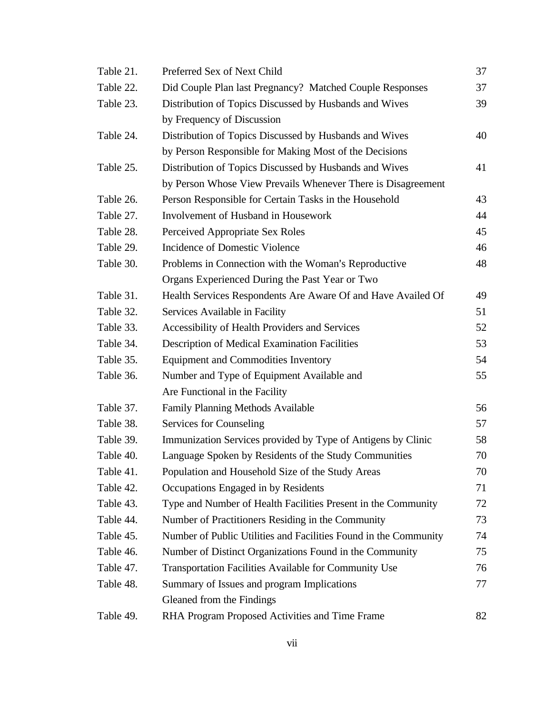| Table 21. | Preferred Sex of Next Child                                      | 37 |  |
|-----------|------------------------------------------------------------------|----|--|
| Table 22. | Did Couple Plan last Pregnancy? Matched Couple Responses         |    |  |
| Table 23. | Distribution of Topics Discussed by Husbands and Wives           |    |  |
|           | by Frequency of Discussion                                       |    |  |
| Table 24. | Distribution of Topics Discussed by Husbands and Wives           | 40 |  |
|           | by Person Responsible for Making Most of the Decisions           |    |  |
| Table 25. | Distribution of Topics Discussed by Husbands and Wives           | 41 |  |
|           | by Person Whose View Prevails Whenever There is Disagreement     |    |  |
| Table 26. | Person Responsible for Certain Tasks in the Household            | 43 |  |
| Table 27. | Involvement of Husband in Housework                              | 44 |  |
| Table 28. | Perceived Appropriate Sex Roles                                  | 45 |  |
| Table 29. | <b>Incidence of Domestic Violence</b>                            | 46 |  |
| Table 30. | Problems in Connection with the Woman's Reproductive             | 48 |  |
|           | Organs Experienced During the Past Year or Two                   |    |  |
| Table 31. | Health Services Respondents Are Aware Of and Have Availed Of     | 49 |  |
| Table 32. | Services Available in Facility                                   | 51 |  |
| Table 33. | Accessibility of Health Providers and Services                   | 52 |  |
| Table 34. | Description of Medical Examination Facilities                    | 53 |  |
| Table 35. | <b>Equipment and Commodities Inventory</b>                       | 54 |  |
| Table 36. | Number and Type of Equipment Available and                       | 55 |  |
|           | Are Functional in the Facility                                   |    |  |
| Table 37. | <b>Family Planning Methods Available</b>                         | 56 |  |
| Table 38. | Services for Counseling                                          | 57 |  |
| Table 39. | Immunization Services provided by Type of Antigens by Clinic     | 58 |  |
| Table 40. | Language Spoken by Residents of the Study Communities            | 70 |  |
| Table 41. | Population and Household Size of the Study Areas                 | 70 |  |
| Table 42. | Occupations Engaged in by Residents                              | 71 |  |
| Table 43. | Type and Number of Health Facilities Present in the Community    | 72 |  |
| Table 44. | Number of Practitioners Residing in the Community                | 73 |  |
| Table 45. | Number of Public Utilities and Facilities Found in the Community | 74 |  |
| Table 46. | Number of Distinct Organizations Found in the Community          | 75 |  |
| Table 47. | Transportation Facilities Available for Community Use            | 76 |  |
| Table 48. | Summary of Issues and program Implications                       | 77 |  |
|           | Gleaned from the Findings                                        |    |  |
| Table 49. | RHA Program Proposed Activities and Time Frame                   | 82 |  |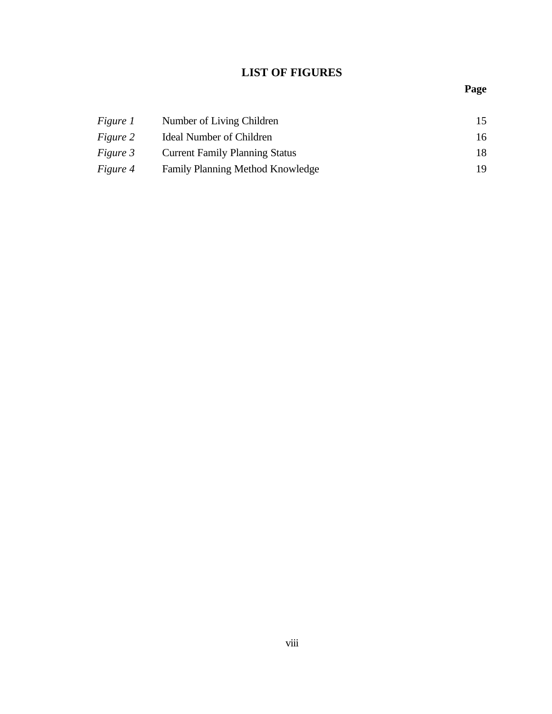## **LIST OF FIGURES**

## **Page**

| <i>Figure 1</i> | Number of Living Children             | 15 |
|-----------------|---------------------------------------|----|
| <i>Figure</i> 2 | Ideal Number of Children              | 16 |
| <i>Figure 3</i> | <b>Current Family Planning Status</b> | 18 |
| <i>Figure 4</i> | Family Planning Method Knowledge      | 19 |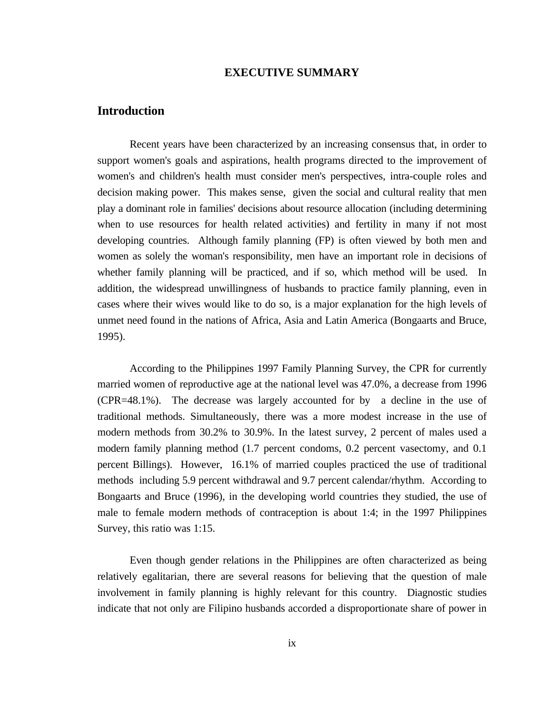## **EXECUTIVE SUMMARY**

## **Introduction**

Recent years have been characterized by an increasing consensus that, in order to support women's goals and aspirations, health programs directed to the improvement of women's and children's health must consider men's perspectives, intra-couple roles and decision making power. This makes sense, given the social and cultural reality that men play a dominant role in families' decisions about resource allocation (including determining when to use resources for health related activities) and fertility in many if not most developing countries. Although family planning (FP) is often viewed by both men and women as solely the woman's responsibility, men have an important role in decisions of whether family planning will be practiced, and if so, which method will be used. In addition, the widespread unwillingness of husbands to practice family planning, even in cases where their wives would like to do so, is a major explanation for the high levels of unmet need found in the nations of Africa, Asia and Latin America (Bongaarts and Bruce, 1995).

According to the Philippines 1997 Family Planning Survey, the CPR for currently married women of reproductive age at the national level was 47.0%, a decrease from 1996 (CPR=48.1%). The decrease was largely accounted for by a decline in the use of traditional methods. Simultaneously, there was a more modest increase in the use of modern methods from 30.2% to 30.9%. In the latest survey, 2 percent of males used a modern family planning method (1.7 percent condoms, 0.2 percent vasectomy, and 0.1 percent Billings). However, 16.1% of married couples practiced the use of traditional methods including 5.9 percent withdrawal and 9.7 percent calendar/rhythm. According to Bongaarts and Bruce (1996), in the developing world countries they studied, the use of male to female modern methods of contraception is about 1:4; in the 1997 Philippines Survey, this ratio was 1:15.

Even though gender relations in the Philippines are often characterized as being relatively egalitarian, there are several reasons for believing that the question of male involvement in family planning is highly relevant for this country. Diagnostic studies indicate that not only are Filipino husbands accorded a disproportionate share of power in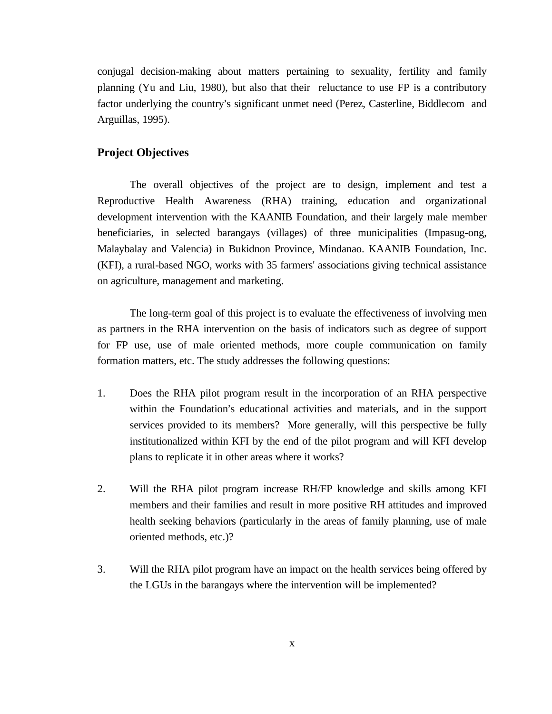conjugal decision-making about matters pertaining to sexuality, fertility and family planning (Yu and Liu, 1980), but also that their reluctance to use FP is a contributory factor underlying the country's significant unmet need (Perez, Casterline, Biddlecom and Arguillas, 1995).

## **Project Objectives**

The overall objectives of the project are to design, implement and test a Reproductive Health Awareness (RHA) training, education and organizational development intervention with the KAANIB Foundation, and their largely male member beneficiaries, in selected barangays (villages) of three municipalities (Impasug-ong, Malaybalay and Valencia) in Bukidnon Province, Mindanao. KAANIB Foundation, Inc. (KFI), a rural-based NGO, works with 35 farmers' associations giving technical assistance on agriculture, management and marketing.

The long-term goal of this project is to evaluate the effectiveness of involving men as partners in the RHA intervention on the basis of indicators such as degree of support for FP use, use of male oriented methods, more couple communication on family formation matters, etc. The study addresses the following questions:

- 1. Does the RHA pilot program result in the incorporation of an RHA perspective within the Foundation's educational activities and materials, and in the support services provided to its members? More generally, will this perspective be fully institutionalized within KFI by the end of the pilot program and will KFI develop plans to replicate it in other areas where it works?
- 2. Will the RHA pilot program increase RH/FP knowledge and skills among KFI members and their families and result in more positive RH attitudes and improved health seeking behaviors (particularly in the areas of family planning, use of male oriented methods, etc.)?
- 3. Will the RHA pilot program have an impact on the health services being offered by the LGUs in the barangays where the intervention will be implemented?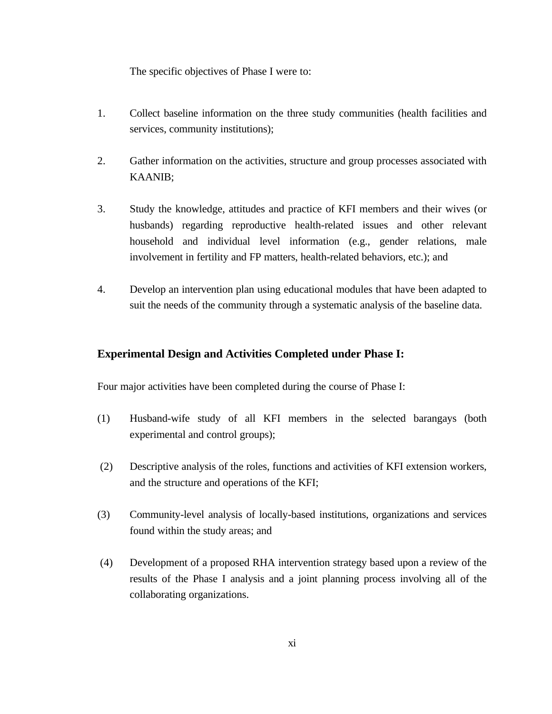The specific objectives of Phase I were to:

- 1. Collect baseline information on the three study communities (health facilities and services, community institutions);
- 2. Gather information on the activities, structure and group processes associated with KAANIB;
- 3. Study the knowledge, attitudes and practice of KFI members and their wives (or husbands) regarding reproductive health-related issues and other relevant household and individual level information (e.g., gender relations, male involvement in fertility and FP matters, health-related behaviors, etc.); and
- 4. Develop an intervention plan using educational modules that have been adapted to suit the needs of the community through a systematic analysis of the baseline data.

## **Experimental Design and Activities Completed under Phase I:**

Four major activities have been completed during the course of Phase I:

- (1) Husband-wife study of all KFI members in the selected barangays (both experimental and control groups);
- (2) Descriptive analysis of the roles, functions and activities of KFI extension workers, and the structure and operations of the KFI;
- (3) Community-level analysis of locally-based institutions, organizations and services found within the study areas; and
- (4) Development of a proposed RHA intervention strategy based upon a review of the results of the Phase I analysis and a joint planning process involving all of the collaborating organizations.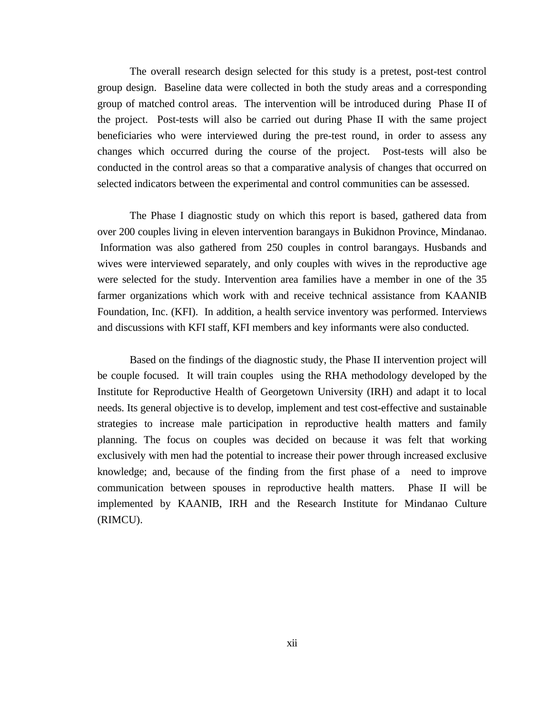The overall research design selected for this study is a pretest, post-test control group design. Baseline data were collected in both the study areas and a corresponding group of matched control areas. The intervention will be introduced during Phase II of the project. Post-tests will also be carried out during Phase II with the same project beneficiaries who were interviewed during the pre-test round, in order to assess any changes which occurred during the course of the project. Post-tests will also be conducted in the control areas so that a comparative analysis of changes that occurred on selected indicators between the experimental and control communities can be assessed.

The Phase I diagnostic study on which this report is based, gathered data from over 200 couples living in eleven intervention barangays in Bukidnon Province, Mindanao. Information was also gathered from 250 couples in control barangays. Husbands and wives were interviewed separately, and only couples with wives in the reproductive age were selected for the study. Intervention area families have a member in one of the 35 farmer organizations which work with and receive technical assistance from KAANIB Foundation, Inc. (KFI). In addition, a health service inventory was performed. Interviews and discussions with KFI staff, KFI members and key informants were also conducted.

Based on the findings of the diagnostic study, the Phase II intervention project will be couple focused. It will train couples using the RHA methodology developed by the Institute for Reproductive Health of Georgetown University (IRH) and adapt it to local needs. Its general objective is to develop, implement and test cost-effective and sustainable strategies to increase male participation in reproductive health matters and family planning. The focus on couples was decided on because it was felt that working exclusively with men had the potential to increase their power through increased exclusive knowledge; and, because of the finding from the first phase of a need to improve communication between spouses in reproductive health matters. Phase II will be implemented by KAANIB, IRH and the Research Institute for Mindanao Culture (RIMCU).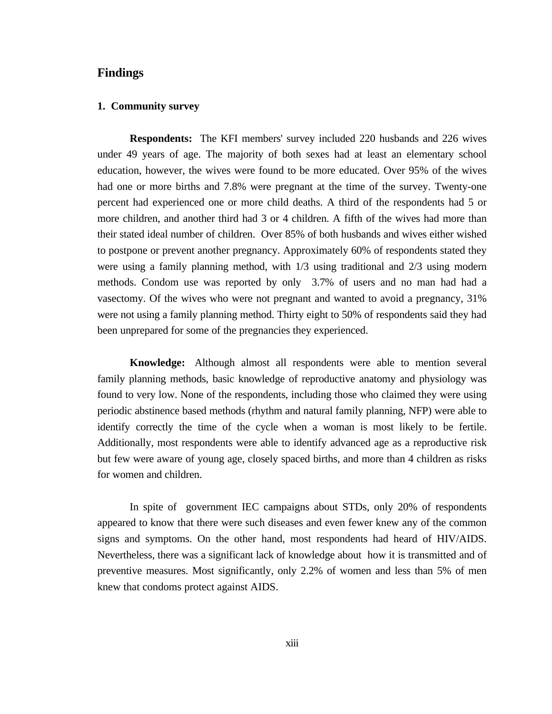## **Findings**

## **1. Community survey**

**Respondents:** The KFI members' survey included 220 husbands and 226 wives under 49 years of age. The majority of both sexes had at least an elementary school education, however, the wives were found to be more educated. Over 95% of the wives had one or more births and 7.8% were pregnant at the time of the survey. Twenty-one percent had experienced one or more child deaths. A third of the respondents had 5 or more children, and another third had 3 or 4 children. A fifth of the wives had more than their stated ideal number of children. Over 85% of both husbands and wives either wished to postpone or prevent another pregnancy. Approximately 60% of respondents stated they were using a family planning method, with 1/3 using traditional and 2/3 using modern methods. Condom use was reported by only 3.7% of users and no man had had a vasectomy. Of the wives who were not pregnant and wanted to avoid a pregnancy, 31% were not using a family planning method. Thirty eight to 50% of respondents said they had been unprepared for some of the pregnancies they experienced.

**Knowledge:** Although almost all respondents were able to mention several family planning methods, basic knowledge of reproductive anatomy and physiology was found to very low. None of the respondents, including those who claimed they were using periodic abstinence based methods (rhythm and natural family planning, NFP) were able to identify correctly the time of the cycle when a woman is most likely to be fertile. Additionally, most respondents were able to identify advanced age as a reproductive risk but few were aware of young age, closely spaced births, and more than 4 children as risks for women and children.

In spite of government IEC campaigns about STDs, only 20% of respondents appeared to know that there were such diseases and even fewer knew any of the common signs and symptoms. On the other hand, most respondents had heard of HIV/AIDS. Nevertheless, there was a significant lack of knowledge about how it is transmitted and of preventive measures. Most significantly, only 2.2% of women and less than 5% of men knew that condoms protect against AIDS.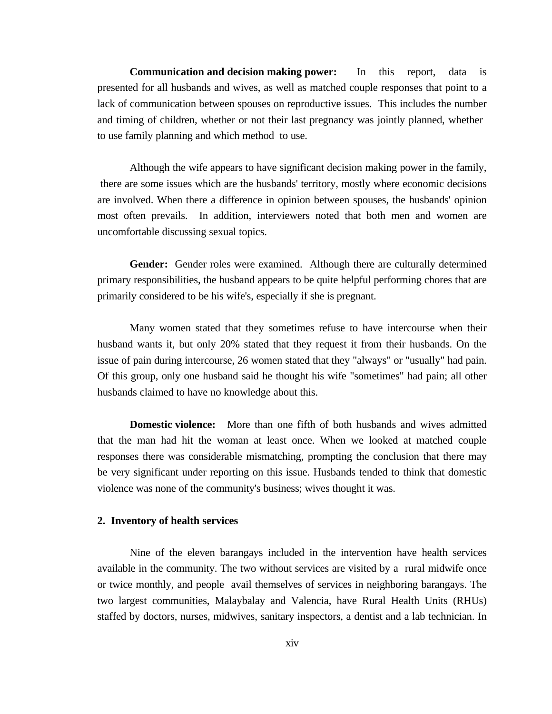**Communication and decision making power:** In this report, data is presented for all husbands and wives, as well as matched couple responses that point to a lack of communication between spouses on reproductive issues. This includes the number and timing of children, whether or not their last pregnancy was jointly planned, whether to use family planning and which method to use.

Although the wife appears to have significant decision making power in the family, there are some issues which are the husbands' territory, mostly where economic decisions are involved. When there a difference in opinion between spouses, the husbands' opinion most often prevails. In addition, interviewers noted that both men and women are uncomfortable discussing sexual topics.

**Gender:** Gender roles were examined. Although there are culturally determined primary responsibilities, the husband appears to be quite helpful performing chores that are primarily considered to be his wife's, especially if she is pregnant.

Many women stated that they sometimes refuse to have intercourse when their husband wants it, but only 20% stated that they request it from their husbands. On the issue of pain during intercourse, 26 women stated that they "always" or "usually" had pain. Of this group, only one husband said he thought his wife "sometimes" had pain; all other husbands claimed to have no knowledge about this.

**Domestic violence:** More than one fifth of both husbands and wives admitted that the man had hit the woman at least once. When we looked at matched couple responses there was considerable mismatching, prompting the conclusion that there may be very significant under reporting on this issue. Husbands tended to think that domestic violence was none of the community's business; wives thought it was.

## **2. Inventory of health services**

Nine of the eleven barangays included in the intervention have health services available in the community. The two without services are visited by a rural midwife once or twice monthly, and people avail themselves of services in neighboring barangays. The two largest communities, Malaybalay and Valencia, have Rural Health Units (RHUs) staffed by doctors, nurses, midwives, sanitary inspectors, a dentist and a lab technician. In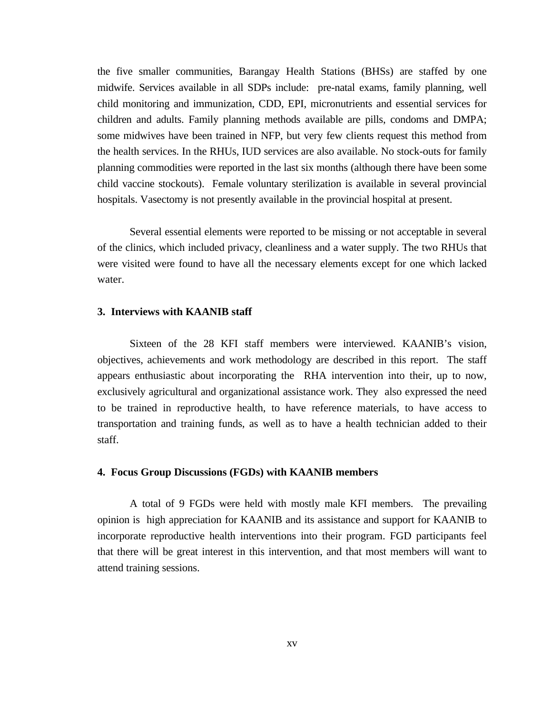the five smaller communities, Barangay Health Stations (BHSs) are staffed by one midwife. Services available in all SDPs include: pre-natal exams, family planning, well child monitoring and immunization, CDD, EPI, micronutrients and essential services for children and adults. Family planning methods available are pills, condoms and DMPA; some midwives have been trained in NFP, but very few clients request this method from the health services. In the RHUs, IUD services are also available. No stock-outs for family planning commodities were reported in the last six months (although there have been some child vaccine stockouts). Female voluntary sterilization is available in several provincial hospitals. Vasectomy is not presently available in the provincial hospital at present.

Several essential elements were reported to be missing or not acceptable in several of the clinics, which included privacy, cleanliness and a water supply. The two RHUs that were visited were found to have all the necessary elements except for one which lacked water.

## **3. Interviews with KAANIB staff**

Sixteen of the 28 KFI staff members were interviewed. KAANIB's vision, objectives, achievements and work methodology are described in this report. The staff appears enthusiastic about incorporating the RHA intervention into their, up to now, exclusively agricultural and organizational assistance work. They also expressed the need to be trained in reproductive health, to have reference materials, to have access to transportation and training funds, as well as to have a health technician added to their staff.

#### **4. Focus Group Discussions (FGDs) with KAANIB members**

A total of 9 FGDs were held with mostly male KFI members. The prevailing opinion is high appreciation for KAANIB and its assistance and support for KAANIB to incorporate reproductive health interventions into their program. FGD participants feel that there will be great interest in this intervention, and that most members will want to attend training sessions.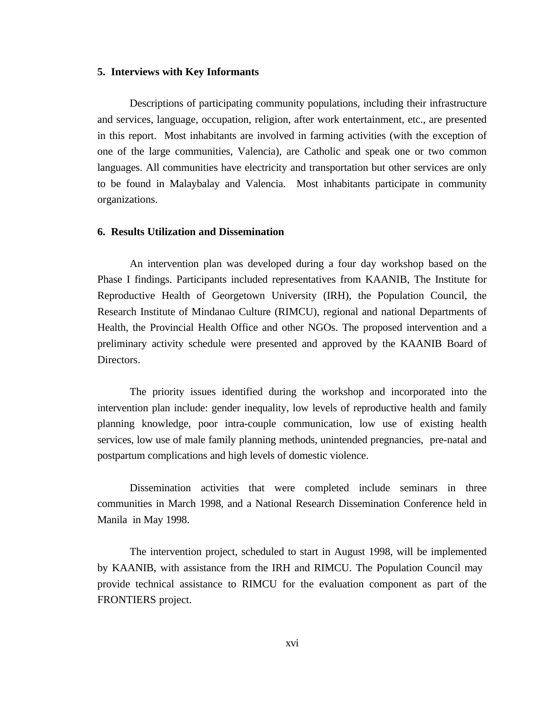#### **5. Interviews with Key Informants**

Descriptions of participating community populations, including their infrastructure and services, language, occupation, religion, after work entertainment, etc., are presented in this report. Most inhabitants are involved in farming activities (with the exception of one of the large communities, Valencia), are Catholic and speak one or two common languages. All communities have electricity and transportation but other services are only to be found in Malaybalay and Valencia. Most inhabitants participate in community organizations.

#### **6. Results Utilization and Dissemination**

An intervention plan was developed during a four day workshop based on the Phase I findings. Participants included representatives from KAANIB, The Institute for Reproductive Health of Georgetown University (IRH), the Population Council, the Research Institute of Mindanao Culture (RIMCU), regional and national Departments of Health, the Provincial Health Office and other NGOs. The proposed intervention and a preliminary activity schedule were presented and approved by the KAANIB Board of Directors.

The priority issues identified during the workshop and incorporated into the intervention plan include: gender inequality, low levels of reproductive health and family planning knowledge, poor intra-couple communication, low use of existing health services, low use of male family planning methods, unintended pregnancies, pre-natal and postpartum complications and high levels of domestic violence.

Dissemination activities that were completed include seminars in three communities in March 1998, and a National Research Dissemination Conference held in Manila in May 1998.

The intervention project, scheduled to start in August 1998, will be implemented by KAANIB, with assistance from the IRH and RIMCU. The Population Council may provide technical assistance to RIMCU for the evaluation component as part of the FRONTIERS project.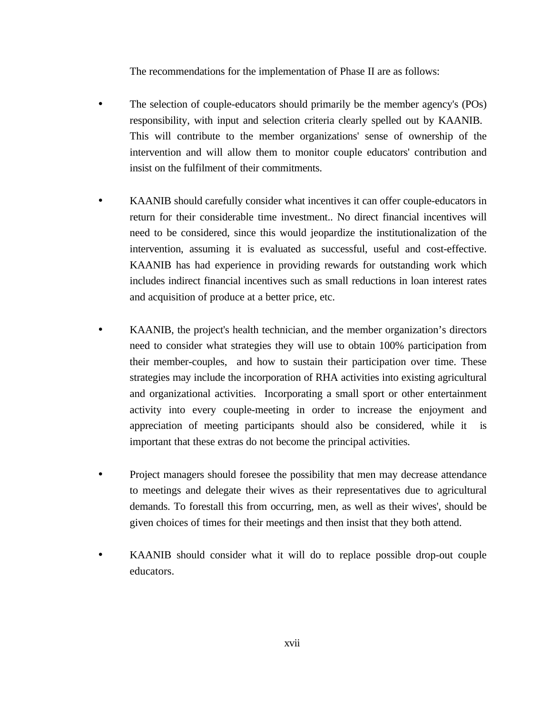The recommendations for the implementation of Phase II are as follows:

- The selection of couple-educators should primarily be the member agency's (POs) responsibility, with input and selection criteria clearly spelled out by KAANIB. This will contribute to the member organizations' sense of ownership of the intervention and will allow them to monitor couple educators' contribution and insist on the fulfilment of their commitments.
- KAANIB should carefully consider what incentives it can offer couple-educators in return for their considerable time investment.. No direct financial incentives will need to be considered, since this would jeopardize the institutionalization of the intervention, assuming it is evaluated as successful, useful and cost-effective. KAANIB has had experience in providing rewards for outstanding work which includes indirect financial incentives such as small reductions in loan interest rates and acquisition of produce at a better price, etc.
- KAANIB, the project's health technician, and the member organization's directors need to consider what strategies they will use to obtain 100% participation from their member-couples, and how to sustain their participation over time. These strategies may include the incorporation of RHA activities into existing agricultural and organizational activities. Incorporating a small sport or other entertainment activity into every couple-meeting in order to increase the enjoyment and appreciation of meeting participants should also be considered, while it is important that these extras do not become the principal activities.
- Project managers should foresee the possibility that men may decrease attendance to meetings and delegate their wives as their representatives due to agricultural demands. To forestall this from occurring, men, as well as their wives', should be given choices of times for their meetings and then insist that they both attend.
- KAANIB should consider what it will do to replace possible drop-out couple educators.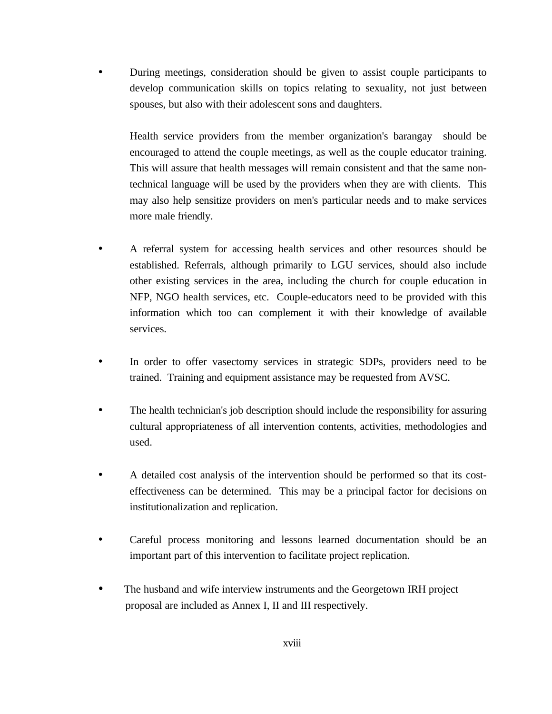• During meetings, consideration should be given to assist couple participants to develop communication skills on topics relating to sexuality, not just between spouses, but also with their adolescent sons and daughters.

Health service providers from the member organization's barangay should be encouraged to attend the couple meetings, as well as the couple educator training. This will assure that health messages will remain consistent and that the same nontechnical language will be used by the providers when they are with clients. This may also help sensitize providers on men's particular needs and to make services more male friendly.

- A referral system for accessing health services and other resources should be established. Referrals, although primarily to LGU services, should also include other existing services in the area, including the church for couple education in NFP, NGO health services, etc. Couple-educators need to be provided with this information which too can complement it with their knowledge of available services.
- In order to offer vasectomy services in strategic SDPs, providers need to be trained. Training and equipment assistance may be requested from AVSC.
- The health technician's job description should include the responsibility for assuring cultural appropriateness of all intervention contents, activities, methodologies and used.
- A detailed cost analysis of the intervention should be performed so that its costeffectiveness can be determined. This may be a principal factor for decisions on institutionalization and replication.
- Careful process monitoring and lessons learned documentation should be an important part of this intervention to facilitate project replication.
- The husband and wife interview instruments and the Georgetown IRH project proposal are included as Annex I, II and III respectively.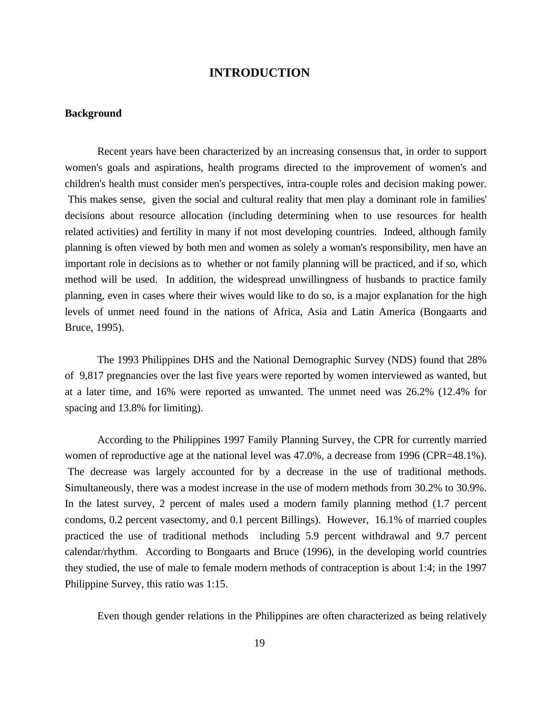## **INTRODUCTION**

## **Background**

Recent years have been characterized by an increasing consensus that, in order to support women's goals and aspirations, health programs directed to the improvement of women's and children's health must consider men's perspectives, intra-couple roles and decision making power. This makes sense, given the social and cultural reality that men play a dominant role in families' decisions about resource allocation (including determining when to use resources for health related activities) and fertility in many if not most developing countries. Indeed, although family planning is often viewed by both men and women as solely a woman's responsibility, men have an important role in decisions as to whether or not family planning will be practiced, and if so, which method will be used. In addition, the widespread unwillingness of husbands to practice family planning, even in cases where their wives would like to do so, is a major explanation for the high levels of unmet need found in the nations of Africa, Asia and Latin America (Bongaarts and Bruce, 1995).

The 1993 Philippines DHS and the National Demographic Survey (NDS) found that 28% of 9,817 pregnancies over the last five years were reported by women interviewed as wanted, but at a later time, and 16% were reported as unwanted. The unmet need was 26.2% (12.4% for spacing and 13.8% for limiting).

According to the Philippines 1997 Family Planning Survey, the CPR for currently married women of reproductive age at the national level was 47.0%, a decrease from 1996 (CPR=48.1%). The decrease was largely accounted for by a decrease in the use of traditional methods. Simultaneously, there was a modest increase in the use of modern methods from 30.2% to 30.9%. In the latest survey, 2 percent of males used a modern family planning method (1.7 percent condoms, 0.2 percent vasectomy, and 0.1 percent Billings). However, 16.1% of married couples practiced the use of traditional methods including 5.9 percent withdrawal and 9.7 percent calendar/rhythm. According to Bongaarts and Bruce (1996), in the developing world countries they studied, the use of male to female modern methods of contraception is about 1:4; in the 1997 Philippine Survey, this ratio was 1:15.

Even though gender relations in the Philippines are often characterized as being relatively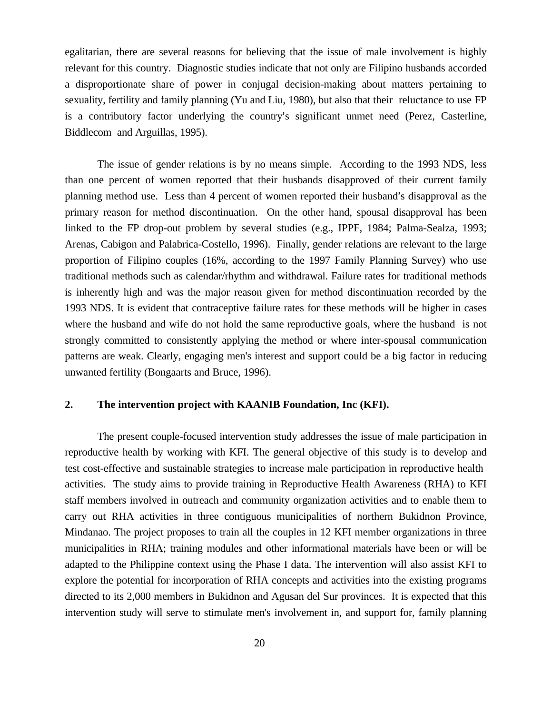egalitarian, there are several reasons for believing that the issue of male involvement is highly relevant for this country. Diagnostic studies indicate that not only are Filipino husbands accorded a disproportionate share of power in conjugal decision-making about matters pertaining to sexuality, fertility and family planning (Yu and Liu, 1980), but also that their reluctance to use FP is a contributory factor underlying the country's significant unmet need (Perez, Casterline, Biddlecom and Arguillas, 1995).

The issue of gender relations is by no means simple. According to the 1993 NDS, less than one percent of women reported that their husbands disapproved of their current family planning method use. Less than 4 percent of women reported their husband's disapproval as the primary reason for method discontinuation. On the other hand, spousal disapproval has been linked to the FP drop-out problem by several studies (e.g., IPPF, 1984; Palma-Sealza, 1993; Arenas, Cabigon and Palabrica-Costello, 1996). Finally, gender relations are relevant to the large proportion of Filipino couples (16%, according to the 1997 Family Planning Survey) who use traditional methods such as calendar/rhythm and withdrawal. Failure rates for traditional methods is inherently high and was the major reason given for method discontinuation recorded by the 1993 NDS. It is evident that contraceptive failure rates for these methods will be higher in cases where the husband and wife do not hold the same reproductive goals, where the husband is not strongly committed to consistently applying the method or where inter-spousal communication patterns are weak. Clearly, engaging men's interest and support could be a big factor in reducing unwanted fertility (Bongaarts and Bruce, 1996).

## **2. The intervention project with KAANIB Foundation, Inc (KFI).**

The present couple-focused intervention study addresses the issue of male participation in reproductive health by working with KFI. The general objective of this study is to develop and test cost-effective and sustainable strategies to increase male participation in reproductive health activities. The study aims to provide training in Reproductive Health Awareness (RHA) to KFI staff members involved in outreach and community organization activities and to enable them to carry out RHA activities in three contiguous municipalities of northern Bukidnon Province, Mindanao. The project proposes to train all the couples in 12 KFI member organizations in three municipalities in RHA; training modules and other informational materials have been or will be adapted to the Philippine context using the Phase I data. The intervention will also assist KFI to explore the potential for incorporation of RHA concepts and activities into the existing programs directed to its 2,000 members in Bukidnon and Agusan del Sur provinces. It is expected that this intervention study will serve to stimulate men's involvement in, and support for, family planning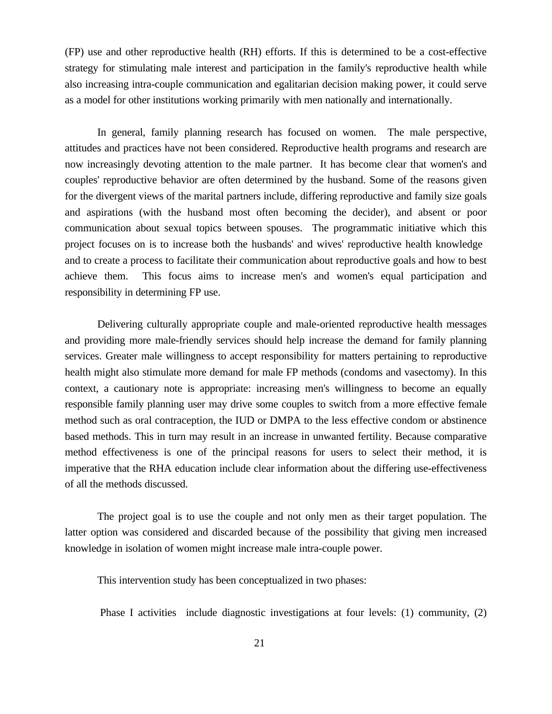(FP) use and other reproductive health (RH) efforts. If this is determined to be a cost-effective strategy for stimulating male interest and participation in the family's reproductive health while also increasing intra-couple communication and egalitarian decision making power, it could serve as a model for other institutions working primarily with men nationally and internationally.

In general, family planning research has focused on women. The male perspective, attitudes and practices have not been considered. Reproductive health programs and research are now increasingly devoting attention to the male partner. It has become clear that women's and couples' reproductive behavior are often determined by the husband. Some of the reasons given for the divergent views of the marital partners include, differing reproductive and family size goals and aspirations (with the husband most often becoming the decider), and absent or poor communication about sexual topics between spouses. The programmatic initiative which this project focuses on is to increase both the husbands' and wives' reproductive health knowledge and to create a process to facilitate their communication about reproductive goals and how to best achieve them. This focus aims to increase men's and women's equal participation and responsibility in determining FP use.

Delivering culturally appropriate couple and male-oriented reproductive health messages and providing more male-friendly services should help increase the demand for family planning services. Greater male willingness to accept responsibility for matters pertaining to reproductive health might also stimulate more demand for male FP methods (condoms and vasectomy). In this context, a cautionary note is appropriate: increasing men's willingness to become an equally responsible family planning user may drive some couples to switch from a more effective female method such as oral contraception, the IUD or DMPA to the less effective condom or abstinence based methods. This in turn may result in an increase in unwanted fertility. Because comparative method effectiveness is one of the principal reasons for users to select their method, it is imperative that the RHA education include clear information about the differing use-effectiveness of all the methods discussed.

The project goal is to use the couple and not only men as their target population. The latter option was considered and discarded because of the possibility that giving men increased knowledge in isolation of women might increase male intra-couple power.

This intervention study has been conceptualized in two phases:

Phase I activities include diagnostic investigations at four levels: (1) community, (2)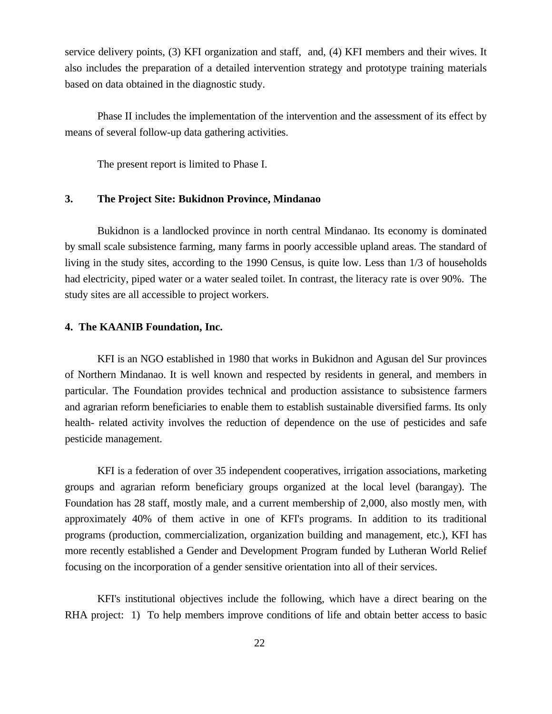service delivery points, (3) KFI organization and staff, and, (4) KFI members and their wives. It also includes the preparation of a detailed intervention strategy and prototype training materials based on data obtained in the diagnostic study.

Phase II includes the implementation of the intervention and the assessment of its effect by means of several follow-up data gathering activities.

The present report is limited to Phase I.

## **3. The Project Site: Bukidnon Province, Mindanao**

Bukidnon is a landlocked province in north central Mindanao. Its economy is dominated by small scale subsistence farming, many farms in poorly accessible upland areas. The standard of living in the study sites, according to the 1990 Census, is quite low. Less than 1/3 of households had electricity, piped water or a water sealed toilet. In contrast, the literacy rate is over 90%. The study sites are all accessible to project workers.

## **4. The KAANIB Foundation, Inc.**

KFI is an NGO established in 1980 that works in Bukidnon and Agusan del Sur provinces of Northern Mindanao. It is well known and respected by residents in general, and members in particular. The Foundation provides technical and production assistance to subsistence farmers and agrarian reform beneficiaries to enable them to establish sustainable diversified farms. Its only health- related activity involves the reduction of dependence on the use of pesticides and safe pesticide management.

KFI is a federation of over 35 independent cooperatives, irrigation associations, marketing groups and agrarian reform beneficiary groups organized at the local level (barangay). The Foundation has 28 staff, mostly male, and a current membership of 2,000, also mostly men, with approximately 40% of them active in one of KFI's programs. In addition to its traditional programs (production, commercialization, organization building and management, etc.), KFI has more recently established a Gender and Development Program funded by Lutheran World Relief focusing on the incorporation of a gender sensitive orientation into all of their services.

KFI's institutional objectives include the following, which have a direct bearing on the RHA project: 1) To help members improve conditions of life and obtain better access to basic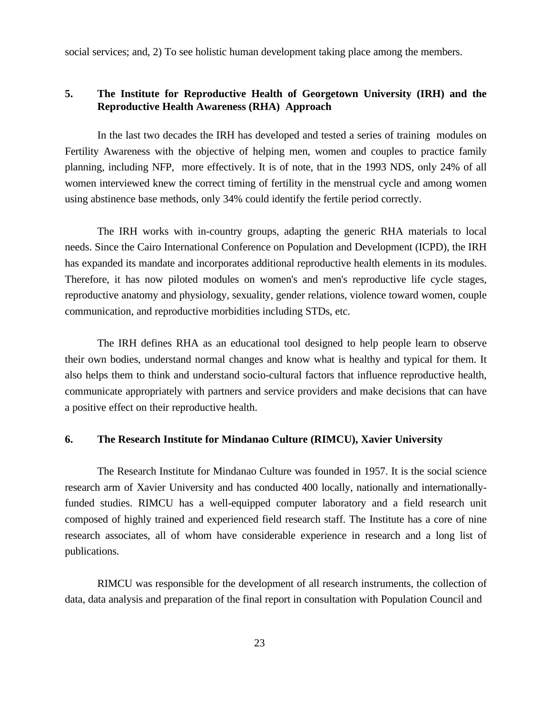social services; and, 2) To see holistic human development taking place among the members.

## **5. The Institute for Reproductive Health of Georgetown University (IRH) and the Reproductive Health Awareness (RHA) Approach**

In the last two decades the IRH has developed and tested a series of training modules on Fertility Awareness with the objective of helping men, women and couples to practice family planning, including NFP, more effectively. It is of note, that in the 1993 NDS, only 24% of all women interviewed knew the correct timing of fertility in the menstrual cycle and among women using abstinence base methods, only 34% could identify the fertile period correctly.

The IRH works with in-country groups, adapting the generic RHA materials to local needs. Since the Cairo International Conference on Population and Development (ICPD), the IRH has expanded its mandate and incorporates additional reproductive health elements in its modules. Therefore, it has now piloted modules on women's and men's reproductive life cycle stages, reproductive anatomy and physiology, sexuality, gender relations, violence toward women, couple communication, and reproductive morbidities including STDs, etc.

The IRH defines RHA as an educational tool designed to help people learn to observe their own bodies, understand normal changes and know what is healthy and typical for them. It also helps them to think and understand socio-cultural factors that influence reproductive health, communicate appropriately with partners and service providers and make decisions that can have a positive effect on their reproductive health.

## **6. The Research Institute for Mindanao Culture (RIMCU), Xavier University**

The Research Institute for Mindanao Culture was founded in 1957. It is the social science research arm of Xavier University and has conducted 400 locally, nationally and internationallyfunded studies. RIMCU has a well-equipped computer laboratory and a field research unit composed of highly trained and experienced field research staff. The Institute has a core of nine research associates, all of whom have considerable experience in research and a long list of publications.

RIMCU was responsible for the development of all research instruments, the collection of data, data analysis and preparation of the final report in consultation with Population Council and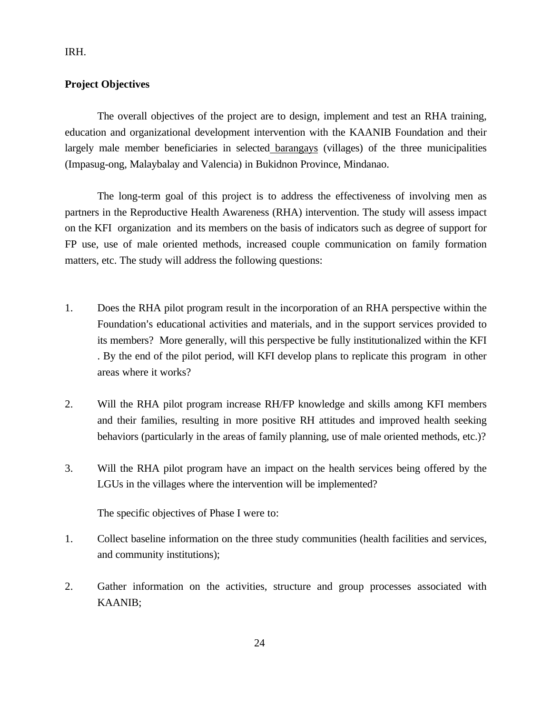IRH.

## **Project Objectives**

The overall objectives of the project are to design, implement and test an RHA training, education and organizational development intervention with the KAANIB Foundation and their largely male member beneficiaries in selected barangays (villages) of the three municipalities (Impasug-ong, Malaybalay and Valencia) in Bukidnon Province, Mindanao.

The long-term goal of this project is to address the effectiveness of involving men as partners in the Reproductive Health Awareness (RHA) intervention. The study will assess impact on the KFI organization and its members on the basis of indicators such as degree of support for FP use, use of male oriented methods, increased couple communication on family formation matters, etc. The study will address the following questions:

- 1. Does the RHA pilot program result in the incorporation of an RHA perspective within the Foundation's educational activities and materials, and in the support services provided to its members? More generally, will this perspective be fully institutionalized within the KFI . By the end of the pilot period, will KFI develop plans to replicate this program in other areas where it works?
- 2. Will the RHA pilot program increase RH/FP knowledge and skills among KFI members and their families, resulting in more positive RH attitudes and improved health seeking behaviors (particularly in the areas of family planning, use of male oriented methods, etc.)?
- 3. Will the RHA pilot program have an impact on the health services being offered by the LGUs in the villages where the intervention will be implemented?

The specific objectives of Phase I were to:

- 1. Collect baseline information on the three study communities (health facilities and services, and community institutions);
- 2. Gather information on the activities, structure and group processes associated with KAANIB;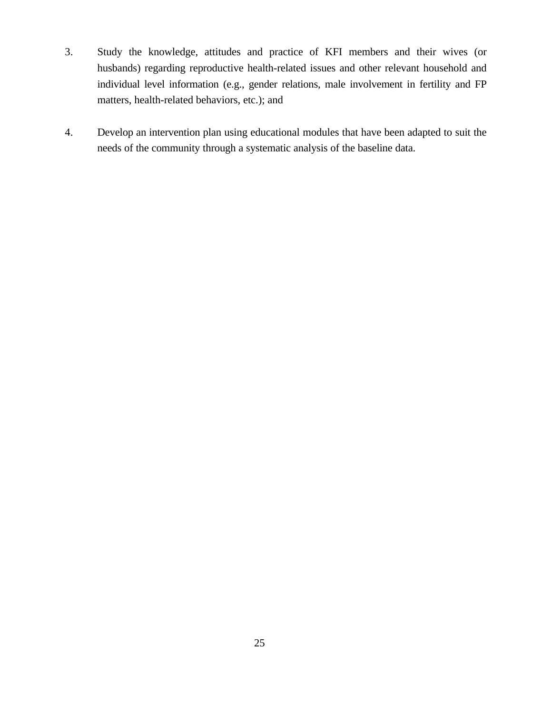- 3. Study the knowledge, attitudes and practice of KFI members and their wives (or husbands) regarding reproductive health-related issues and other relevant household and individual level information (e.g., gender relations, male involvement in fertility and FP matters, health-related behaviors, etc.); and
- 4. Develop an intervention plan using educational modules that have been adapted to suit the needs of the community through a systematic analysis of the baseline data.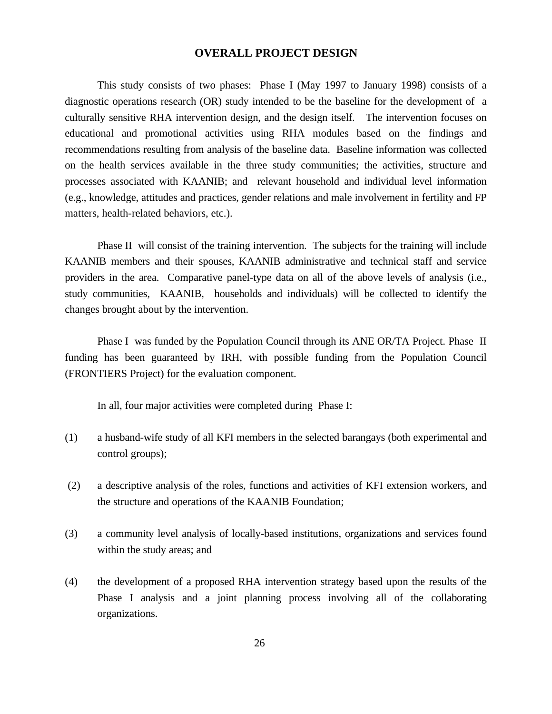## **OVERALL PROJECT DESIGN**

This study consists of two phases: Phase I (May 1997 to January 1998) consists of a diagnostic operations research (OR) study intended to be the baseline for the development of a culturally sensitive RHA intervention design, and the design itself. The intervention focuses on educational and promotional activities using RHA modules based on the findings and recommendations resulting from analysis of the baseline data. Baseline information was collected on the health services available in the three study communities; the activities, structure and processes associated with KAANIB; and relevant household and individual level information (e.g., knowledge, attitudes and practices, gender relations and male involvement in fertility and FP matters, health-related behaviors, etc.).

Phase II will consist of the training intervention. The subjects for the training will include KAANIB members and their spouses, KAANIB administrative and technical staff and service providers in the area. Comparative panel-type data on all of the above levels of analysis (i.e., study communities, KAANIB, households and individuals) will be collected to identify the changes brought about by the intervention.

Phase I was funded by the Population Council through its ANE OR/TA Project. Phase II funding has been guaranteed by IRH, with possible funding from the Population Council (FRONTIERS Project) for the evaluation component.

In all, four major activities were completed during Phase I:

- (1) a husband-wife study of all KFI members in the selected barangays (both experimental and control groups);
- (2) a descriptive analysis of the roles, functions and activities of KFI extension workers, and the structure and operations of the KAANIB Foundation;
- (3) a community level analysis of locally-based institutions, organizations and services found within the study areas; and
- (4) the development of a proposed RHA intervention strategy based upon the results of the Phase I analysis and a joint planning process involving all of the collaborating organizations.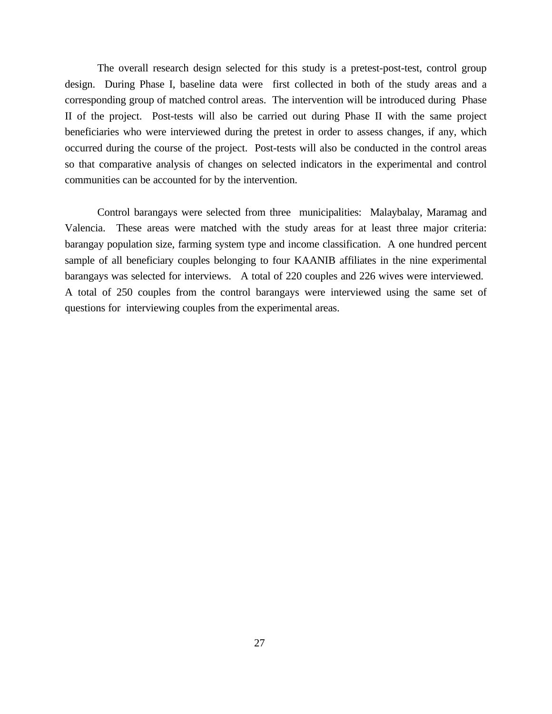The overall research design selected for this study is a pretest-post-test, control group design. During Phase I, baseline data were first collected in both of the study areas and a corresponding group of matched control areas. The intervention will be introduced during Phase II of the project. Post-tests will also be carried out during Phase II with the same project beneficiaries who were interviewed during the pretest in order to assess changes, if any, which occurred during the course of the project. Post-tests will also be conducted in the control areas so that comparative analysis of changes on selected indicators in the experimental and control communities can be accounted for by the intervention.

Control barangays were selected from three municipalities: Malaybalay, Maramag and Valencia. These areas were matched with the study areas for at least three major criteria: barangay population size, farming system type and income classification. A one hundred percent sample of all beneficiary couples belonging to four KAANIB affiliates in the nine experimental barangays was selected for interviews. A total of 220 couples and 226 wives were interviewed. A total of 250 couples from the control barangays were interviewed using the same set of questions for interviewing couples from the experimental areas.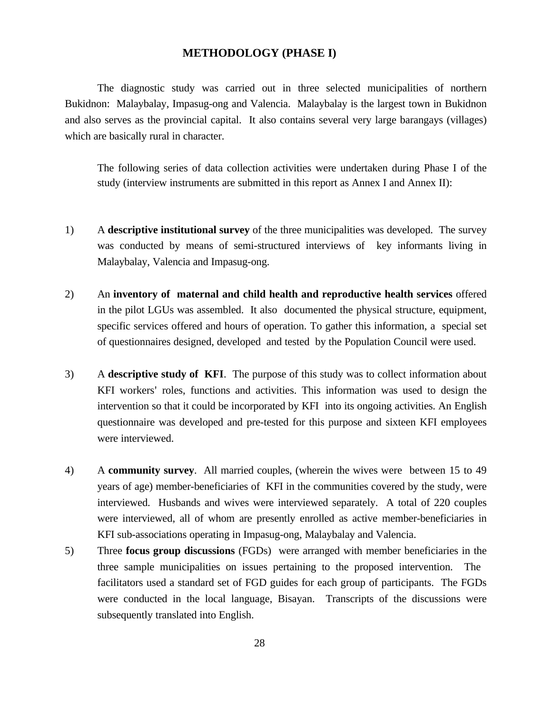### **METHODOLOGY (PHASE I)**

The diagnostic study was carried out in three selected municipalities of northern Bukidnon: Malaybalay, Impasug-ong and Valencia. Malaybalay is the largest town in Bukidnon and also serves as the provincial capital. It also contains several very large barangays (villages) which are basically rural in character.

The following series of data collection activities were undertaken during Phase I of the study (interview instruments are submitted in this report as Annex I and Annex II):

- 1) A **descriptive institutional survey** of the three municipalities was developed. The survey was conducted by means of semi-structured interviews of key informants living in Malaybalay, Valencia and Impasug-ong.
- 2) An **inventory of maternal and child health and reproductive health services** offered in the pilot LGUs was assembled. It also documented the physical structure, equipment, specific services offered and hours of operation. To gather this information, a special set of questionnaires designed, developed and tested by the Population Council were used.
- 3) A **descriptive study of KFI**. The purpose of this study was to collect information about KFI workers' roles, functions and activities. This information was used to design the intervention so that it could be incorporated by KFI into its ongoing activities. An English questionnaire was developed and pre-tested for this purpose and sixteen KFI employees were interviewed.
- 4) A **community survey**. All married couples, (wherein the wives were between 15 to 49 years of age) member-beneficiaries of KFI in the communities covered by the study, were interviewed. Husbands and wives were interviewed separately. A total of 220 couples were interviewed, all of whom are presently enrolled as active member-beneficiaries in KFI sub-associations operating in Impasug-ong, Malaybalay and Valencia.
- 5) Three **focus group discussions** (FGDs) were arranged with member beneficiaries in the three sample municipalities on issues pertaining to the proposed intervention. The facilitators used a standard set of FGD guides for each group of participants. The FGDs were conducted in the local language, Bisayan. Transcripts of the discussions were subsequently translated into English.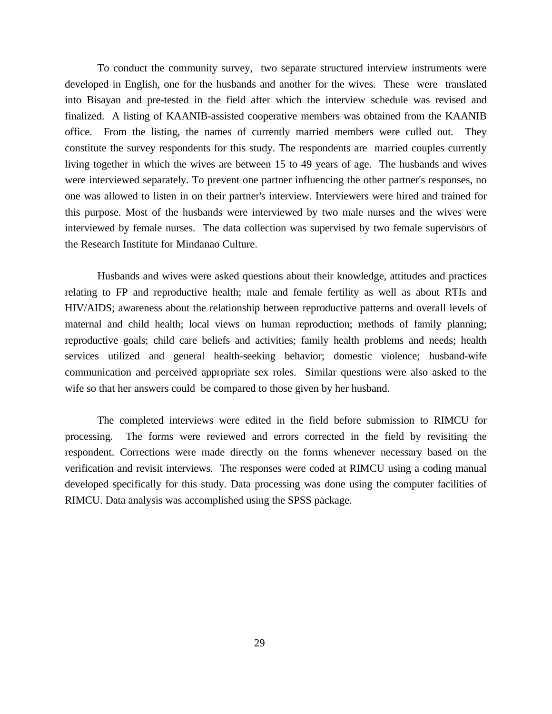To conduct the community survey, two separate structured interview instruments were developed in English, one for the husbands and another for the wives. These were translated into Bisayan and pre-tested in the field after which the interview schedule was revised and finalized. A listing of KAANIB-assisted cooperative members was obtained from the KAANIB office. From the listing, the names of currently married members were culled out. They constitute the survey respondents for this study. The respondents are married couples currently living together in which the wives are between 15 to 49 years of age. The husbands and wives were interviewed separately. To prevent one partner influencing the other partner's responses, no one was allowed to listen in on their partner's interview. Interviewers were hired and trained for this purpose. Most of the husbands were interviewed by two male nurses and the wives were interviewed by female nurses. The data collection was supervised by two female supervisors of the Research Institute for Mindanao Culture.

Husbands and wives were asked questions about their knowledge, attitudes and practices relating to FP and reproductive health; male and female fertility as well as about RTIs and HIV/AIDS; awareness about the relationship between reproductive patterns and overall levels of maternal and child health; local views on human reproduction; methods of family planning; reproductive goals; child care beliefs and activities; family health problems and needs; health services utilized and general health-seeking behavior; domestic violence; husband-wife communication and perceived appropriate sex roles. Similar questions were also asked to the wife so that her answers could be compared to those given by her husband.

The completed interviews were edited in the field before submission to RIMCU for processing. The forms were reviewed and errors corrected in the field by revisiting the respondent. Corrections were made directly on the forms whenever necessary based on the verification and revisit interviews. The responses were coded at RIMCU using a coding manual developed specifically for this study. Data processing was done using the computer facilities of RIMCU. Data analysis was accomplished using the SPSS package.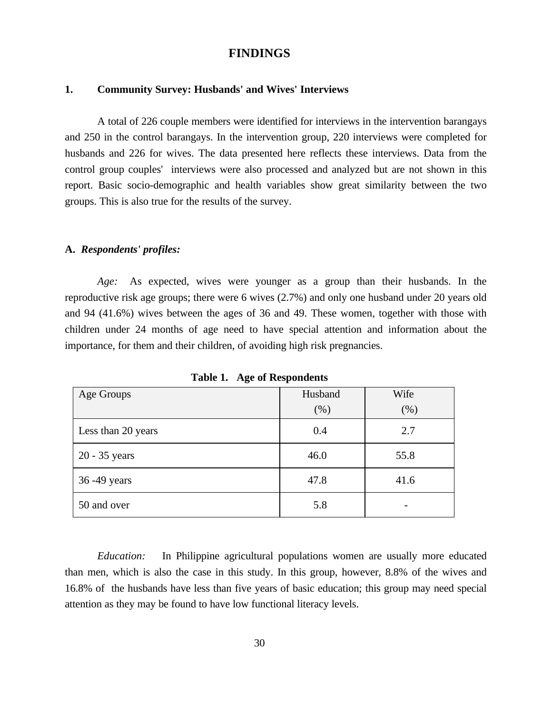## **FINDINGS**

## **1. Community Survey: Husbands' and Wives' Interviews**

A total of 226 couple members were identified for interviews in the intervention barangays and 250 in the control barangays. In the intervention group, 220 interviews were completed for husbands and 226 for wives. The data presented here reflects these interviews. Data from the control group couples' interviews were also processed and analyzed but are not shown in this report. Basic socio-demographic and health variables show great similarity between the two groups. This is also true for the results of the survey.

### **A.** *Respondents' profiles:*

*Age:* As expected, wives were younger as a group than their husbands. In the reproductive risk age groups; there were 6 wives (2.7%) and only one husband under 20 years old and 94 (41.6%) wives between the ages of 36 and 49. These women, together with those with children under 24 months of age need to have special attention and information about the importance, for them and their children, of avoiding high risk pregnancies.

| Age Groups         | Husband | Wife |
|--------------------|---------|------|
|                    | (% )    | (% ) |
| Less than 20 years | 0.4     | 2.7  |
| $20 - 35$ years    | 46.0    | 55.8 |
| 36 - 49 years      | 47.8    | 41.6 |
| 50 and over        | 5.8     |      |

**Table 1. Age of Respondents**

*Education:* In Philippine agricultural populations women are usually more educated than men, which is also the case in this study. In this group, however, 8.8% of the wives and 16.8% of the husbands have less than five years of basic education; this group may need special attention as they may be found to have low functional literacy levels.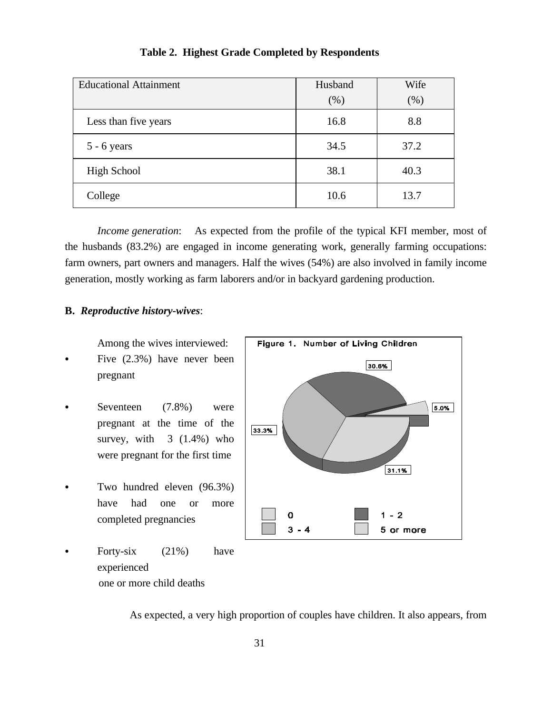| <b>Educational Attainment</b> | Husband | Wife    |
|-------------------------------|---------|---------|
|                               | (% )    | $(\% )$ |
| Less than five years          | 16.8    | 8.8     |
| $5 - 6$ years                 | 34.5    | 37.2    |
| <b>High School</b>            | 38.1    | 40.3    |
| College                       | 10.6    | 13.7    |

## **Table 2. Highest Grade Completed by Respondents**

*Income generation*: As expected from the profile of the typical KFI member, most of the husbands (83.2%) are engaged in income generating work, generally farming occupations: farm owners, part owners and managers. Half the wives (54%) are also involved in family income generation, mostly working as farm laborers and/or in backyard gardening production.

## **B.** *Reproductive history-wives*:

Among the wives interviewed:

- $\bullet$  Five  $(2.3\%)$  have never been pregnant
- Seventeen  $(7.8\%)$  were pregnant at the time of the survey, with  $3(1.4\%)$  who were pregnant for the first time
- Two hundred eleven  $(96.3\%)$ have had one or more completed pregnancies
- Forty-six  $(21\%)$  have experienced one or more child deaths



As expected, a very high proportion of couples have children. It also appears, from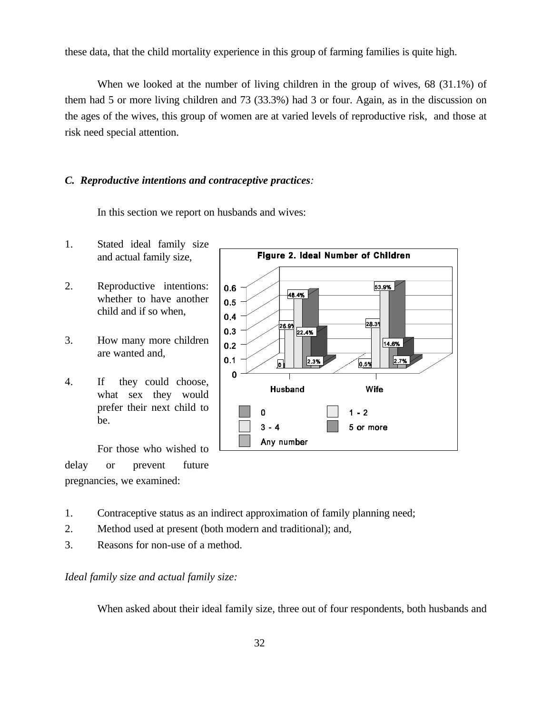these data, that the child mortality experience in this group of farming families is quite high.

When we looked at the number of living children in the group of wives, 68 (31.1%) of them had 5 or more living children and 73 (33.3%) had 3 or four. Again, as in the discussion on the ages of the wives, this group of women are at varied levels of reproductive risk, and those at risk need special attention.

## *C. Reproductive intentions and contraceptive practices:*

In this section we report on husbands and wives:

- 1. Stated ideal family size and actual family size,
- 2. Reproductive intentions: whether to have another child and if so when,
- 3. How many more children are wanted and,
- 4. If they could choose, what sex they would prefer their next child to be.



For those who wished to delay or prevent future pregnancies, we examined:

- 1. Contraceptive status as an indirect approximation of family planning need;
- 2. Method used at present (both modern and traditional); and,
- 3. Reasons for non-use of a method.

*Ideal family size and actual family size:*

When asked about their ideal family size, three out of four respondents, both husbands and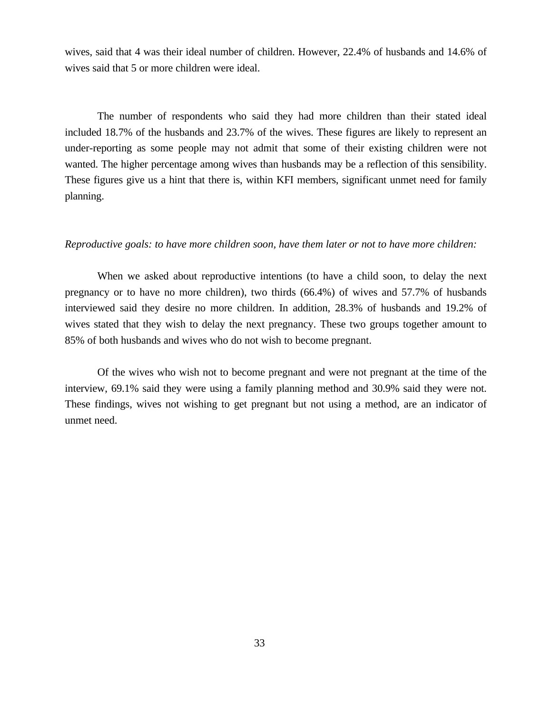wives, said that 4 was their ideal number of children. However, 22.4% of husbands and 14.6% of wives said that 5 or more children were ideal.

The number of respondents who said they had more children than their stated ideal included 18.7% of the husbands and 23.7% of the wives. These figures are likely to represent an under-reporting as some people may not admit that some of their existing children were not wanted. The higher percentage among wives than husbands may be a reflection of this sensibility. These figures give us a hint that there is, within KFI members, significant unmet need for family planning.

#### *Reproductive goals: to have more children soon, have them later or not to have more children:*

When we asked about reproductive intentions (to have a child soon, to delay the next pregnancy or to have no more children), two thirds (66.4%) of wives and 57.7% of husbands interviewed said they desire no more children. In addition, 28.3% of husbands and 19.2% of wives stated that they wish to delay the next pregnancy. These two groups together amount to 85% of both husbands and wives who do not wish to become pregnant.

Of the wives who wish not to become pregnant and were not pregnant at the time of the interview, 69.1% said they were using a family planning method and 30.9% said they were not. These findings, wives not wishing to get pregnant but not using a method, are an indicator of unmet need.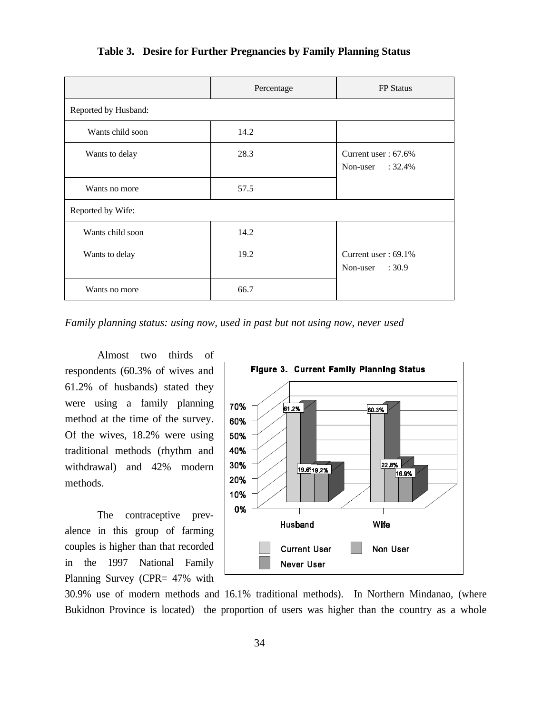|                      | Percentage | <b>FP</b> Status                               |
|----------------------|------------|------------------------------------------------|
| Reported by Husband: |            |                                                |
| Wants child soon     | 14.2       |                                                |
| Wants to delay       | 28.3       | Current user : $67.6\%$<br>Non-user : $32.4\%$ |
| Wants no more        | 57.5       |                                                |
| Reported by Wife:    |            |                                                |
| Wants child soon     | 14.2       |                                                |
| Wants to delay       | 19.2       | Current user : $69.1\%$<br>Non-user<br>:30.9   |
| Wants no more        | 66.7       |                                                |

**Table 3. Desire for Further Pregnancies by Family Planning Status**

*Family planning status: using now, used in past but not using now, never used*

Almost two thirds of respondents (60.3% of wives and 61.2% of husbands) stated they were using a family planning method at the time of the survey. Of the wives, 18.2% were using traditional methods (rhythm and withdrawal) and 42% modern methods.

The contraceptive prevalence in this group of farming couples is higher than that recorded in the 1997 National Family Planning Survey (CPR= 47% with



30.9% use of modern methods and 16.1% traditional methods). In Northern Mindanao, (where Bukidnon Province is located) the proportion of users was higher than the country as a whole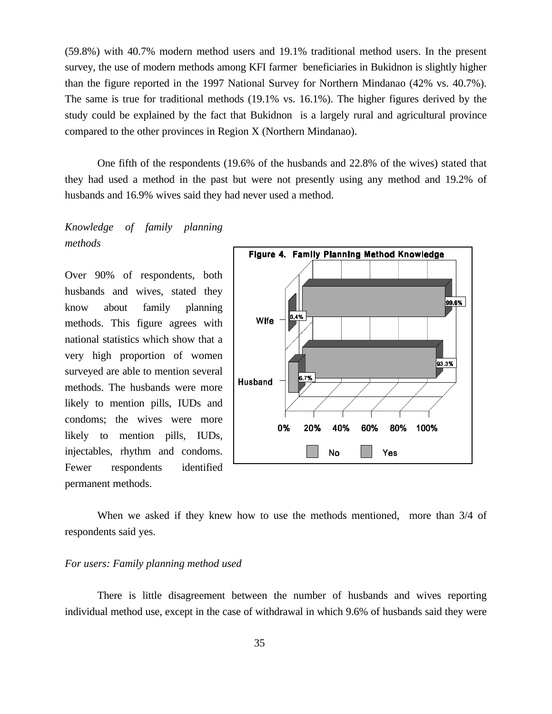(59.8%) with 40.7% modern method users and 19.1% traditional method users. In the present survey, the use of modern methods among KFI farmer beneficiaries in Bukidnon is slightly higher than the figure reported in the 1997 National Survey for Northern Mindanao (42% vs. 40.7%). The same is true for traditional methods (19.1% vs. 16.1%). The higher figures derived by the study could be explained by the fact that Bukidnon is a largely rural and agricultural province compared to the other provinces in Region X (Northern Mindanao).

One fifth of the respondents (19.6% of the husbands and 22.8% of the wives) stated that they had used a method in the past but were not presently using any method and 19.2% of husbands and 16.9% wives said they had never used a method.

*Knowledge of family planning methods*

Over 90% of respondents, both husbands and wives, stated they know about family planning methods. This figure agrees with national statistics which show that a very high proportion of women surveyed are able to mention several methods. The husbands were more likely to mention pills, IUDs and condoms; the wives were more likely to mention pills, IUDs, injectables, rhythm and condoms. Fewer respondents identified permanent methods.



When we asked if they knew how to use the methods mentioned, more than 3/4 of respondents said yes.

#### *For users: Family planning method used*

There is little disagreement between the number of husbands and wives reporting individual method use, except in the case of withdrawal in which 9.6% of husbands said they were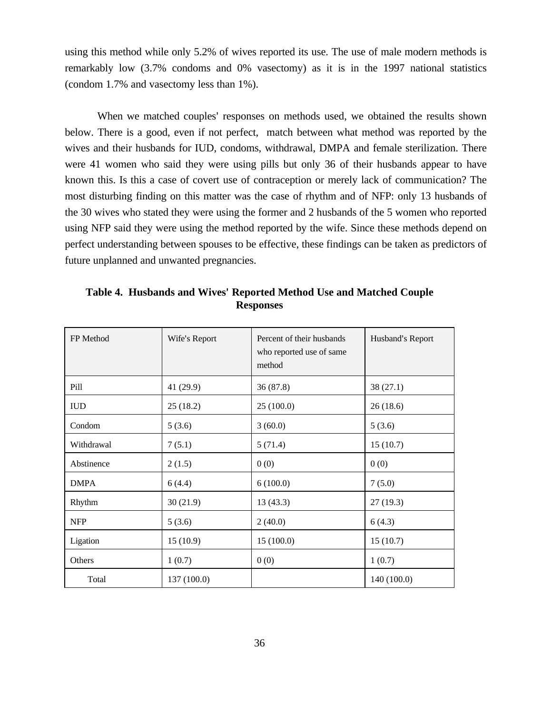using this method while only 5.2% of wives reported its use. The use of male modern methods is remarkably low (3.7% condoms and 0% vasectomy) as it is in the 1997 national statistics (condom 1.7% and vasectomy less than 1%).

When we matched couples' responses on methods used, we obtained the results shown below. There is a good, even if not perfect, match between what method was reported by the wives and their husbands for IUD, condoms, withdrawal, DMPA and female sterilization. There were 41 women who said they were using pills but only 36 of their husbands appear to have known this. Is this a case of covert use of contraception or merely lack of communication? The most disturbing finding on this matter was the case of rhythm and of NFP: only 13 husbands of the 30 wives who stated they were using the former and 2 husbands of the 5 women who reported using NFP said they were using the method reported by the wife. Since these methods depend on perfect understanding between spouses to be effective, these findings can be taken as predictors of future unplanned and unwanted pregnancies.

| FP Method   | Wife's Report | Percent of their husbands<br>who reported use of same<br>method | Husband's Report |
|-------------|---------------|-----------------------------------------------------------------|------------------|
| Pill        | 41 (29.9)     | 36(87.8)                                                        | 38 (27.1)        |
| <b>IUD</b>  | 25(18.2)      | 25(100.0)                                                       | 26(18.6)         |
| Condom      | 5(3.6)        | 3(60.0)                                                         | 5(3.6)           |
| Withdrawal  | 7(5.1)        | 5(71.4)                                                         | 15(10.7)         |
| Abstinence  | 2(1.5)        | 0(0)                                                            | 0(0)             |
| <b>DMPA</b> | 6(4.4)        | 6(100.0)                                                        | 7(5.0)           |
| Rhythm      | 30(21.9)      | 13(43.3)                                                        | 27(19.3)         |
| <b>NFP</b>  | 5(3.6)        | 2(40.0)                                                         | 6(4.3)           |
| Ligation    | 15(10.9)      | 15(100.0)                                                       | 15(10.7)         |
| Others      | 1(0.7)        | 0(0)                                                            | 1(0.7)           |
| Total       | 137 (100.0)   |                                                                 | 140 (100.0)      |

**Table 4. Husbands and Wives**= **Reported Method Use and Matched Couple Responses**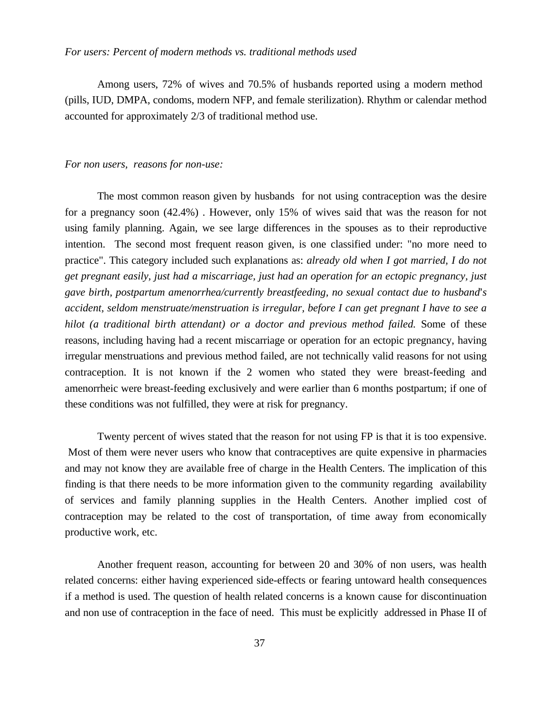#### *For users: Percent of modern methods vs. traditional methods used*

Among users, 72% of wives and 70.5% of husbands reported using a modern method (pills, IUD, DMPA, condoms, modern NFP, and female sterilization). Rhythm or calendar method accounted for approximately 2/3 of traditional method use.

#### *For non users, reasons for non-use:*

The most common reason given by husbands for not using contraception was the desire for a pregnancy soon (42.4%) . However, only 15% of wives said that was the reason for not using family planning. Again, we see large differences in the spouses as to their reproductive intention. The second most frequent reason given, is one classified under: "no more need to practice". This category included such explanations as: *already old when I got married, I do not get pregnant easily, just had a miscarriage, just had an operation for an ectopic pregnancy, just gave birth, postpartum amenorrhea/currently breastfeeding, no sexual contact due to husband=s accident, seldom menstruate/menstruation is irregular, before I can get pregnant I have to see a hilot (a traditional birth attendant) or a doctor and previous method failed.* Some of these reasons, including having had a recent miscarriage or operation for an ectopic pregnancy, having irregular menstruations and previous method failed, are not technically valid reasons for not using contraception. It is not known if the 2 women who stated they were breast-feeding and amenorrheic were breast-feeding exclusively and were earlier than 6 months postpartum; if one of these conditions was not fulfilled, they were at risk for pregnancy.

Twenty percent of wives stated that the reason for not using FP is that it is too expensive. Most of them were never users who know that contraceptives are quite expensive in pharmacies and may not know they are available free of charge in the Health Centers. The implication of this finding is that there needs to be more information given to the community regarding availability of services and family planning supplies in the Health Centers. Another implied cost of contraception may be related to the cost of transportation, of time away from economically productive work, etc.

Another frequent reason, accounting for between 20 and 30% of non users, was health related concerns: either having experienced side-effects or fearing untoward health consequences if a method is used. The question of health related concerns is a known cause for discontinuation and non use of contraception in the face of need. This must be explicitly addressed in Phase II of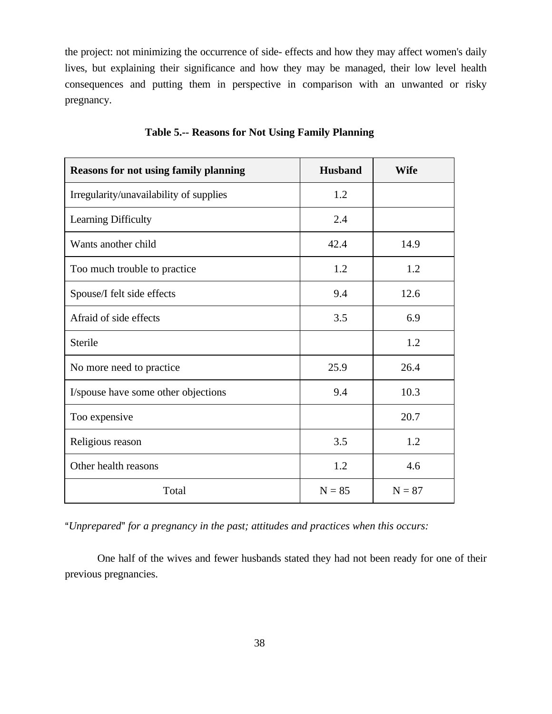the project: not minimizing the occurrence of side- effects and how they may affect women's daily lives, but explaining their significance and how they may be managed, their low level health consequences and putting them in perspective in comparison with an unwanted or risky pregnancy.

| <b>Reasons for not using family planning</b> | <b>Husband</b> | <b>Wife</b> |
|----------------------------------------------|----------------|-------------|
| Irregularity/unavailability of supplies      | 1.2            |             |
| Learning Difficulty                          | 2.4            |             |
| Wants another child                          | 42.4           | 14.9        |
| Too much trouble to practice                 | 1.2            | 1.2         |
| Spouse/I felt side effects                   | 9.4            | 12.6        |
| Afraid of side effects                       | 3.5            | 6.9         |
| Sterile                                      |                | 1.2         |
| No more need to practice                     | 25.9           | 26.4        |
| I/spouse have some other objections          | 9.4            | 10.3        |
| Too expensive                                |                | 20.7        |
| Religious reason                             | 3.5            | 1.2         |
| Other health reasons                         | 1.2            | 4.6         |
| Total                                        | $N = 85$       | $N = 87$    |

**Table 5.-- Reasons for Not Using Family Planning**

*AUnprepared@ for a pregnancy in the past; attitudes and practices when this occurs:*

One half of the wives and fewer husbands stated they had not been ready for one of their previous pregnancies.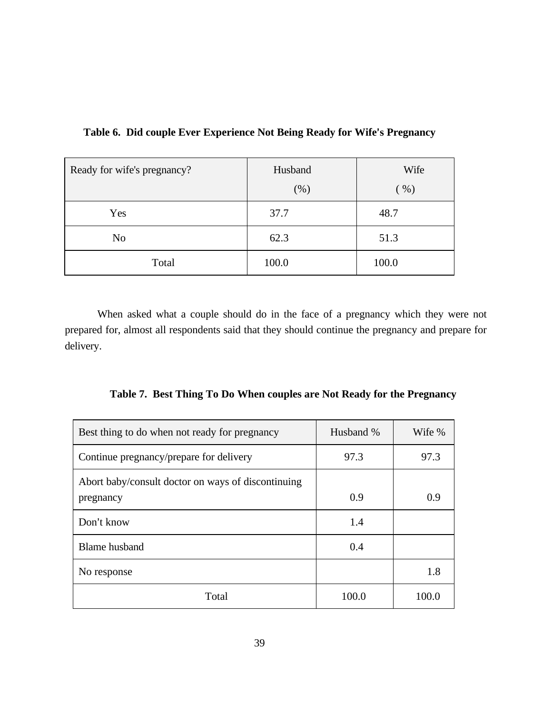| Ready for wife's pregnancy? | Husband<br>$(\%)$ | Wife<br>(96) |
|-----------------------------|-------------------|--------------|
| Yes                         | 37.7              | 48.7         |
| N <sub>o</sub>              | 62.3              | 51.3         |
| Total                       | 100.0             | 100.0        |

Table 6. Did couple Ever Experience Not Being Ready for Wife's Pregnancy

When asked what a couple should do in the face of a pregnancy which they were not prepared for, almost all respondents said that they should continue the pregnancy and prepare for delivery.

|  |  | Table 7. Best Thing To Do When couples are Not Ready for the Pregnancy |  |  |
|--|--|------------------------------------------------------------------------|--|--|
|--|--|------------------------------------------------------------------------|--|--|

| Best thing to do when not ready for pregnancy                   | Husband % | Wife % |
|-----------------------------------------------------------------|-----------|--------|
| Continue pregnancy/prepare for delivery                         | 97.3      | 97.3   |
| Abort baby/consult doctor on ways of discontinuing<br>pregnancy | 0.9       | 0.9    |
| Don't know                                                      | 1.4       |        |
| <b>Blame</b> husband                                            | 0.4       |        |
| No response                                                     |           | 1.8    |
| Total                                                           | 100.0     | 100.0  |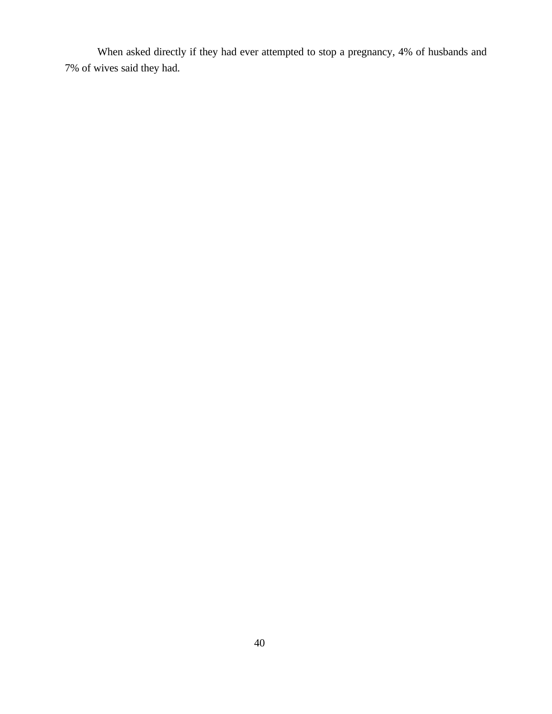When asked directly if they had ever attempted to stop a pregnancy, 4% of husbands and 7% of wives said they had.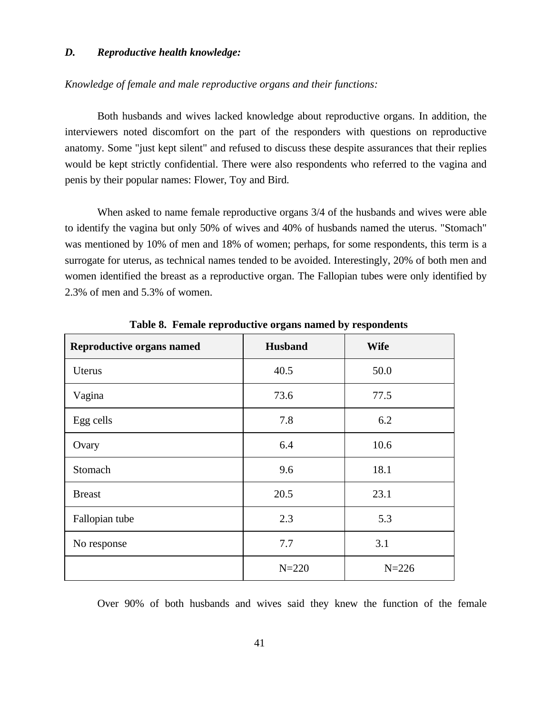#### *D. Reproductive health knowledge:*

#### *Knowledge of female and male reproductive organs and their functions:*

Both husbands and wives lacked knowledge about reproductive organs. In addition, the interviewers noted discomfort on the part of the responders with questions on reproductive anatomy. Some "just kept silent" and refused to discuss these despite assurances that their replies would be kept strictly confidential. There were also respondents who referred to the vagina and penis by their popular names: Flower, Toy and Bird.

When asked to name female reproductive organs 3/4 of the husbands and wives were able to identify the vagina but only 50% of wives and 40% of husbands named the uterus. "Stomach" was mentioned by 10% of men and 18% of women; perhaps, for some respondents, this term is a surrogate for uterus, as technical names tended to be avoided. Interestingly, 20% of both men and women identified the breast as a reproductive organ. The Fallopian tubes were only identified by 2.3% of men and 5.3% of women.

| <b>Reproductive organs named</b> | <b>Husband</b> | <b>Wife</b> |
|----------------------------------|----------------|-------------|
| Uterus                           | 40.5           | 50.0        |
| Vagina                           | 73.6           | 77.5        |
| Egg cells                        | 7.8            | 6.2         |
| Ovary                            | 6.4            | 10.6        |
| Stomach                          | 9.6            | 18.1        |
| <b>Breast</b>                    | 20.5           | 23.1        |
| Fallopian tube                   | 2.3            | 5.3         |
| No response                      | 7.7            | 3.1         |
|                                  | $N = 220$      | $N = 226$   |

**Table 8. Female reproductive organs named by respondents**

Over 90% of both husbands and wives said they knew the function of the female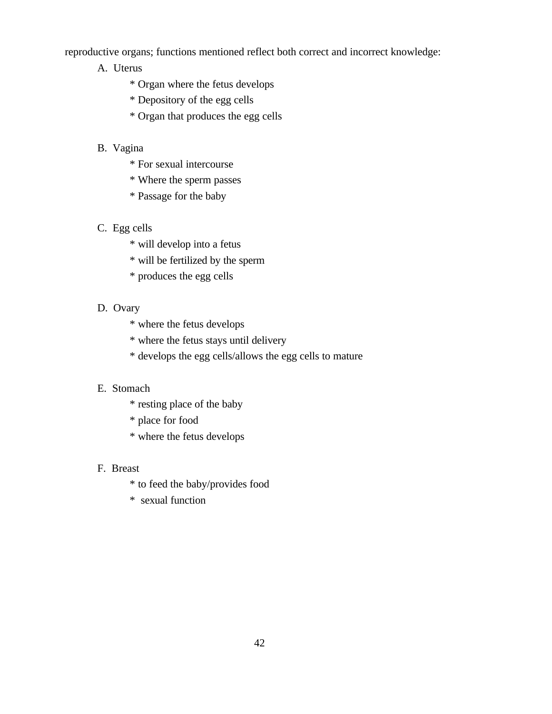reproductive organs; functions mentioned reflect both correct and incorrect knowledge:

- A. Uterus
	- \* Organ where the fetus develops
	- \* Depository of the egg cells
	- \* Organ that produces the egg cells

## B. Vagina

- \* For sexual intercourse
- \* Where the sperm passes
- \* Passage for the baby
- C. Egg cells
	- \* will develop into a fetus
	- \* will be fertilized by the sperm
	- \* produces the egg cells

### D. Ovary

- \* where the fetus develops
- \* where the fetus stays until delivery
- \* develops the egg cells/allows the egg cells to mature

## E. Stomach

- \* resting place of the baby
- \* place for food
- \* where the fetus develops

#### F. Breast

- \* to feed the baby/provides food
- \* sexual function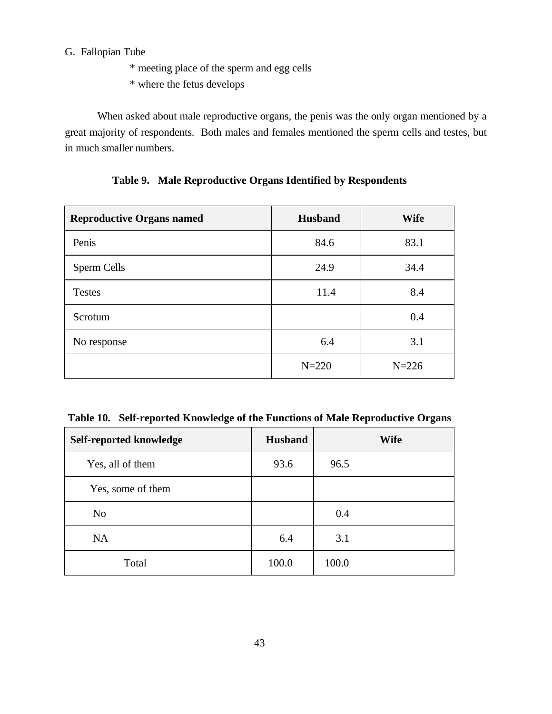## G. Fallopian Tube

- \* meeting place of the sperm and egg cells
- \* where the fetus develops

When asked about male reproductive organs, the penis was the only organ mentioned by a great majority of respondents. Both males and females mentioned the sperm cells and testes, but in much smaller numbers.

| <b>Reproductive Organs named</b> | <b>Husband</b> | <b>Wife</b> |
|----------------------------------|----------------|-------------|
| Penis                            | 84.6           | 83.1        |
| Sperm Cells                      | 24.9           | 34.4        |
| <b>Testes</b>                    | 11.4           | 8.4         |
| Scrotum                          |                | 0.4         |
| No response                      | 6.4            | 3.1         |
|                                  | $N = 220$      | $N = 226$   |

**Table 9. Male Reproductive Organs Identified by Respondents**

**Table 10. Self-reported Knowledge of the Functions of Male Reproductive Organs**

| Self-reported knowledge | <b>Husband</b> | <b>Wife</b> |
|-------------------------|----------------|-------------|
| Yes, all of them        | 93.6           | 96.5        |
| Yes, some of them       |                |             |
| N <sub>o</sub>          |                | 0.4         |
| <b>NA</b>               | 6.4            | 3.1         |
| Total                   | 100.0          | 100.0       |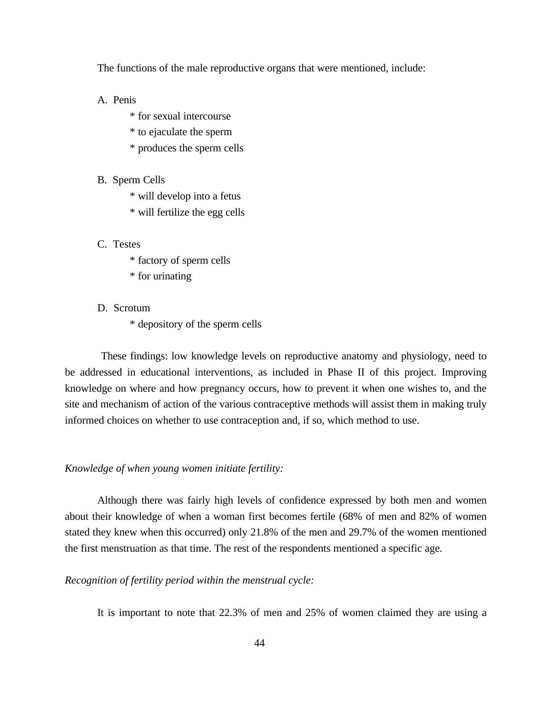The functions of the male reproductive organs that were mentioned, include:

#### A. Penis

- \* for sexual intercourse
- \* to ejaculate the sperm
- \* produces the sperm cells

#### B. Sperm Cells

- \* will develop into a fetus
- \* will fertilize the egg cells

### C. Testes

- \* factory of sperm cells
- \* for urinating
- D. Scrotum
	- \* depository of the sperm cells

 These findings: low knowledge levels on reproductive anatomy and physiology, need to be addressed in educational interventions, as included in Phase II of this project. Improving knowledge on where and how pregnancy occurs, how to prevent it when one wishes to, and the site and mechanism of action of the various contraceptive methods will assist them in making truly informed choices on whether to use contraception and, if so, which method to use.

#### *Knowledge of when young women initiate fertility:*

Although there was fairly high levels of confidence expressed by both men and women about their knowledge of when a woman first becomes fertile (68% of men and 82% of women stated they knew when this occurred) only 21.8% of the men and 29.7% of the women mentioned the first menstruation as that time. The rest of the respondents mentioned a specific age.

*Recognition of fertility period within the menstrual cycle:*

It is important to note that 22.3% of men and 25% of women claimed they are using a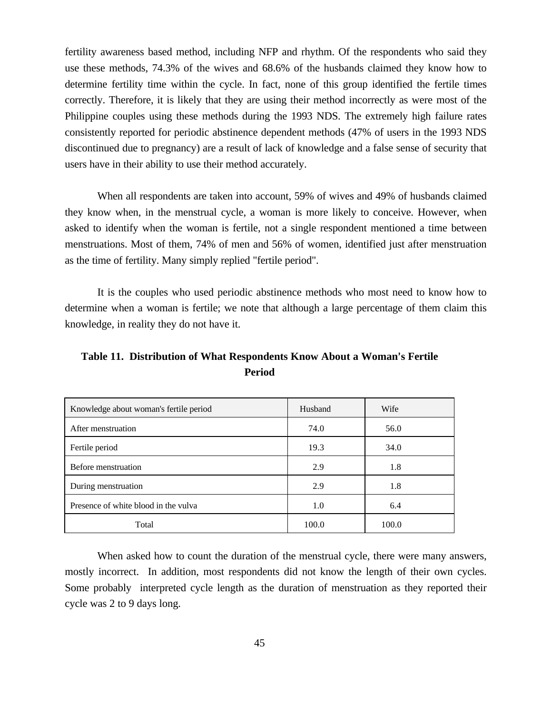fertility awareness based method, including NFP and rhythm. Of the respondents who said they use these methods, 74.3% of the wives and 68.6% of the husbands claimed they know how to determine fertility time within the cycle. In fact, none of this group identified the fertile times correctly. Therefore, it is likely that they are using their method incorrectly as were most of the Philippine couples using these methods during the 1993 NDS. The extremely high failure rates consistently reported for periodic abstinence dependent methods (47% of users in the 1993 NDS discontinued due to pregnancy) are a result of lack of knowledge and a false sense of security that users have in their ability to use their method accurately.

When all respondents are taken into account, 59% of wives and 49% of husbands claimed they know when, in the menstrual cycle, a woman is more likely to conceive. However, when asked to identify when the woman is fertile, not a single respondent mentioned a time between menstruations. Most of them, 74% of men and 56% of women, identified just after menstruation as the time of fertility. Many simply replied "fertile period".

It is the couples who used periodic abstinence methods who most need to know how to determine when a woman is fertile; we note that although a large percentage of them claim this knowledge, in reality they do not have it.

Table 11. Distribution of What Respondents Know About a Woman's Fertile **Period**

| Knowledge about woman's fertile period | Husband | Wife  |
|----------------------------------------|---------|-------|
| After menstruation                     | 74.0    | 56.0  |
| Fertile period                         | 19.3    | 34.0  |
| Before menstruation                    | 2.9     | 1.8   |
| During menstruation                    | 2.9     | 1.8   |
| Presence of white blood in the vulva   | 1.0     | 6.4   |
| Total                                  | 100.0   | 100.0 |

When asked how to count the duration of the menstrual cycle, there were many answers, mostly incorrect. In addition, most respondents did not know the length of their own cycles. Some probably interpreted cycle length as the duration of menstruation as they reported their cycle was 2 to 9 days long.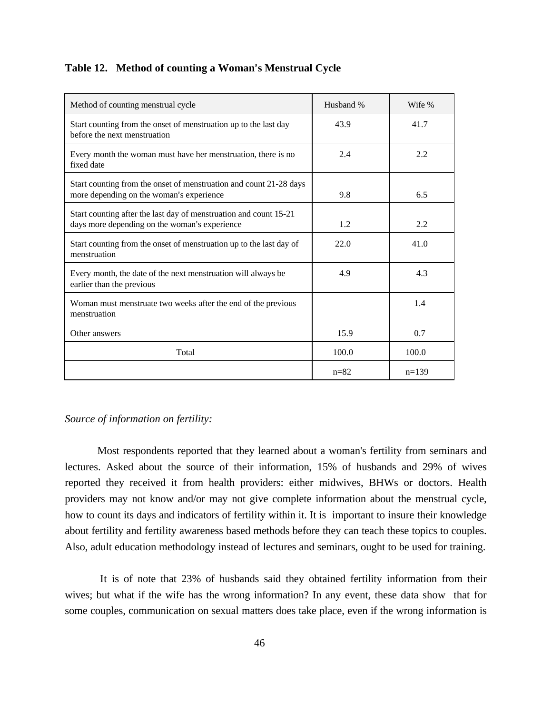#### Table 12. Method of counting a Woman's Menstrual Cycle

| Method of counting menstrual cycle                                                                                 | Husband % | Wife %  |
|--------------------------------------------------------------------------------------------------------------------|-----------|---------|
| Start counting from the onset of menstruation up to the last day<br>before the next menstruation                   | 43.9      | 41.7    |
| Every month the woman must have her menstruation, there is no<br>fixed date                                        | 2.4       | 2.2     |
| Start counting from the onset of menstruation and count 21-28 days<br>more depending on the woman's experience     | 9.8       | 6.5     |
| Start counting after the last day of menstruation and count 15-21<br>days more depending on the woman's experience | 1.2.      | 2.2.    |
| Start counting from the onset of menstruation up to the last day of<br>menstruation                                | 22.0      | 41.0    |
| Every month, the date of the next menstruation will always be<br>earlier than the previous                         | 4.9       | 4.3     |
| Woman must menstruate two weeks after the end of the previous<br>menstruation                                      |           | 1.4     |
| Other answers                                                                                                      | 15.9      | 0.7     |
| Total                                                                                                              | 100.0     | 100.0   |
|                                                                                                                    | $n = 82$  | $n=139$ |

#### *Source of information on fertility:*

Most respondents reported that they learned about a woman's fertility from seminars and lectures. Asked about the source of their information, 15% of husbands and 29% of wives reported they received it from health providers: either midwives, BHWs or doctors. Health providers may not know and/or may not give complete information about the menstrual cycle, how to count its days and indicators of fertility within it. It is important to insure their knowledge about fertility and fertility awareness based methods before they can teach these topics to couples. Also, adult education methodology instead of lectures and seminars, ought to be used for training.

 It is of note that 23% of husbands said they obtained fertility information from their wives; but what if the wife has the wrong information? In any event, these data show that for some couples, communication on sexual matters does take place, even if the wrong information is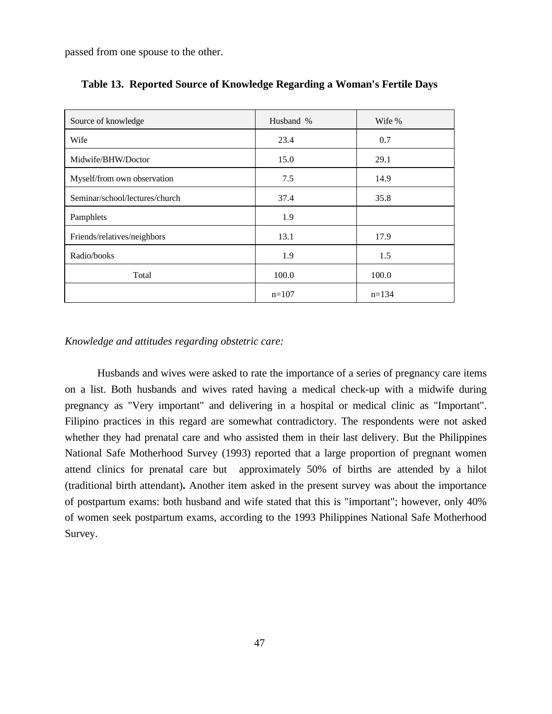passed from one spouse to the other.

| Source of knowledge            | Husband % | Wife %  |
|--------------------------------|-----------|---------|
| Wife                           | 23.4      | 0.7     |
| Midwife/BHW/Doctor             | 15.0      | 29.1    |
| Myself/from own observation    | 7.5       | 14.9    |
| Seminar/school/lectures/church | 37.4      | 35.8    |
| Pamphlets                      | 1.9       |         |
| Friends/relatives/neighbors    | 13.1      | 17.9    |
| Radio/books                    | 1.9       | 1.5     |
| Total                          | 100.0     | 100.0   |
|                                | $n=107$   | $n=134$ |

| Table 13. Reported Source of Knowledge Regarding a Woman's Fertile Days |  |  |  |  |
|-------------------------------------------------------------------------|--|--|--|--|
|                                                                         |  |  |  |  |

*Knowledge and attitudes regarding obstetric care:*

Husbands and wives were asked to rate the importance of a series of pregnancy care items on a list. Both husbands and wives rated having a medical check-up with a midwife during pregnancy as "Very important" and delivering in a hospital or medical clinic as "Important". Filipino practices in this regard are somewhat contradictory. The respondents were not asked whether they had prenatal care and who assisted them in their last delivery. But the Philippines National Safe Motherhood Survey (1993) reported that a large proportion of pregnant women attend clinics for prenatal care but approximately 50% of births are attended by a hilot (traditional birth attendant)**.** Another item asked in the present survey was about the importance of postpartum exams: both husband and wife stated that this is "important"; however, only 40% of women seek postpartum exams, according to the 1993 Philippines National Safe Motherhood Survey.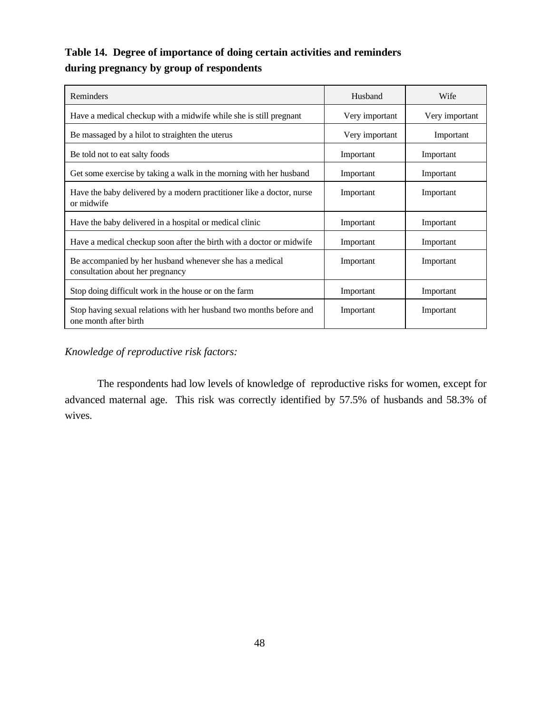# **Table 14. Degree of importance of doing certain activities and reminders during pregnancy by group of respondents**

| Reminders                                                                                    | Husband        | Wife           |
|----------------------------------------------------------------------------------------------|----------------|----------------|
| Have a medical checkup with a midwife while she is still pregnant                            | Very important | Very important |
| Be massaged by a hilot to straighten the uterus                                              | Very important | Important      |
| Be told not to eat salty foods                                                               | Important      | Important      |
| Get some exercise by taking a walk in the morning with her husband                           | Important      | Important      |
| Have the baby delivered by a modern practitioner like a doctor, nurse<br>or midwife          | Important      | Important      |
| Have the baby delivered in a hospital or medical clinic                                      | Important      | Important      |
| Have a medical checkup soon after the birth with a doctor or midwife                         | Important      | Important      |
| Be accompanied by her husband whenever she has a medical<br>consultation about her pregnancy | Important      | Important      |
| Stop doing difficult work in the house or on the farm                                        | Important      | Important      |
| Stop having sexual relations with her husband two months before and<br>one month after birth | Important      | Important      |

*Knowledge of reproductive risk factors:*

The respondents had low levels of knowledge of reproductive risks for women, except for advanced maternal age. This risk was correctly identified by 57.5% of husbands and 58.3% of wives.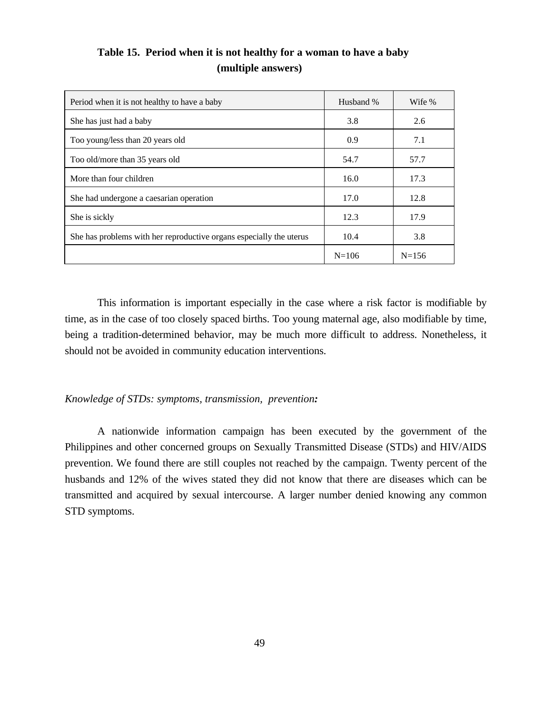| Period when it is not healthy to have a baby                        | Husband % | Wife %    |
|---------------------------------------------------------------------|-----------|-----------|
| She has just had a baby                                             | 3.8       | 2.6       |
| Too young/less than 20 years old                                    | 0.9       | 7.1       |
| Too old/more than 35 years old                                      | 54.7      | 57.7      |
| More than four children                                             | 16.0      | 17.3      |
| She had undergone a caesarian operation                             | 17.0      | 12.8      |
| She is sickly                                                       | 12.3      | 17.9      |
| She has problems with her reproductive organs especially the uterus | 10.4      | 3.8       |
|                                                                     | $N = 106$ | $N = 156$ |

**Table 15. Period when it is not healthy for a woman to have a baby (multiple answers)**

This information is important especially in the case where a risk factor is modifiable by time, as in the case of too closely spaced births. Too young maternal age, also modifiable by time, being a tradition-determined behavior, may be much more difficult to address. Nonetheless, it should not be avoided in community education interventions.

#### *Knowledge of STDs: symptoms, transmission, prevention:*

A nationwide information campaign has been executed by the government of the Philippines and other concerned groups on Sexually Transmitted Disease (STDs) and HIV/AIDS prevention. We found there are still couples not reached by the campaign. Twenty percent of the husbands and 12% of the wives stated they did not know that there are diseases which can be transmitted and acquired by sexual intercourse. A larger number denied knowing any common STD symptoms.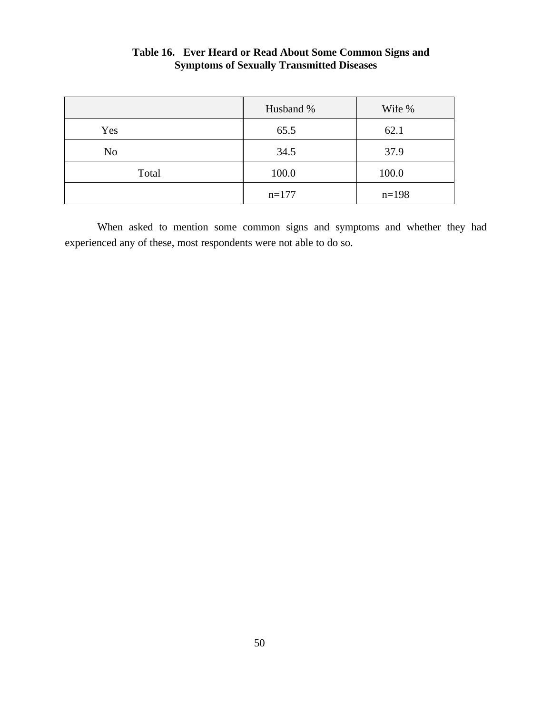|                | Husband % | Wife %  |
|----------------|-----------|---------|
| Yes            | 65.5      | 62.1    |
| N <sub>o</sub> | 34.5      | 37.9    |
| Total          | 100.0     | 100.0   |
|                | $n=177$   | $n=198$ |

## **Table 16. Ever Heard or Read About Some Common Signs and Symptoms of Sexually Transmitted Diseases**

When asked to mention some common signs and symptoms and whether they had experienced any of these, most respondents were not able to do so.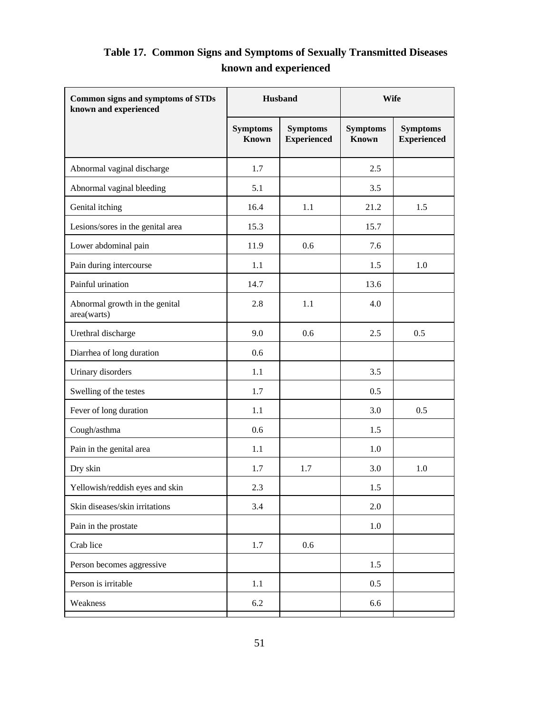# **Table 17. Common Signs and Symptoms of Sexually Transmitted Diseases known and experienced**

| <b>Common signs and symptoms of STDs</b><br>known and experienced | Husband                         |                                       | <b>Wife</b>                     |                                       |
|-------------------------------------------------------------------|---------------------------------|---------------------------------------|---------------------------------|---------------------------------------|
|                                                                   | <b>Symptoms</b><br><b>Known</b> | <b>Symptoms</b><br><b>Experienced</b> | <b>Symptoms</b><br><b>Known</b> | <b>Symptoms</b><br><b>Experienced</b> |
| Abnormal vaginal discharge                                        | 1.7                             |                                       | 2.5                             |                                       |
| Abnormal vaginal bleeding                                         | 5.1                             |                                       | 3.5                             |                                       |
| Genital itching                                                   | 16.4                            | 1.1                                   | 21.2                            | 1.5                                   |
| Lesions/sores in the genital area                                 | 15.3                            |                                       | 15.7                            |                                       |
| Lower abdominal pain                                              | 11.9                            | 0.6                                   | 7.6                             |                                       |
| Pain during intercourse                                           | 1.1                             |                                       | 1.5                             | 1.0                                   |
| Painful urination                                                 | 14.7                            |                                       | 13.6                            |                                       |
| Abnormal growth in the genital<br>area(warts)                     | 2.8                             | 1.1                                   | 4.0                             |                                       |
| Urethral discharge                                                | 9.0                             | 0.6                                   | 2.5                             | 0.5                                   |
| Diarrhea of long duration                                         | 0.6                             |                                       |                                 |                                       |
| Urinary disorders                                                 | 1.1                             |                                       | 3.5                             |                                       |
| Swelling of the testes                                            | 1.7                             |                                       | 0.5                             |                                       |
| Fever of long duration                                            | 1.1                             |                                       | 3.0                             | 0.5                                   |
| Cough/asthma                                                      | 0.6                             |                                       | 1.5                             |                                       |
| Pain in the genital area                                          | 1.1                             |                                       | 1.0                             |                                       |
| Dry skin                                                          | 1.7                             | 1.7                                   | 3.0                             | 1.0                                   |
| Yellowish/reddish eyes and skin                                   | 2.3                             |                                       | 1.5                             |                                       |
| Skin diseases/skin irritations                                    | 3.4                             |                                       | 2.0                             |                                       |
| Pain in the prostate                                              |                                 |                                       | $1.0\,$                         |                                       |
| Crab lice                                                         | 1.7                             | 0.6                                   |                                 |                                       |
| Person becomes aggressive                                         |                                 |                                       | 1.5                             |                                       |
| Person is irritable                                               | 1.1                             |                                       | 0.5                             |                                       |
| Weakness                                                          | 6.2                             |                                       | 6.6                             |                                       |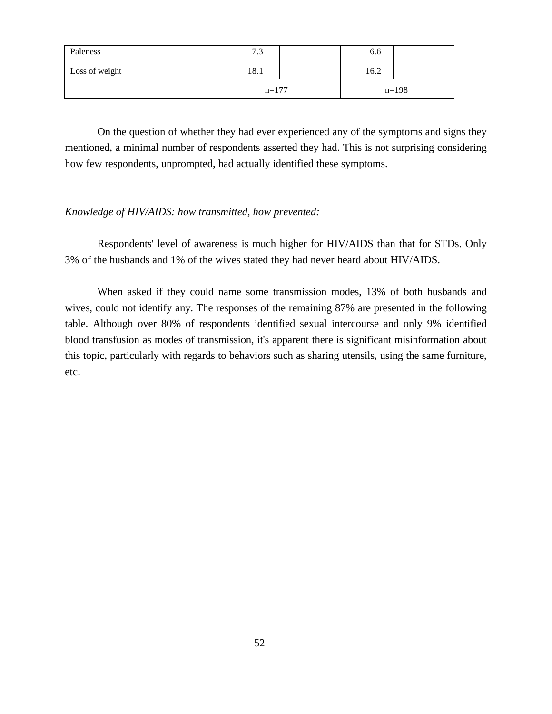| Paleness       | 7 <sub>2</sub><br>ر. ا | 6.6  |         |
|----------------|------------------------|------|---------|
| Loss of weight | 18.1                   | 16.2 |         |
|                | $n=177$                |      | $n=198$ |

On the question of whether they had ever experienced any of the symptoms and signs they mentioned, a minimal number of respondents asserted they had. This is not surprising considering how few respondents, unprompted, had actually identified these symptoms.

#### *Knowledge of HIV/AIDS: how transmitted, how prevented:*

Respondents' level of awareness is much higher for HIV/AIDS than that for STDs. Only 3% of the husbands and 1% of the wives stated they had never heard about HIV/AIDS.

When asked if they could name some transmission modes, 13% of both husbands and wives, could not identify any. The responses of the remaining 87% are presented in the following table. Although over 80% of respondents identified sexual intercourse and only 9% identified blood transfusion as modes of transmission, it's apparent there is significant misinformation about this topic, particularly with regards to behaviors such as sharing utensils, using the same furniture, etc.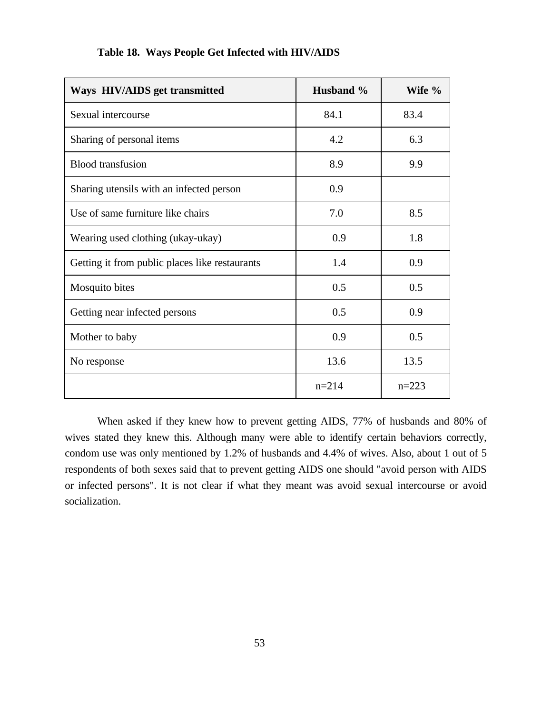| Ways HIV/AIDS get transmitted                  | Husband % | Wife %    |
|------------------------------------------------|-----------|-----------|
| Sexual intercourse                             | 84.1      | 83.4      |
| Sharing of personal items                      | 4.2       | 6.3       |
| <b>Blood transfusion</b>                       | 8.9       | 9.9       |
| Sharing utensils with an infected person       | 0.9       |           |
| Use of same furniture like chairs              | 7.0       | 8.5       |
| Wearing used clothing (ukay-ukay)              | 0.9       | 1.8       |
| Getting it from public places like restaurants | 1.4       | 0.9       |
| Mosquito bites                                 | 0.5       | 0.5       |
| Getting near infected persons                  | 0.5       | 0.9       |
| Mother to baby                                 | 0.9       | 0.5       |
| No response                                    | 13.6      | 13.5      |
|                                                | $n = 214$ | $n = 223$ |

## **Table 18. Ways People Get Infected with HIV/AIDS**

When asked if they knew how to prevent getting AIDS, 77% of husbands and 80% of wives stated they knew this. Although many were able to identify certain behaviors correctly, condom use was only mentioned by 1.2% of husbands and 4.4% of wives. Also, about 1 out of 5 respondents of both sexes said that to prevent getting AIDS one should "avoid person with AIDS or infected persons". It is not clear if what they meant was avoid sexual intercourse or avoid socialization.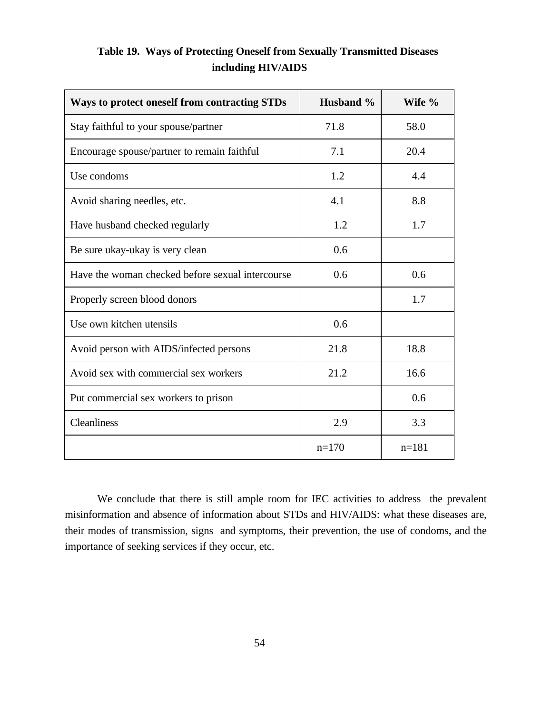| Ways to protect oneself from contracting STDs    | Husband % | Wife %  |
|--------------------------------------------------|-----------|---------|
| Stay faithful to your spouse/partner             | 71.8      | 58.0    |
| Encourage spouse/partner to remain faithful      | 7.1       | 20.4    |
| Use condoms                                      | 1.2       | 4.4     |
| Avoid sharing needles, etc.                      | 4.1       | 8.8     |
| Have husband checked regularly                   | 1.2       | 1.7     |
| Be sure ukay-ukay is very clean                  | 0.6       |         |
| Have the woman checked before sexual intercourse | 0.6       | 0.6     |
| Properly screen blood donors                     |           | 1.7     |
| Use own kitchen utensils                         | 0.6       |         |
| Avoid person with AIDS/infected persons          | 21.8      | 18.8    |
| Avoid sex with commercial sex workers            | 21.2      | 16.6    |
| Put commercial sex workers to prison             |           | 0.6     |
| Cleanliness                                      | 2.9       | 3.3     |
|                                                  | $n=170$   | $n=181$ |

# **Table 19. Ways of Protecting Oneself from Sexually Transmitted Diseases including HIV/AIDS**

We conclude that there is still ample room for IEC activities to address the prevalent misinformation and absence of information about STDs and HIV/AIDS: what these diseases are, their modes of transmission, signs and symptoms, their prevention, the use of condoms, and the importance of seeking services if they occur, etc.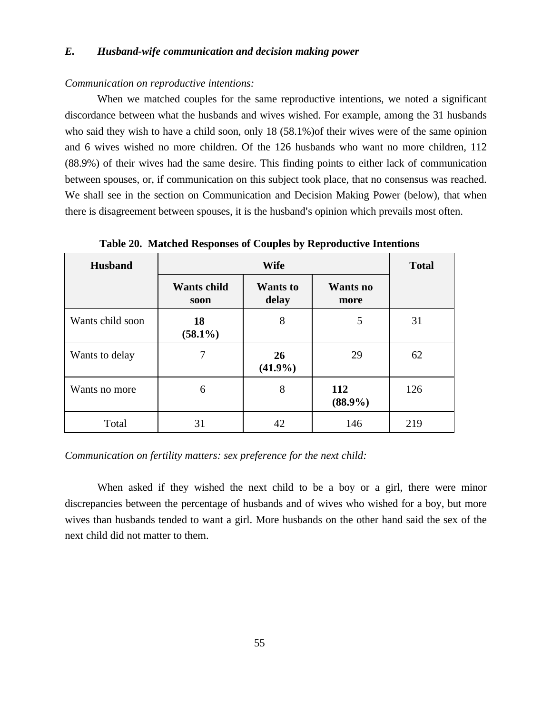#### *E. Husband-wife communication and decision making power*

#### *Communication on reproductive intentions:*

When we matched couples for the same reproductive intentions, we noted a significant discordance between what the husbands and wives wished. For example, among the 31 husbands who said they wish to have a child soon, only 18 (58.1%)of their wives were of the same opinion and 6 wives wished no more children. Of the 126 husbands who want no more children, 112 (88.9%) of their wives had the same desire. This finding points to either lack of communication between spouses, or, if communication on this subject took place, that no consensus was reached. We shall see in the section on Communication and Decision Making Power (below), that when there is disagreement between spouses, it is the husband's opinion which prevails most often.

| <b>Husband</b>   |                            | <b>Total</b>             |                         |     |
|------------------|----------------------------|--------------------------|-------------------------|-----|
|                  | <b>Wants child</b><br>soon | <b>Wants</b> to<br>delay | <b>Wants</b> no<br>more |     |
| Wants child soon | 18<br>$(58.1\%)$           | 8                        | 5                       | 31  |
| Wants to delay   |                            | 26<br>$(41.9\%)$         | 29                      | 62  |
| Wants no more    | 6                          | 8                        | 112<br>$(88.9\%)$       | 126 |
| Total            | 31                         | 42                       | 146                     | 219 |

**Table 20. Matched Responses of Couples by Reproductive Intentions**

#### *Communication on fertility matters: sex preference for the next child:*

When asked if they wished the next child to be a boy or a girl, there were minor discrepancies between the percentage of husbands and of wives who wished for a boy, but more wives than husbands tended to want a girl. More husbands on the other hand said the sex of the next child did not matter to them.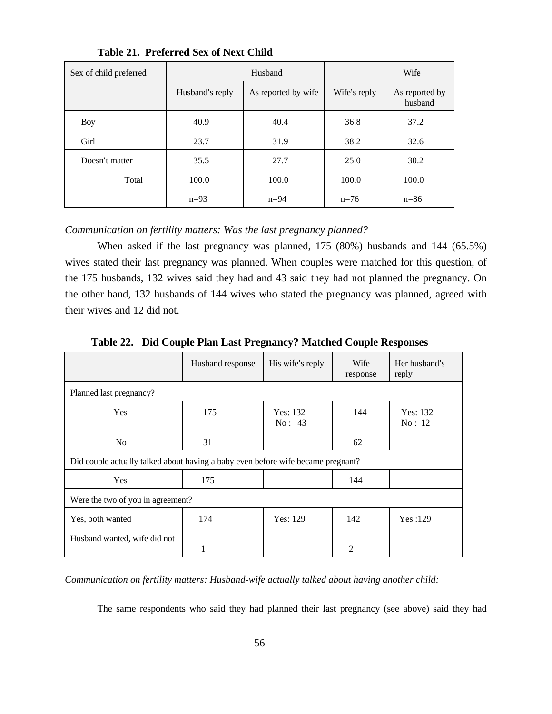| Sex of child preferred |                 | Husband             |              | Wife                      |
|------------------------|-----------------|---------------------|--------------|---------------------------|
|                        | Husband's reply | As reported by wife | Wife's reply | As reported by<br>husband |
| Boy                    | 40.9            | 40.4                | 36.8         | 37.2                      |
| Girl                   | 23.7            | 31.9                | 38.2         | 32.6                      |
| Doesn't matter         | 35.5            | 27.7                | 25.0         | 30.2                      |
| Total                  | 100.0           | 100.0               | 100.0        | 100.0                     |
|                        | $n=93$          | $n=94$              | $n=76$       | $n=86$                    |

**Table 21. Preferred Sex of Next Child**

#### *Communication on fertility matters: Was the last pregnancy planned?*

When asked if the last pregnancy was planned, 175 (80%) husbands and 144 (65.5%) wives stated their last pregnancy was planned. When couples were matched for this question, of the 175 husbands, 132 wives said they had and 43 said they had not planned the pregnancy. On the other hand, 132 husbands of 144 wives who stated the pregnancy was planned, agreed with their wives and 12 did not.

|                                   | Husband response                                                                 | His wife's reply   | Wife<br>response | Her husband's<br>reply |  |
|-----------------------------------|----------------------------------------------------------------------------------|--------------------|------------------|------------------------|--|
| Planned last pregnancy?           |                                                                                  |                    |                  |                        |  |
| Yes                               | 175                                                                              | Yes: 132<br>No: 43 | 144              | Yes: 132<br>No: 12     |  |
| N <sub>0</sub>                    | 31                                                                               |                    | 62               |                        |  |
|                                   | Did couple actually talked about having a baby even before wife became pregnant? |                    |                  |                        |  |
| <b>Yes</b>                        | 175                                                                              |                    | 144              |                        |  |
| Were the two of you in agreement? |                                                                                  |                    |                  |                        |  |
| Yes, both wanted                  | 174                                                                              | Yes: 129           | 142              | Yes:129                |  |
| Husband wanted, wife did not      |                                                                                  |                    | 2                |                        |  |

**Table 22. Did Couple Plan Last Pregnancy? Matched Couple Responses**

*Communication on fertility matters: Husband-wife actually talked about having another child:*

The same respondents who said they had planned their last pregnancy (see above) said they had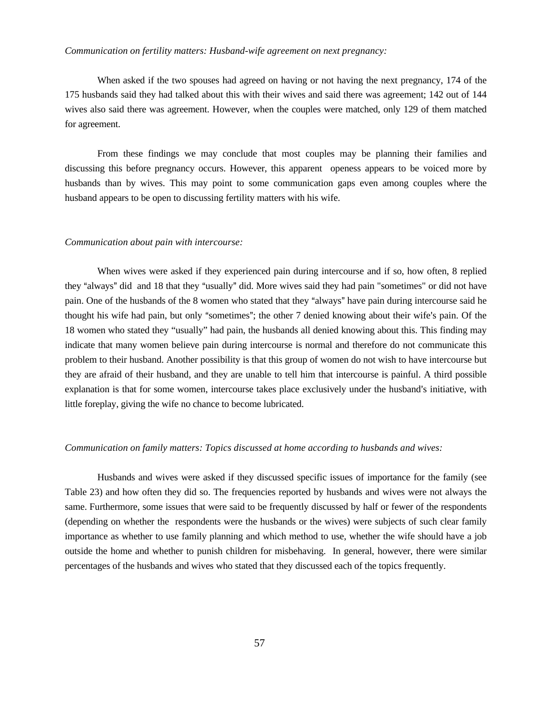#### *Communication on fertility matters: Husband-wife agreement on next pregnancy:*

When asked if the two spouses had agreed on having or not having the next pregnancy, 174 of the 175 husbands said they had talked about this with their wives and said there was agreement; 142 out of 144 wives also said there was agreement. However, when the couples were matched, only 129 of them matched for agreement.

From these findings we may conclude that most couples may be planning their families and discussing this before pregnancy occurs. However, this apparent openess appears to be voiced more by husbands than by wives. This may point to some communication gaps even among couples where the husband appears to be open to discussing fertility matters with his wife.

#### *Communication about pain with intercourse:*

When wives were asked if they experienced pain during intercourse and if so, how often, 8 replied they "always" did and 18 that they "usually" did. More wives said they had pain "sometimes" or did not have pain. One of the husbands of the 8 women who stated that they "always" have pain during intercourse said he thought his wife had pain, but only "sometimes"; the other 7 denied knowing about their wife's pain. Of the 18 women who stated they "usually" had pain, the husbands all denied knowing about this. This finding may indicate that many women believe pain during intercourse is normal and therefore do not communicate this problem to their husband. Another possibility is that this group of women do not wish to have intercourse but they are afraid of their husband, and they are unable to tell him that intercourse is painful. A third possible explanation is that for some women, intercourse takes place exclusively under the husband's initiative, with little foreplay, giving the wife no chance to become lubricated.

#### *Communication on family matters: Topics discussed at home according to husbands and wives:*

Husbands and wives were asked if they discussed specific issues of importance for the family (see Table 23) and how often they did so. The frequencies reported by husbands and wives were not always the same. Furthermore, some issues that were said to be frequently discussed by half or fewer of the respondents (depending on whether the respondents were the husbands or the wives) were subjects of such clear family importance as whether to use family planning and which method to use, whether the wife should have a job outside the home and whether to punish children for misbehaving. In general, however, there were similar percentages of the husbands and wives who stated that they discussed each of the topics frequently.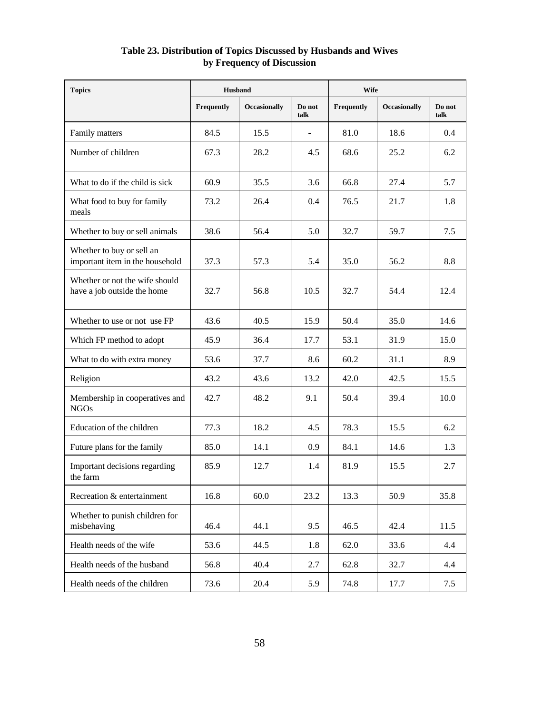#### **Table 23. Distribution of Topics Discussed by Husbands and Wives by Frequency of Discussion**

| <b>Topics</b>                                                 | <b>Husband</b> |              | <b>Wife</b>    |            |                     |                |
|---------------------------------------------------------------|----------------|--------------|----------------|------------|---------------------|----------------|
|                                                               | Frequently     | Occasionally | Do not<br>talk | Frequently | <b>Occasionally</b> | Do not<br>talk |
| Family matters                                                | 84.5           | 15.5         |                | 81.0       | 18.6                | 0.4            |
| Number of children                                            | 67.3           | 28.2         | 4.5            | 68.6       | 25.2                | 6.2            |
| What to do if the child is sick                               | 60.9           | 35.5         | 3.6            | 66.8       | 27.4                | 5.7            |
| What food to buy for family<br>meals                          | 73.2           | 26.4         | 0.4            | 76.5       | 21.7                | 1.8            |
| Whether to buy or sell animals                                | 38.6           | 56.4         | 5.0            | 32.7       | 59.7                | 7.5            |
| Whether to buy or sell an<br>important item in the household  | 37.3           | 57.3         | 5.4            | 35.0       | 56.2                | 8.8            |
| Whether or not the wife should<br>have a job outside the home | 32.7           | 56.8         | 10.5           | 32.7       | 54.4                | 12.4           |
| Whether to use or not use FP                                  | 43.6           | 40.5         | 15.9           | 50.4       | 35.0                | 14.6           |
| Which FP method to adopt                                      | 45.9           | 36.4         | 17.7           | 53.1       | 31.9                | 15.0           |
| What to do with extra money                                   | 53.6           | 37.7         | 8.6            | 60.2       | 31.1                | 8.9            |
| Religion                                                      | 43.2           | 43.6         | 13.2           | 42.0       | 42.5                | 15.5           |
| Membership in cooperatives and<br><b>NGOs</b>                 | 42.7           | 48.2         | 9.1            | 50.4       | 39.4                | 10.0           |
| Education of the children                                     | 77.3           | 18.2         | 4.5            | 78.3       | 15.5                | 6.2            |
| Future plans for the family                                   | 85.0           | 14.1         | 0.9            | 84.1       | 14.6                | 1.3            |
| Important decisions regarding<br>the farm                     | 85.9           | 12.7         | 1.4            | 81.9       | 15.5                | 2.7            |
| Recreation & entertainment                                    | 16.8           | 60.0         | 23.2           | 13.3       | 50.9                | 35.8           |
| Whether to punish children for<br>misbehaving                 | 46.4           | 44.1         | 9.5            | 46.5       | 42.4                | 11.5           |
| Health needs of the wife                                      | 53.6           | 44.5         | 1.8            | 62.0       | 33.6                | 4.4            |
| Health needs of the husband                                   | 56.8           | 40.4         | 2.7            | 62.8       | 32.7                | 4.4            |
| Health needs of the children                                  | 73.6           | 20.4         | 5.9            | 74.8       | 17.7                | 7.5            |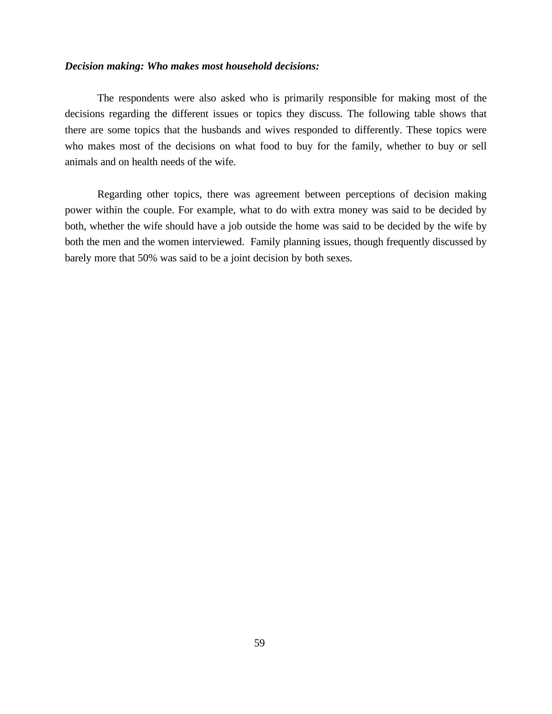#### *Decision making: Who makes most household decisions:*

The respondents were also asked who is primarily responsible for making most of the decisions regarding the different issues or topics they discuss. The following table shows that there are some topics that the husbands and wives responded to differently. These topics were who makes most of the decisions on what food to buy for the family, whether to buy or sell animals and on health needs of the wife.

Regarding other topics, there was agreement between perceptions of decision making power within the couple. For example, what to do with extra money was said to be decided by both, whether the wife should have a job outside the home was said to be decided by the wife by both the men and the women interviewed. Family planning issues, though frequently discussed by barely more that 50% was said to be a joint decision by both sexes.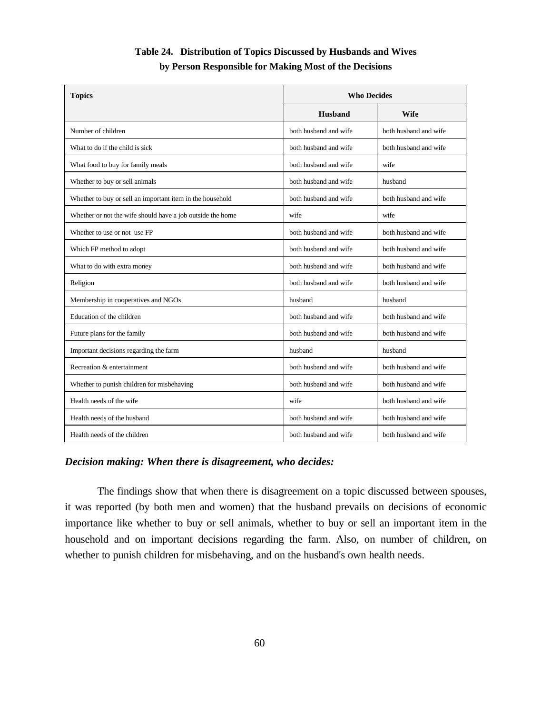| <b>Topics</b>                                              | <b>Who Decides</b>    |                       |  |
|------------------------------------------------------------|-----------------------|-----------------------|--|
|                                                            | Husband               | <b>Wife</b>           |  |
| Number of children                                         | both husband and wife | both husband and wife |  |
| What to do if the child is sick                            | both husband and wife | both husband and wife |  |
| What food to buy for family meals                          | both husband and wife | wife                  |  |
| Whether to buy or sell animals                             | both husband and wife | husband               |  |
| Whether to buy or sell an important item in the household  | both husband and wife | both husband and wife |  |
| Whether or not the wife should have a job outside the home | wife                  | wife                  |  |
| Whether to use or not use FP                               | both husband and wife | both husband and wife |  |
| Which FP method to adopt                                   | both husband and wife | both husband and wife |  |
| What to do with extra money                                | both husband and wife | both husband and wife |  |
| Religion                                                   | both husband and wife | both husband and wife |  |
| Membership in cooperatives and NGOs                        | husband               | husband               |  |
| Education of the children                                  | both husband and wife | both husband and wife |  |
| Future plans for the family                                | both husband and wife | both husband and wife |  |
| Important decisions regarding the farm                     | husband               | husband               |  |
| Recreation & entertainment                                 | both husband and wife | both husband and wife |  |
| Whether to punish children for misbehaving                 | both husband and wife | both husband and wife |  |
| Health needs of the wife                                   | wife                  | both husband and wife |  |
| Health needs of the husband                                | both husband and wife | both husband and wife |  |
| Health needs of the children                               | both husband and wife | both husband and wife |  |

## **Table 24. Distribution of Topics Discussed by Husbands and Wives by Person Responsible for Making Most of the Decisions**

### *Decision making: When there is disagreement, who decides:*

The findings show that when there is disagreement on a topic discussed between spouses, it was reported (by both men and women) that the husband prevails on decisions of economic importance like whether to buy or sell animals, whether to buy or sell an important item in the household and on important decisions regarding the farm. Also, on number of children, on whether to punish children for misbehaving, and on the husband's own health needs.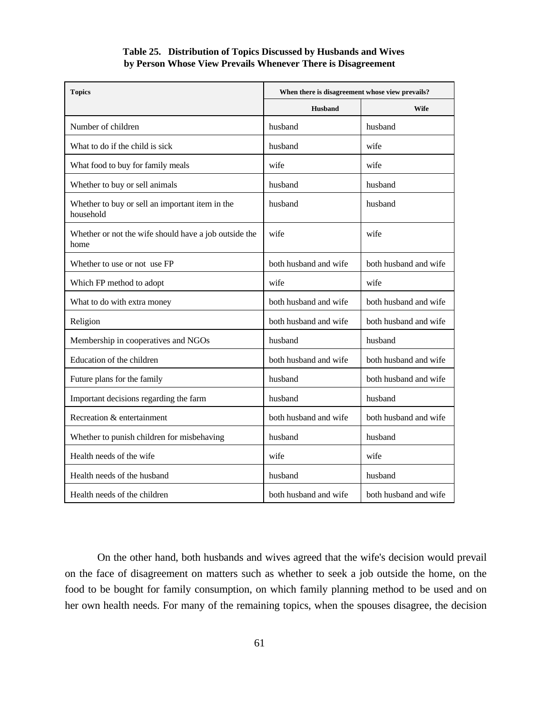#### **Table 25. Distribution of Topics Discussed by Husbands and Wives by Person Whose View Prevails Whenever There is Disagreement**

| <b>Topics</b>                                                 | When there is disagreement whose view prevails? |                       |  |
|---------------------------------------------------------------|-------------------------------------------------|-----------------------|--|
|                                                               | <b>Husband</b>                                  | <b>Wife</b>           |  |
| Number of children                                            | husband                                         | husband               |  |
| What to do if the child is sick                               | husband                                         | wife                  |  |
| What food to buy for family meals                             | wife                                            | wife                  |  |
| Whether to buy or sell animals                                | husband                                         | husband               |  |
| Whether to buy or sell an important item in the<br>household  | husband                                         | husband               |  |
| Whether or not the wife should have a job outside the<br>home | wife                                            | wife                  |  |
| Whether to use or not use FP                                  | both husband and wife                           | both husband and wife |  |
| Which FP method to adopt                                      | wife                                            | wife                  |  |
| What to do with extra money                                   | both husband and wife                           | both husband and wife |  |
| Religion                                                      | both husband and wife                           | both husband and wife |  |
| Membership in cooperatives and NGOs                           | husband                                         | husband               |  |
| Education of the children                                     | both husband and wife                           | both husband and wife |  |
| Future plans for the family                                   | husband                                         | both husband and wife |  |
| Important decisions regarding the farm                        | husband                                         | husband               |  |
| Recreation & entertainment                                    | both husband and wife                           | both husband and wife |  |
| Whether to punish children for misbehaving                    | husband                                         | husband               |  |
| Health needs of the wife                                      | wife                                            | wife                  |  |
| Health needs of the husband                                   | husband                                         | husband               |  |
| Health needs of the children                                  | both husband and wife                           | both husband and wife |  |

On the other hand, both husbands and wives agreed that the wife's decision would prevail on the face of disagreement on matters such as whether to seek a job outside the home, on the food to be bought for family consumption, on which family planning method to be used and on her own health needs. For many of the remaining topics, when the spouses disagree, the decision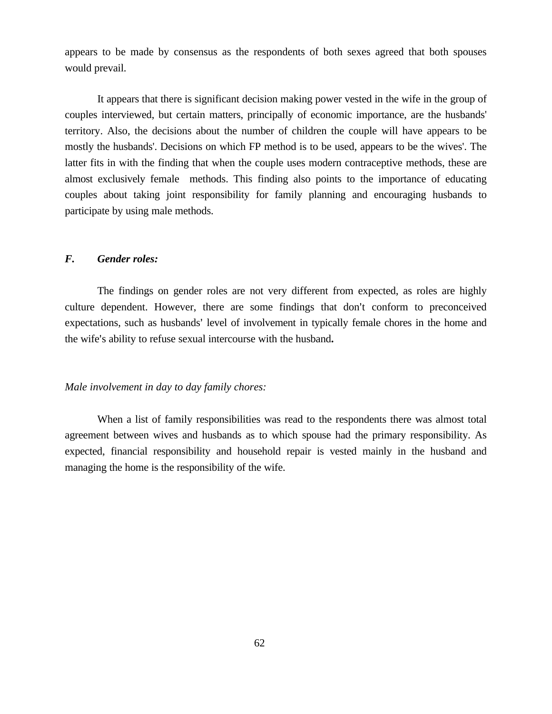appears to be made by consensus as the respondents of both sexes agreed that both spouses would prevail.

It appears that there is significant decision making power vested in the wife in the group of couples interviewed, but certain matters, principally of economic importance, are the husbands' territory. Also, the decisions about the number of children the couple will have appears to be mostly the husbands'. Decisions on which FP method is to be used, appears to be the wives'. The latter fits in with the finding that when the couple uses modern contraceptive methods, these are almost exclusively female methods. This finding also points to the importance of educating couples about taking joint responsibility for family planning and encouraging husbands to participate by using male methods.

#### *F. Gender roles:*

The findings on gender roles are not very different from expected, as roles are highly culture dependent. However, there are some findings that don't conform to preconceived expectations, such as husbands' level of involvement in typically female chores in the home and the wife's ability to refuse sexual intercourse with the husband.

#### *Male involvement in day to day family chores:*

When a list of family responsibilities was read to the respondents there was almost total agreement between wives and husbands as to which spouse had the primary responsibility. As expected, financial responsibility and household repair is vested mainly in the husband and managing the home is the responsibility of the wife.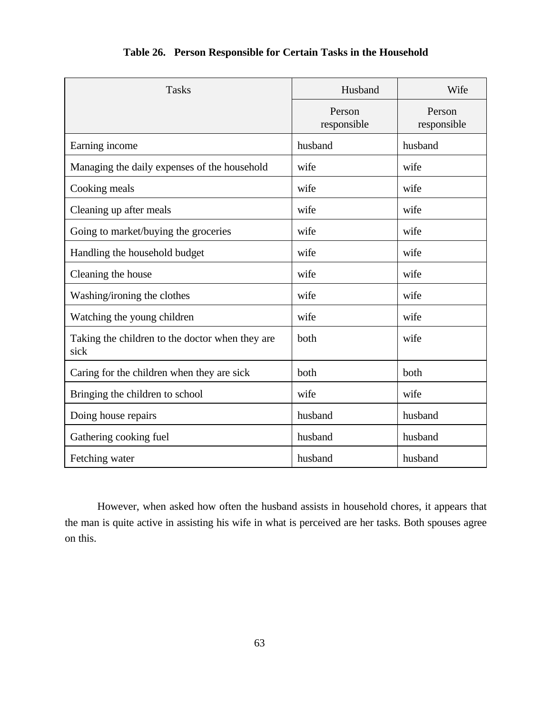| <b>Tasks</b>                                            | Husband               | Wife                  |  |
|---------------------------------------------------------|-----------------------|-----------------------|--|
|                                                         | Person<br>responsible | Person<br>responsible |  |
| Earning income                                          | husband               | husband               |  |
| Managing the daily expenses of the household            | wife                  | wife                  |  |
| Cooking meals                                           | wife                  | wife                  |  |
| Cleaning up after meals                                 | wife                  | wife                  |  |
| Going to market/buying the groceries                    | wife                  | wife                  |  |
| Handling the household budget                           | wife                  | wife                  |  |
| Cleaning the house                                      | wife                  | wife                  |  |
| Washing/ironing the clothes                             | wife                  | wife                  |  |
| Watching the young children                             | wife                  | wife                  |  |
| Taking the children to the doctor when they are<br>sick | both                  | wife                  |  |
| Caring for the children when they are sick              | both                  | both                  |  |
| Bringing the children to school                         | wife                  | wife                  |  |
| Doing house repairs                                     | husband               | husband               |  |
| Gathering cooking fuel                                  | husband               | husband               |  |
| Fetching water                                          | husband               | husband               |  |

## **Table 26. Person Responsible for Certain Tasks in the Household**

However, when asked how often the husband assists in household chores, it appears that the man is quite active in assisting his wife in what is perceived are her tasks. Both spouses agree on this.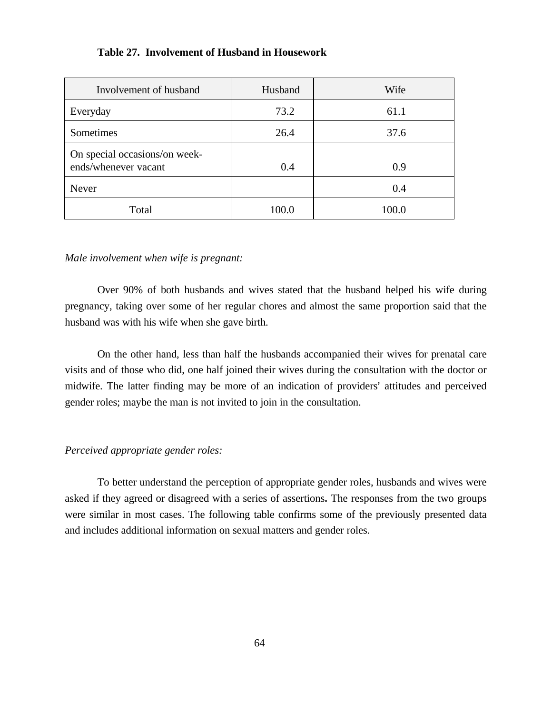#### **Table 27. Involvement of Husband in Housework**

| Involvement of husband                                | Husband | Wife  |
|-------------------------------------------------------|---------|-------|
| Everyday                                              | 73.2    | 61.1  |
| Sometimes                                             | 26.4    | 37.6  |
| On special occasions/on week-<br>ends/whenever vacant | 0.4     | 0.9   |
| Never                                                 |         | 0.4   |
| Total                                                 | 100.0   | 100.0 |

#### *Male involvement when wife is pregnant:*

Over 90% of both husbands and wives stated that the husband helped his wife during pregnancy, taking over some of her regular chores and almost the same proportion said that the husband was with his wife when she gave birth.

On the other hand, less than half the husbands accompanied their wives for prenatal care visits and of those who did, one half joined their wives during the consultation with the doctor or midwife. The latter finding may be more of an indication of providers' attitudes and perceived gender roles; maybe the man is not invited to join in the consultation.

#### *Perceived appropriate gender roles:*

To better understand the perception of appropriate gender roles, husbands and wives were asked if they agreed or disagreed with a series of assertions**.** The responses from the two groups were similar in most cases. The following table confirms some of the previously presented data and includes additional information on sexual matters and gender roles.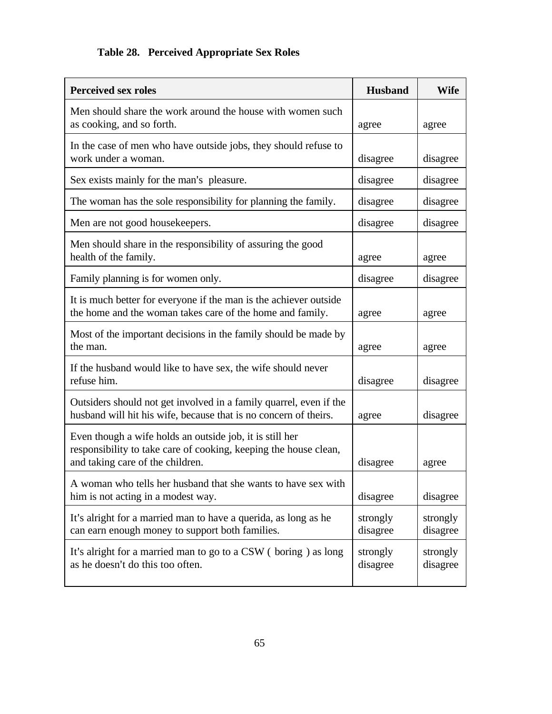# **Table 28. Perceived Appropriate Sex Roles**

| <b>Perceived sex roles</b>                                                                                                                                       | <b>Husband</b>       | <b>Wife</b>          |
|------------------------------------------------------------------------------------------------------------------------------------------------------------------|----------------------|----------------------|
| Men should share the work around the house with women such<br>as cooking, and so forth.                                                                          | agree                | agree                |
| In the case of men who have outside jobs, they should refuse to<br>work under a woman.                                                                           | disagree             | disagree             |
| Sex exists mainly for the man's pleasure.                                                                                                                        | disagree             | disagree             |
| The woman has the sole responsibility for planning the family.                                                                                                   | disagree             | disagree             |
| Men are not good housekeepers.                                                                                                                                   | disagree             | disagree             |
| Men should share in the responsibility of assuring the good<br>health of the family.                                                                             | agree                | agree                |
| Family planning is for women only.                                                                                                                               | disagree             | disagree             |
| It is much better for everyone if the man is the achiever outside<br>the home and the woman takes care of the home and family.                                   | agree                | agree                |
| Most of the important decisions in the family should be made by<br>the man.                                                                                      | agree                | agree                |
| If the husband would like to have sex, the wife should never<br>refuse him.                                                                                      | disagree             | disagree             |
| Outsiders should not get involved in a family quarrel, even if the<br>husband will hit his wife, because that is no concern of theirs.                           | agree                | disagree             |
| Even though a wife holds an outside job, it is still her<br>responsibility to take care of cooking, keeping the house clean,<br>and taking care of the children. | disagree             | agree                |
| A woman who tells her husband that she wants to have sex with<br>him is not acting in a modest way.                                                              | disagree             | disagree             |
| It's alright for a married man to have a querida, as long as he<br>can earn enough money to support both families.                                               | strongly<br>disagree | strongly<br>disagree |
| It's alright for a married man to go to a CSW (boring) as long<br>as he doesn't do this too often.                                                               | strongly<br>disagree | strongly<br>disagree |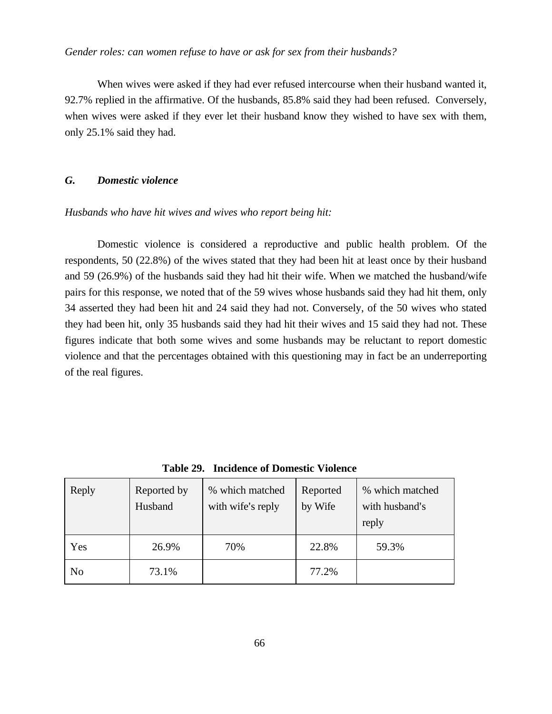#### *Gender roles: can women refuse to have or ask for sex from their husbands?*

When wives were asked if they had ever refused intercourse when their husband wanted it, 92.7% replied in the affirmative. Of the husbands, 85.8% said they had been refused. Conversely, when wives were asked if they ever let their husband know they wished to have sex with them, only 25.1% said they had.

#### *G. Domestic violence*

#### *Husbands who have hit wives and wives who report being hit:*

Domestic violence is considered a reproductive and public health problem. Of the respondents, 50 (22.8%) of the wives stated that they had been hit at least once by their husband and 59 (26.9%) of the husbands said they had hit their wife. When we matched the husband/wife pairs for this response, we noted that of the 59 wives whose husbands said they had hit them, only 34 asserted they had been hit and 24 said they had not. Conversely, of the 50 wives who stated they had been hit, only 35 husbands said they had hit their wives and 15 said they had not. These figures indicate that both some wives and some husbands may be reluctant to report domestic violence and that the percentages obtained with this questioning may in fact be an underreporting of the real figures.

| Reply          | Reported by<br>Husband | % which matched<br>with wife's reply | Reported<br>by Wife | % which matched<br>with husband's<br>reply |
|----------------|------------------------|--------------------------------------|---------------------|--------------------------------------------|
| Yes            | 26.9%                  | 70%                                  | 22.8%               | 59.3%                                      |
| N <sub>o</sub> | 73.1%                  |                                      | 77.2%               |                                            |

**Table 29. Incidence of Domestic Violence**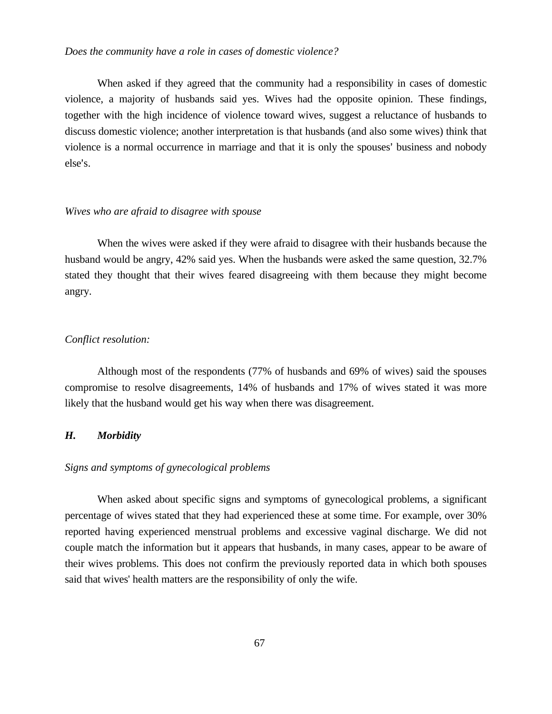#### *Does the community have a role in cases of domestic violence?*

When asked if they agreed that the community had a responsibility in cases of domestic violence, a majority of husbands said yes. Wives had the opposite opinion. These findings, together with the high incidence of violence toward wives, suggest a reluctance of husbands to discuss domestic violence; another interpretation is that husbands (and also some wives) think that violence is a normal occurrence in marriage and that it is only the spouses' business and nobody else's.

#### *Wives who are afraid to disagree with spouse*

When the wives were asked if they were afraid to disagree with their husbands because the husband would be angry, 42% said yes. When the husbands were asked the same question, 32.7% stated they thought that their wives feared disagreeing with them because they might become angry.

#### *Conflict resolution:*

Although most of the respondents (77% of husbands and 69% of wives) said the spouses compromise to resolve disagreements, 14% of husbands and 17% of wives stated it was more likely that the husband would get his way when there was disagreement.

#### *H. Morbidity*

#### *Signs and symptoms of gynecological problems*

When asked about specific signs and symptoms of gynecological problems, a significant percentage of wives stated that they had experienced these at some time. For example, over 30% reported having experienced menstrual problems and excessive vaginal discharge. We did not couple match the information but it appears that husbands, in many cases, appear to be aware of their wives problems. This does not confirm the previously reported data in which both spouses said that wives' health matters are the responsibility of only the wife.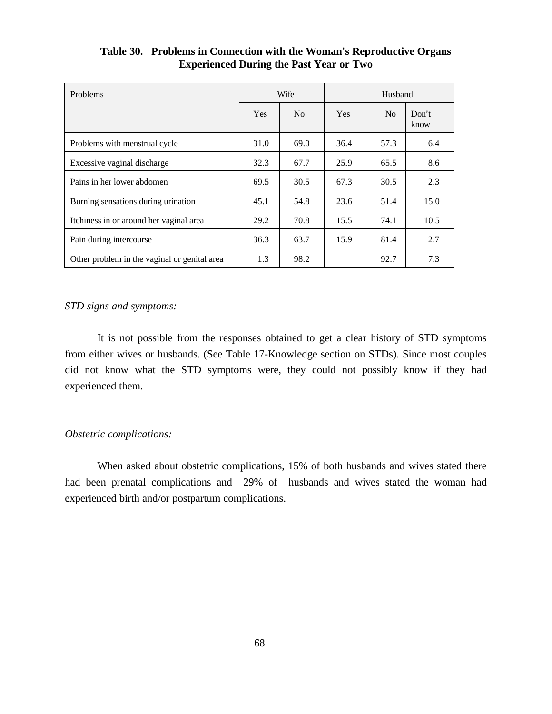| <b>Problems</b>                              |            | Wife           | Husband    |                |               |
|----------------------------------------------|------------|----------------|------------|----------------|---------------|
|                                              | <b>Yes</b> | N <sub>o</sub> | <b>Yes</b> | N <sub>o</sub> | Don't<br>know |
| Problems with menstrual cycle                | 31.0       | 69.0           | 36.4       | 57.3           | 6.4           |
| Excessive vaginal discharge                  | 32.3       | 67.7           | 25.9       | 65.5           | 8.6           |
| Pains in her lower abdomen                   | 69.5       | 30.5           | 67.3       | 30.5           | 2.3           |
| Burning sensations during urination          | 45.1       | 54.8           | 23.6       | 51.4           | 15.0          |
| Itchiness in or around her vaginal area      | 29.2       | 70.8           | 15.5       | 74.1           | 10.5          |
| Pain during intercourse                      | 36.3       | 63.7           | 15.9       | 81.4           | 2.7           |
| Other problem in the vaginal or genital area | 1.3        | 98.2           |            | 92.7           | 7.3           |

## **Table 30. Problems in Connection with the Woman's Reproductive Organs Experienced During the Past Year or Two**

#### *STD signs and symptoms:*

It is not possible from the responses obtained to get a clear history of STD symptoms from either wives or husbands. (See Table 17-Knowledge section on STDs). Since most couples did not know what the STD symptoms were, they could not possibly know if they had experienced them.

#### *Obstetric complications:*

When asked about obstetric complications, 15% of both husbands and wives stated there had been prenatal complications and 29% of husbands and wives stated the woman had experienced birth and/or postpartum complications.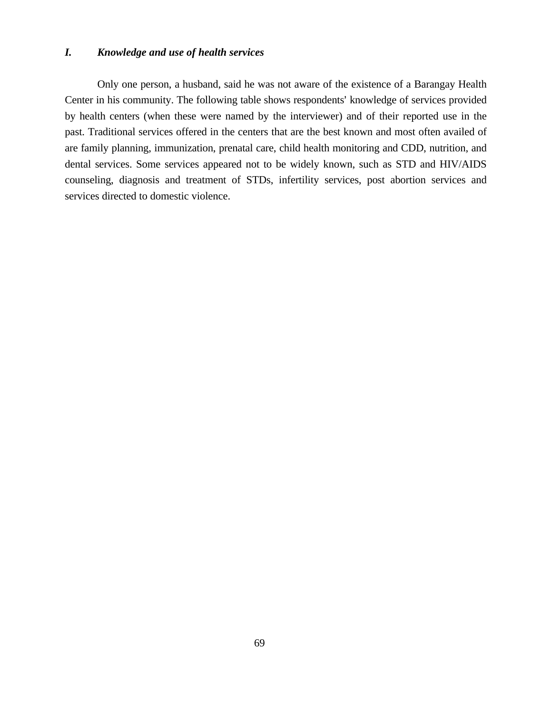#### *I. Knowledge and use of health services*

Only one person, a husband, said he was not aware of the existence of a Barangay Health Center in his community. The following table shows respondents' knowledge of services provided by health centers (when these were named by the interviewer) and of their reported use in the past. Traditional services offered in the centers that are the best known and most often availed of are family planning, immunization, prenatal care, child health monitoring and CDD, nutrition, and dental services. Some services appeared not to be widely known, such as STD and HIV/AIDS counseling, diagnosis and treatment of STDs, infertility services, post abortion services and services directed to domestic violence.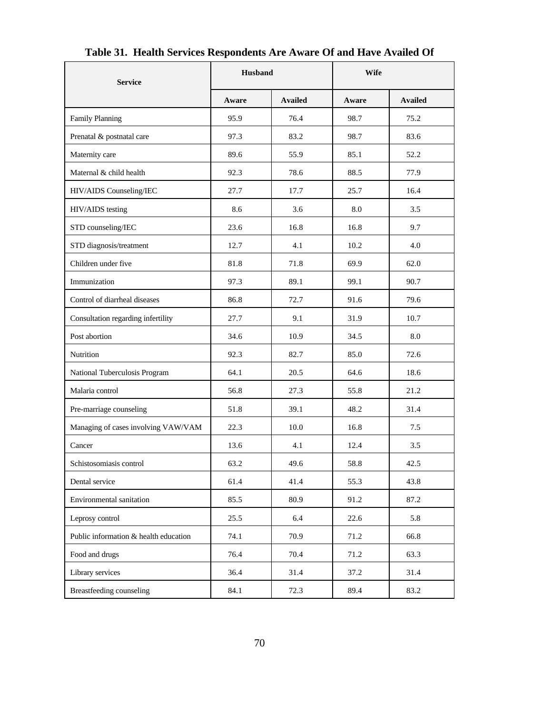| <b>Service</b>                        | Husband |                | <b>Wife</b> |                |  |
|---------------------------------------|---------|----------------|-------------|----------------|--|
|                                       | Aware   | <b>Availed</b> | Aware       | <b>Availed</b> |  |
| <b>Family Planning</b>                | 95.9    | 76.4           | 98.7        | 75.2           |  |
| Prenatal & postnatal care             | 97.3    | 83.2           | 98.7        | 83.6           |  |
| Maternity care                        | 89.6    | 55.9           | 85.1        | 52.2           |  |
| Maternal & child health               | 92.3    | 78.6           | 88.5        | 77.9           |  |
| HIV/AIDS Counseling/IEC               | 27.7    | 17.7           | 25.7        | 16.4           |  |
| HIV/AIDS testing                      | 8.6     | 3.6            | 8.0         | 3.5            |  |
| STD counseling/IEC                    | 23.6    | 16.8           | 16.8        | 9.7            |  |
| STD diagnosis/treatment               | 12.7    | 4.1            | 10.2        | 4.0            |  |
| Children under five                   | 81.8    | 71.8           | 69.9        | 62.0           |  |
| Immunization                          | 97.3    | 89.1           | 99.1        | 90.7           |  |
| Control of diarrheal diseases         | 86.8    | 72.7           | 91.6        | 79.6           |  |
| Consultation regarding infertility    | 27.7    | 9.1            | 31.9        | 10.7           |  |
| Post abortion                         | 34.6    | 10.9           | 34.5        | 8.0            |  |
| Nutrition                             | 92.3    | 82.7           | 85.0        | 72.6           |  |
| National Tuberculosis Program         | 64.1    | 20.5           | 64.6        | 18.6           |  |
| Malaria control                       | 56.8    | 27.3           | 55.8        | 21.2           |  |
| Pre-marriage counseling               | 51.8    | 39.1           | 48.2        | 31.4           |  |
| Managing of cases involving VAW/VAM   | 22.3    | 10.0           | 16.8        | 7.5            |  |
| Cancer                                | 13.6    | 4.1            | 12.4        | 3.5            |  |
| Schistosomiasis control               | 63.2    | 49.6           | 58.8        | 42.5           |  |
| Dental service                        | 61.4    | 41.4           | 55.3        | 43.8           |  |
| Environmental sanitation              | 85.5    | 80.9           | 91.2        | 87.2           |  |
| Leprosy control                       | 25.5    | 6.4            | 22.6        | 5.8            |  |
| Public information & health education | 74.1    | 70.9           | 71.2        | 66.8           |  |
| Food and drugs                        | 76.4    | 70.4           | 71.2        | 63.3           |  |
| Library services                      | 36.4    | 31.4           | 37.2        | 31.4           |  |
| Breastfeeding counseling              | 84.1    | 72.3           | 89.4        | 83.2           |  |

# **Table 31. Health Services Respondents Are Aware Of and Have Availed Of**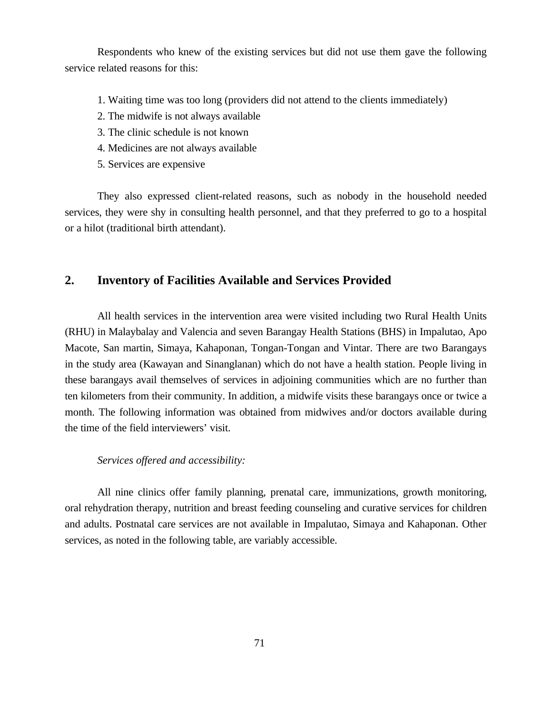Respondents who knew of the existing services but did not use them gave the following service related reasons for this:

- 1. Waiting time was too long (providers did not attend to the clients immediately)
- 2. The midwife is not always available
- 3. The clinic schedule is not known
- 4. Medicines are not always available
- 5. Services are expensive

They also expressed client-related reasons, such as nobody in the household needed services, they were shy in consulting health personnel, and that they preferred to go to a hospital or a hilot (traditional birth attendant).

## **2. Inventory of Facilities Available and Services Provided**

All health services in the intervention area were visited including two Rural Health Units (RHU) in Malaybalay and Valencia and seven Barangay Health Stations (BHS) in Impalutao, Apo Macote, San martin, Simaya, Kahaponan, Tongan-Tongan and Vintar. There are two Barangays in the study area (Kawayan and Sinanglanan) which do not have a health station. People living in these barangays avail themselves of services in adjoining communities which are no further than ten kilometers from their community. In addition, a midwife visits these barangays once or twice a month. The following information was obtained from midwives and/or doctors available during the time of the field interviewers' visit.

#### *Services offered and accessibility:*

All nine clinics offer family planning, prenatal care, immunizations, growth monitoring, oral rehydration therapy, nutrition and breast feeding counseling and curative services for children and adults. Postnatal care services are not available in Impalutao, Simaya and Kahaponan. Other services, as noted in the following table, are variably accessible.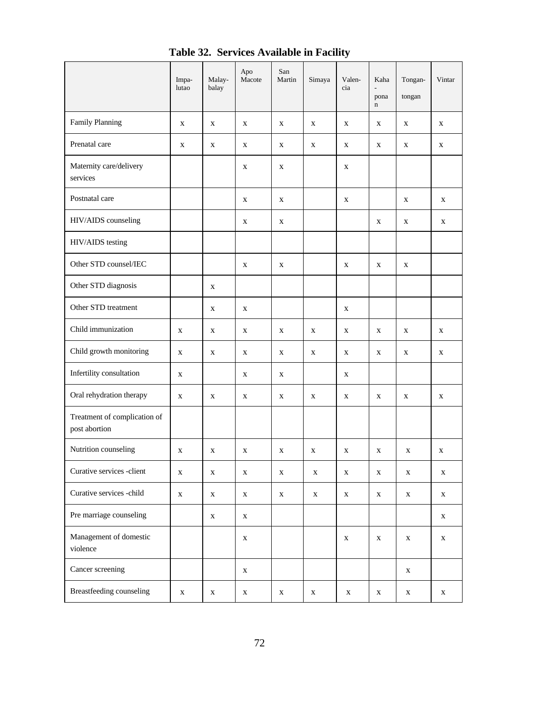|                                               | Impa-<br>lutao | Malay-<br>balay | Apo<br>Macote | San<br>Martin | Simaya      | Valen-<br>cia | Kaha<br>pona<br>$\mathbf n$ | Tongan-<br>tongan | Vintar       |
|-----------------------------------------------|----------------|-----------------|---------------|---------------|-------------|---------------|-----------------------------|-------------------|--------------|
| Family Planning                               | X              | X               | X             | X             | X           | X             | X                           | X                 | X            |
| Prenatal care                                 | X              | X               | X             | X             | X           | X             | X                           | X                 | X            |
| Maternity care/delivery<br>services           |                |                 | $\mathbf X$   | $\mathbf X$   |             | X             |                             |                   |              |
| Postnatal care                                |                |                 | X             | $\mathbf X$   |             | $\mathbf X$   |                             | X                 | $\mathbf X$  |
| HIV/AIDS counseling                           |                |                 | X             | X             |             |               | $\mathbf X$                 | $\mathbf X$       | $\mathbf{X}$ |
| HIV/AIDS testing                              |                |                 |               |               |             |               |                             |                   |              |
| Other STD counsel/IEC                         |                |                 | X             | X             |             | X             | $\mathbf{X}$                | X                 |              |
| Other STD diagnosis                           |                | X               |               |               |             |               |                             |                   |              |
| Other STD treatment                           |                | X               | X             |               |             | X             |                             |                   |              |
| Child immunization                            | X              | X               | X             | X             | X           | X             | X                           | X                 | X            |
| Child growth monitoring                       | X              | X               | X             | X             | X           | X             | X                           | X                 | X            |
| Infertility consultation                      | X              |                 | X             | X             |             | X             |                             |                   |              |
| Oral rehydration therapy                      | X              | X               | X             | X             | X           | X             | X                           | X                 | X            |
| Treatment of complication of<br>post abortion |                |                 |               |               |             |               |                             |                   |              |
| Nutrition counseling                          | X              | X               | X             | X             | X           | X             | X                           | X                 | X            |
| Curative services -client                     | X              | X               | X             | X             | X           | X             | X                           | X                 | X            |
| Curative services -child                      | $\mathbf X$    | $\mathbf X$     | $\mathbf X$   | X             | $\mathbf X$ | $\mathbf{X}$  | X                           | $\mathbf X$       | $\mathbf X$  |
| Pre marriage counseling                       |                | X               | X             |               |             |               |                             |                   | $\mathbf X$  |
| Management of domestic<br>violence            |                |                 | X             |               |             | $\mathbf X$   | $\mathbf X$                 | $\mathbf X$       | $\mathbf X$  |
| Cancer screening                              |                |                 | X             |               |             |               |                             | $\mathbf X$       |              |
| Breastfeeding counseling                      | $\mathbf X$    | $\mathbf X$     | $\mathbf X$   | $\mathbf X$   | $\mathbf X$ | $\mathbf X$   | $\mathbf X$                 | X                 | $\mathbf X$  |

**Table 32. Services Available in Facility**

**r** 

 $\overline{\phantom{a}}$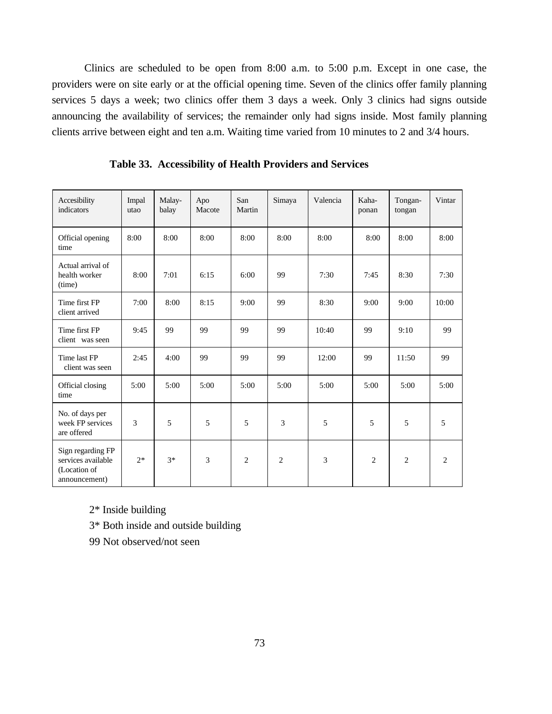Clinics are scheduled to be open from 8:00 a.m. to 5:00 p.m. Except in one case, the providers were on site early or at the official opening time. Seven of the clinics offer family planning services 5 days a week; two clinics offer them 3 days a week. Only 3 clinics had signs outside announcing the availability of services; the remainder only had signs inside. Most family planning clients arrive between eight and ten a.m. Waiting time varied from 10 minutes to 2 and 3/4 hours.

| Accesibility<br>indicators                                               | Impal<br>utao | Malay-<br>balay | Apo<br>Macote | San<br>Martin  | Simaya         | Valencia | Kaha-<br>ponan | Tongan-<br>tongan | Vintar         |
|--------------------------------------------------------------------------|---------------|-----------------|---------------|----------------|----------------|----------|----------------|-------------------|----------------|
| Official opening<br>time                                                 | 8:00          | 8:00            | 8:00          | 8:00           | 8:00           | 8:00     | 8:00           | 8:00              | 8:00           |
| Actual arrival of<br>health worker<br>(time)                             | 8:00          | 7:01            | 6:15          | 6:00           | 99             | 7:30     | 7:45           | 8:30              | 7:30           |
| Time first FP<br>client arrived                                          | 7:00          | 8:00            | 8:15          | 9:00           | 99             | 8:30     | 9:00           | 9:00              | 10:00          |
| Time first FP<br>client was seen                                         | 9:45          | 99              | 99            | 99             | 99             | 10:40    | 99             | 9:10              | 99             |
| Time last FP<br>client was seen                                          | 2:45          | 4:00            | 99            | 99             | 99             | 12:00    | 99             | 11:50             | 99             |
| Official closing<br>time                                                 | 5:00          | 5:00            | 5:00          | 5:00           | 5:00           | 5:00     | 5:00           | 5:00              | 5:00           |
| No. of days per<br>week FP services<br>are offered                       | 3             | 5               | 5             | 5              | 3              | 5        | 5              | 5                 | 5              |
| Sign regarding FP<br>services available<br>(Location of<br>announcement) | $2*$          | $3*$            | 3             | $\overline{2}$ | $\overline{2}$ | 3        | $\overline{2}$ | $\overline{2}$    | $\overline{2}$ |

**Table 33. Accessibility of Health Providers and Services**

2\* Inside building

3\* Both inside and outside building

99 Not observed/not seen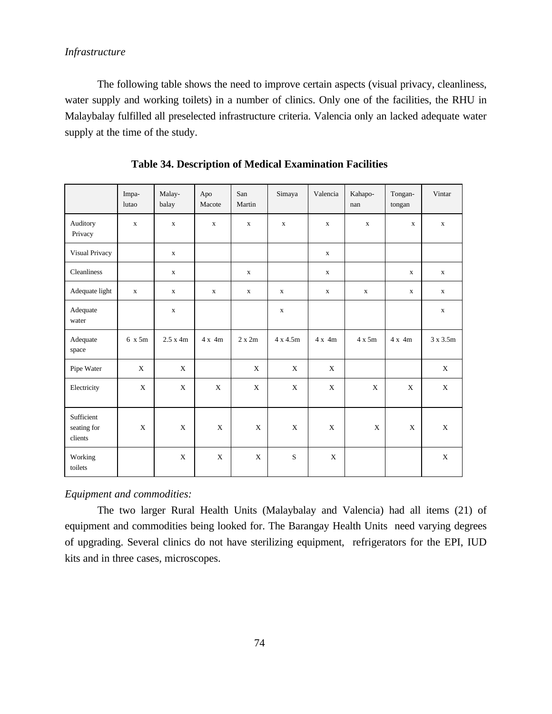# *Infrastructure*

The following table shows the need to improve certain aspects (visual privacy, cleanliness, water supply and working toilets) in a number of clinics. Only one of the facilities, the RHU in Malaybalay fulfilled all preselected infrastructure criteria. Valencia only an lacked adequate water supply at the time of the study.

|                                      | Impa-<br>lutao | Malay-<br>balay | Apo<br>Macote | San<br>Martin | Simaya          | Valencia    | Kahapo-<br>nan | Tongan-<br>tongan | Vintar       |
|--------------------------------------|----------------|-----------------|---------------|---------------|-----------------|-------------|----------------|-------------------|--------------|
| Auditory<br>Privacy                  | $\mathbf X$    | $\mathbf X$     | $\mathbf X$   | $\mathbf X$   | $\mathbf X$     | $\mathbf X$ | $\mathbf X$    | $\mathbf X$       | $\mathbf X$  |
| Visual Privacy                       |                | $\mathbf X$     |               |               |                 | $\mathbf X$ |                |                   |              |
| Cleanliness                          |                | $\mathbf X$     |               | $\mathbf X$   |                 | $\mathbf X$ |                | $\mathbf X$       | $\mathbf X$  |
| Adequate light                       | $\mathbf X$    | $\mathbf X$     | $\mathbf{x}$  | $\mathbf{x}$  | $\mathbf X$     | $\mathbf X$ | $\mathbf X$    | $\mathbf x$       | $\mathbf{X}$ |
| Adequate<br>water                    |                | $\mathbf X$     |               |               | $\mathbf{x}$    |             |                |                   | $\mathbf X$  |
| Adequate<br>space                    | 6 x 5m         | 2.5 x 4m        | $4x$ 4m       | 2 x 2m        | $4 \times 4.5m$ | $4x$ 4m     | $4 \times 5m$  | $4x$ 4m           | 3 x 3.5m     |
| Pipe Water                           | X              | $\mathbf X$     |               | X             | X               | X           |                |                   | X            |
| Electricity                          | X              | $\mathbf X$     | X             | X             | X               | X           | X              | X                 | $\mathbf X$  |
| Sufficient<br>seating for<br>clients | X              | X               | X             | X             | X               | X           | X              | X                 | X            |
| Working<br>toilets                   |                | X               | X             | X             | S               | X           |                |                   | X            |

**Table 34. Description of Medical Examination Facilities**

*Equipment and commodities:*

The two larger Rural Health Units (Malaybalay and Valencia) had all items (21) of equipment and commodities being looked for. The Barangay Health Units need varying degrees of upgrading. Several clinics do not have sterilizing equipment, refrigerators for the EPI, IUD kits and in three cases, microscopes.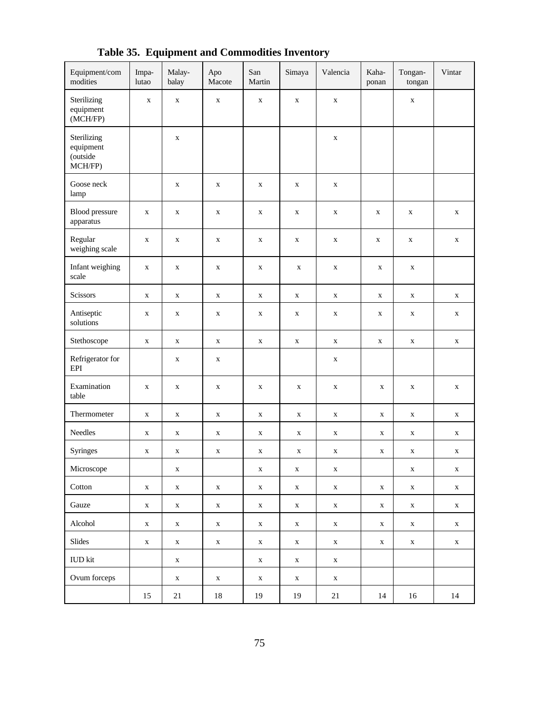| Equipment/com<br>modities                       | Impa-<br>lutao | Malay-<br>balay | Apo<br>Macote | San<br>Martin | Simaya      | Valencia    | Kaha-<br>ponan | Tongan-<br>tongan | Vintar      |
|-------------------------------------------------|----------------|-----------------|---------------|---------------|-------------|-------------|----------------|-------------------|-------------|
| Sterilizing<br>equipment<br>(MCH/FP)            | $\mathbf X$    | $\mathbf X$     | $\mathbf X$   | $\mathbf x$   | $\mathbf X$ | $\mathbf X$ |                | $\mathbf X$       |             |
| Sterilizing<br>equipment<br>(outside<br>MCH/FP) |                | $\mathbf X$     |               |               |             | $\mathbf X$ |                |                   |             |
| Goose neck<br>lamp                              |                | $\mathbf X$     | $\mathbf X$   | $\mathbf X$   | $\mathbf X$ | $\mathbf X$ |                |                   |             |
| <b>Blood</b> pressure<br>apparatus              | $\mathbf X$    | $\mathbf X$     | $\mathbf X$   | $\mathbf X$   | $\mathbf X$ | $\mathbf X$ | $\mathbf X$    | $\mathbf X$       | $\mathbf X$ |
| Regular<br>weighing scale                       | $\mathbf X$    | $\mathbf X$     | $\mathbf X$   | $\mathbf X$   | $\mathbf X$ | $\mathbf X$ | $\mathbf X$    | $\mathbf X$       | $\mathbf X$ |
| Infant weighing<br>scale                        | $\mathbf X$    | $\mathbf X$     | $\mathbf X$   | $\mathbf X$   | $\mathbf X$ | $\mathbf X$ | $\mathbf X$    | $\mathbf X$       |             |
| Scissors                                        | $\mathbf X$    | $\mathbf X$     | $\mathbf X$   | $\mathbf X$   | $\mathbf X$ | $\mathbf X$ | $\mathbf X$    | $\mathbf X$       | $\mathbf X$ |
| Antiseptic<br>solutions                         | $\mathbf X$    | X               | X             | $\mathbf X$   | X           | $\mathbf X$ | $\mathbf X$    | $\mathbf X$       | $\mathbf X$ |
| Stethoscope                                     | $\mathbf X$    | $\mathbf X$     | $\mathbf X$   | $\mathbf X$   | $\mathbf X$ | $\mathbf X$ | $\mathbf X$    | $\mathbf X$       | $\mathbf X$ |
| Refrigerator for<br>EPI                         |                | $\mathbf X$     | $\mathbf X$   |               |             | $\mathbf X$ |                |                   |             |
| Examination<br>table                            | $\mathbf X$    | $\mathbf X$     | $\mathbf X$   | $\mathbf X$   | $\mathbf X$ | $\mathbf X$ | $\mathbf X$    | $\mathbf X$       | $\mathbf X$ |
| Thermometer                                     | $\mathbf X$    | $\mathbf X$     | $\mathbf X$   | $\mathbf X$   | $\mathbf X$ | $\mathbf X$ | $\mathbf X$    | $\mathbf X$       | $\mathbf X$ |
| Needles                                         | $\mathbf X$    | $\mathbf X$     | $\mathbf X$   | $\mathbf X$   | $\mathbf X$ | $\mathbf X$ | $\mathbf X$    | $\mathbf X$       | $\mathbf X$ |
| Syringes                                        | $\mathbf X$    | $\mathbf X$     | X             | $\mathbf X$   | $\mathbf X$ | $\mathbf X$ | $\mathbf X$    | $\mathbf X$       | $\mathbf X$ |
| Microscope                                      |                | X               |               | $\mathbf X$   | $\mathbf X$ | X           |                | $\mathbf X$       | X           |
| Cotton                                          | $\mathbf X$    | $\mathbf X$     | $\mathbf X$   | $\mathbf X$   | $\mathbf X$ | $\mathbf X$ | $\mathbf X$    | $\mathbf X$       | $\mathbf X$ |
| Gauze                                           | $\mathbf X$    | $\mathbf X$     | $\mathbf X$   | $\mathbf X$   | $\mathbf X$ | $\mathbf X$ | $\mathbf X$    | $\mathbf X$       | $\mathbf X$ |
| Alcohol                                         | $\mathbf X$    | $\mathbf X$     | $\mathbf X$   | $\mathbf X$   | $\mathbf X$ | $\mathbf X$ | $\mathbf X$    | $\mathbf X$       | $\mathbf X$ |
| Slides                                          | $\mathbf X$    | $\mathbf X$     | $\mathbf X$   | $\mathbf X$   | $\mathbf X$ | $\mathbf X$ | $\mathbf X$    | $\mathbf X$       | $\mathbf X$ |
| <b>IUD</b> kit                                  |                | $\mathbf X$     |               | $\mathbf X$   | $\mathbf X$ | $\mathbf X$ |                |                   |             |
| Ovum forceps                                    |                | $\mathbf X$     | $\mathbf X$   | $\mathbf X$   | $\mathbf X$ | $\mathbf X$ |                |                   |             |
|                                                 | 15             | 21              | $18\,$        | 19            | 19          | 21          | 14             | 16                | 14          |

**Table 35. Equipment and Commodities Inventory**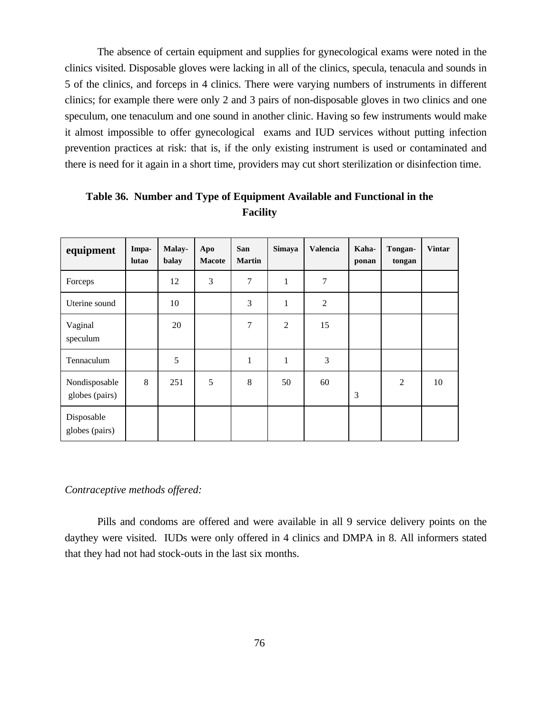The absence of certain equipment and supplies for gynecological exams were noted in the clinics visited. Disposable gloves were lacking in all of the clinics, specula, tenacula and sounds in 5 of the clinics, and forceps in 4 clinics. There were varying numbers of instruments in different clinics; for example there were only 2 and 3 pairs of non-disposable gloves in two clinics and one speculum, one tenaculum and one sound in another clinic. Having so few instruments would make it almost impossible to offer gynecological exams and IUD services without putting infection prevention practices at risk: that is, if the only existing instrument is used or contaminated and there is need for it again in a short time, providers may cut short sterilization or disinfection time.

| equipment                       | Impa-<br>lutao | <b>Malay-</b><br>balay | Apo<br><b>Macote</b> | San<br><b>Martin</b> | <b>Simaya</b>  | Valencia       | Kaha-<br>ponan | Tongan-<br>tongan | <b>Vintar</b> |
|---------------------------------|----------------|------------------------|----------------------|----------------------|----------------|----------------|----------------|-------------------|---------------|
| Forceps                         |                | 12                     | 3                    | $\tau$               | $\mathbf{1}$   | $\tau$         |                |                   |               |
| Uterine sound                   |                | 10                     |                      | 3                    | $\mathbf{1}$   | $\overline{2}$ |                |                   |               |
| Vaginal<br>speculum             |                | 20                     |                      | 7                    | $\overline{2}$ | 15             |                |                   |               |
| Tennaculum                      |                | 5                      |                      | $\mathbf{1}$         | $\mathbf{1}$   | 3              |                |                   |               |
| Nondisposable<br>globes (pairs) | 8              | 251                    | 5                    | 8                    | 50             | 60             | 3              | $\overline{2}$    | 10            |
| Disposable<br>globes (pairs)    |                |                        |                      |                      |                |                |                |                   |               |

**Table 36. Number and Type of Equipment Available and Functional in the Facility**

#### *Contraceptive methods offered:*

Pills and condoms are offered and were available in all 9 service delivery points on the daythey were visited. IUDs were only offered in 4 clinics and DMPA in 8. All informers stated that they had not had stock-outs in the last six months.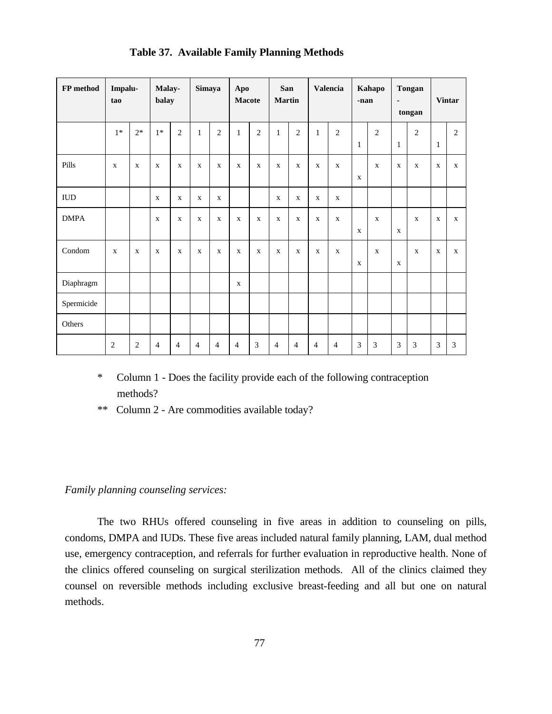| FP method   | Impalu-<br>tao |              | Malay-<br>balay |                | Simaya         |                | Apo<br><b>Macote</b> |                | San<br><b>Martin</b> |                |                | Valencia       | -nan         | Kahapo       | $\overline{\phantom{a}}$ | <b>Tongan</b><br>tongan |              | <b>Vintar</b> |
|-------------|----------------|--------------|-----------------|----------------|----------------|----------------|----------------------|----------------|----------------------|----------------|----------------|----------------|--------------|--------------|--------------------------|-------------------------|--------------|---------------|
|             | $1*$           | $2*$         | $1*$            | $\mathfrak{2}$ | $\mathbf{1}$   | $\mathfrak{2}$ | $\mathbf{1}$         | $\overline{2}$ | $\mathbf{1}$         | $\overline{2}$ | $\mathbf{1}$   | $\overline{2}$ | $\mathbf{1}$ | 2            | $\mathbf{1}$             | $\overline{2}$          | $\mathbf{1}$ | $\mathbf{2}$  |
| Pills       | $\mathbf{X}$   | $\mathbf{x}$ | $\mathbf X$     | $\mathbf X$    | $\mathbf x$    | $\mathbf X$    | $\mathbf X$          | $\mathbf{x}$   | $\mathbf X$          | $\mathbf X$    | $\mathbf x$    | $\mathbf{X}$   | $\mathbf X$  | $\mathbf{x}$ | $\mathbf{X}$             | $\mathbf{X}$            | $\mathbf{X}$ | $\mathbf{x}$  |
| ${\rm IUD}$ |                |              | $\mathbf{X}$    | $\mathbf X$    | $\mathbf{X}$   | $\mathbf X$    |                      |                | $\mathbf X$          | $\mathbf x$    | $\mathbf X$    | $\mathbf x$    |              |              |                          |                         |              |               |
| <b>DMPA</b> |                |              | $\mathbf X$     | $\mathbf X$    | $\mathbf X$    | $\mathbf X$    | $\mathbf X$          | $\mathbf{X}$   | $\mathbf X$          | $\mathbf X$    | $\mathbf x$    | $\mathbf x$    | $\mathbf X$  | $\mathbf{x}$ | $\mathbf X$              | $\mathbf{x}$            | $\mathbf X$  | $\mathbf X$   |
| Condom      | $\mathbf X$    | $\mathbf{X}$ | $\mathbf{X}$    | $\mathbf{X}$   | $\mathbf X$    | $\mathbf X$    | $\mathbf X$          | $\mathbf{x}$   | $\mathbf X$          | $\mathbf X$    | $\mathbf X$    | $\mathbf{X}$   | $\mathbf X$  | $\mathbf{x}$ | $\mathbf X$              | $\mathbf X$             | $\mathbf X$  | $\mathbf{x}$  |
| Diaphragm   |                |              |                 |                |                |                | $\mathbf X$          |                |                      |                |                |                |              |              |                          |                         |              |               |
| Spermicide  |                |              |                 |                |                |                |                      |                |                      |                |                |                |              |              |                          |                         |              |               |
| Others      |                |              |                 |                |                |                |                      |                |                      |                |                |                |              |              |                          |                         |              |               |
|             | $\overline{2}$ | 2            | $\overline{4}$  | $\overline{4}$ | $\overline{4}$ | 4              | $\overline{4}$       | 3              | $\overline{4}$       | $\overline{4}$ | $\overline{4}$ | $\overline{4}$ | 3            | 3            | 3                        | 3                       | 3            | 3             |

## **Table 37. Available Family Planning Methods**

- \* Column 1 Does the facility provide each of the following contraception methods?
- \*\* Column 2 Are commodities available today?

## *Family planning counseling services:*

The two RHUs offered counseling in five areas in addition to counseling on pills, condoms, DMPA and IUDs. These five areas included natural family planning, LAM, dual method use, emergency contraception, and referrals for further evaluation in reproductive health. None of the clinics offered counseling on surgical sterilization methods. All of the clinics claimed they counsel on reversible methods including exclusive breast-feeding and all but one on natural methods.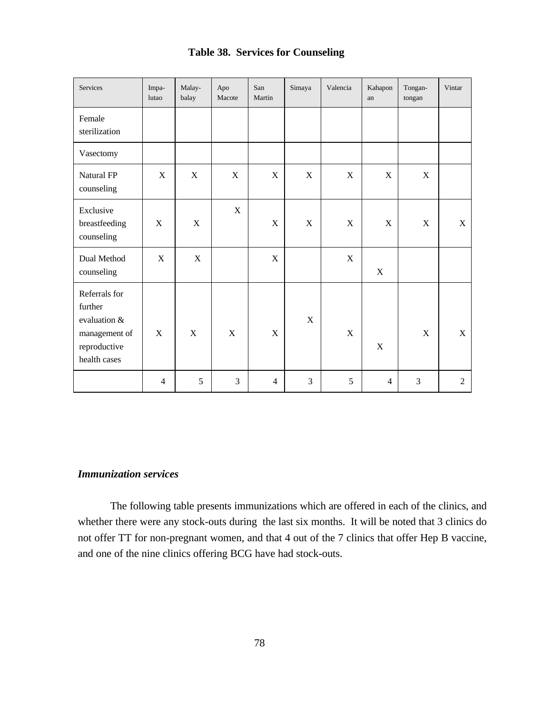|  | <b>Table 38. Services for Counseling</b> |  |
|--|------------------------------------------|--|
|--|------------------------------------------|--|

| Services                                                                                  | Impa-<br>lutao | Malay-<br>balay | Apo<br>Macote | San<br>Martin  | Simaya      | Valencia    | Kahapon<br>an  | Tongan-<br>tongan | Vintar         |
|-------------------------------------------------------------------------------------------|----------------|-----------------|---------------|----------------|-------------|-------------|----------------|-------------------|----------------|
| Female<br>sterilization                                                                   |                |                 |               |                |             |             |                |                   |                |
| Vasectomy                                                                                 |                |                 |               |                |             |             |                |                   |                |
| Natural FP<br>counseling                                                                  | X              | X               | $\mathbf X$   | $\mathbf X$    | $\mathbf X$ | $\mathbf X$ | X              | $\mathbf X$       |                |
| Exclusive<br>breastfeeding<br>counseling                                                  | X              | X               | X             | $\mathbf X$    | $\mathbf X$ | $\mathbf X$ | $\mathbf X$    | $\mathbf X$       | $\mathbf X$    |
| Dual Method<br>counseling                                                                 | X              | X               |               | $\mathbf X$    |             | $\mathbf X$ | $\mathbf X$    |                   |                |
| Referrals for<br>further<br>evaluation &<br>management of<br>reproductive<br>health cases | X              | $\mathbf X$     | $\mathbf X$   | $\mathbf X$    | $\mathbf X$ | X           | $\mathbf X$    | X                 | $\mathbf X$    |
|                                                                                           | $\overline{4}$ | 5               | 3             | $\overline{4}$ | 3           | 5           | $\overline{4}$ | $\overline{3}$    | $\overline{2}$ |

## *Immunization services*

The following table presents immunizations which are offered in each of the clinics, and whether there were any stock-outs during the last six months. It will be noted that 3 clinics do not offer TT for non-pregnant women, and that 4 out of the 7 clinics that offer Hep B vaccine, and one of the nine clinics offering BCG have had stock-outs.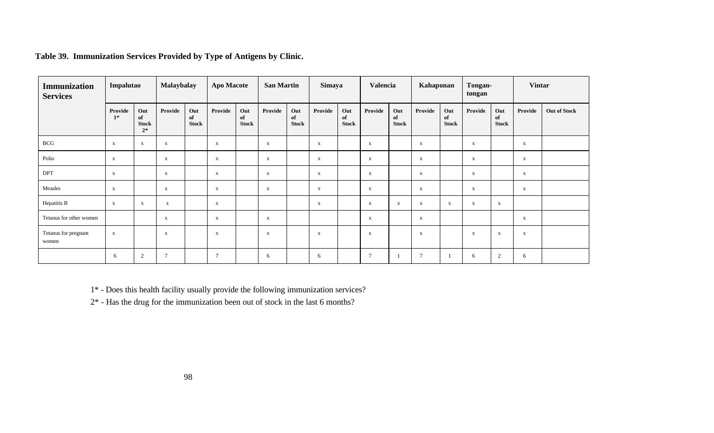| Immunization<br><b>Services</b> | Impalutao       |                                   | <b>Malaybalay</b> |                           | <b>Apo Macote</b> |                           | <b>San Martin</b> |                           | Simaya      |                           | Valencia       |                           | Kahaponan      |                           | Tongan-<br>tongan |                           | <b>Vintar</b> |              |
|---------------------------------|-----------------|-----------------------------------|-------------------|---------------------------|-------------------|---------------------------|-------------------|---------------------------|-------------|---------------------------|----------------|---------------------------|----------------|---------------------------|-------------------|---------------------------|---------------|--------------|
|                                 | Provide<br>$1*$ | Out<br>of<br><b>Stock</b><br>$2*$ | Provide           | Out<br>of<br><b>Stock</b> | Provide           | Out<br>of<br><b>Stock</b> | Provide           | Out<br>of<br><b>Stock</b> | Provide     | Out<br>of<br><b>Stock</b> | Provide        | Out<br>of<br><b>Stock</b> | Provide        | Out<br>of<br><b>Stock</b> | Provide           | Out<br>of<br><b>Stock</b> | Provide       | Out of Stock |
| <b>BCG</b>                      | $\mathbf{x}$    | $\mathbf x$                       | $\mathbf{x}$      |                           | $\mathbf{X}$      |                           | $\mathbf{x}$      |                           | $\mathbf x$ |                           | $\mathbf{x}$   |                           | $\mathbf{X}$   |                           | $\mathbf{X}$      |                           | X             |              |
| Polio                           | $\mathbf{X}$    |                                   | $\mathbf X$       |                           | $\mathbf{X}$      |                           | $\mathbf X$       |                           | $\mathbf X$ |                           | $\mathbf{x}$   |                           | $\mathbf{x}$   |                           | $\mathbf{x}$      |                           | $\mathbf x$   |              |
| <b>DPT</b>                      | $\mathbf{X}$    |                                   | $\mathbf{x}$      |                           | $\mathbf{X}$      |                           | $\mathbf X$       |                           | $\mathbf x$ |                           | $\mathbf{x}$   |                           | $\mathbf x$    |                           | $\mathbf{x}$      |                           | $\mathbf x$   |              |
| Measles                         | $\mathbf{X}$    |                                   | $\mathbf X$       |                           | $\mathbf{X}$      |                           | $\mathbf x$       |                           | $\mathbf x$ |                           | $\mathbf{x}$   |                           | $\mathbf x$    |                           | $\mathbf{x}$      |                           | $\mathbf{X}$  |              |
| Hepatitis B                     | $\mathbf{X}$    | $\mathbf x$                       | $\mathbf{x}$      |                           | $\mathbf{X}$      |                           |                   |                           | X           |                           | $\mathbf{X}$   | $\mathbf X$               | X              | $\mathbf{x}$              | $\mathbf{x}$      | $\mathbf{x}$              |               |              |
| Tetanus for other women         |                 |                                   | $\mathbf{x}$      |                           | $\mathbf{x}$      |                           | $\mathbf{x}$      |                           |             |                           | $\mathbf{X}$   |                           | X              |                           |                   |                           | $\mathbf x$   |              |
| Tetanus for pregnant<br>women   | $\mathbf X$     |                                   | $\mathbf{x}$      |                           | $\mathbf{x}$      |                           | $\mathbf X$       |                           | $\mathbf x$ |                           | $\mathbf{X}$   |                           | $\mathbf{x}$   |                           | $\mathbf{x}$      | $\mathbf X$               | $\mathbf x$   |              |
|                                 | 6               | 2                                 | $\tau$            |                           | $\overline{7}$    |                           | 6                 |                           | 6           |                           | $\overline{7}$ |                           | $\overline{7}$ |                           | 6                 | 2                         | 6             |              |

**Table 39. Immunization Services Provided by Type of Antigens by Clinic.**

1\* - Does this health facility usually provide the following immunization services?

2\* - Has the drug for the immunization been out of stock in the last 6 months?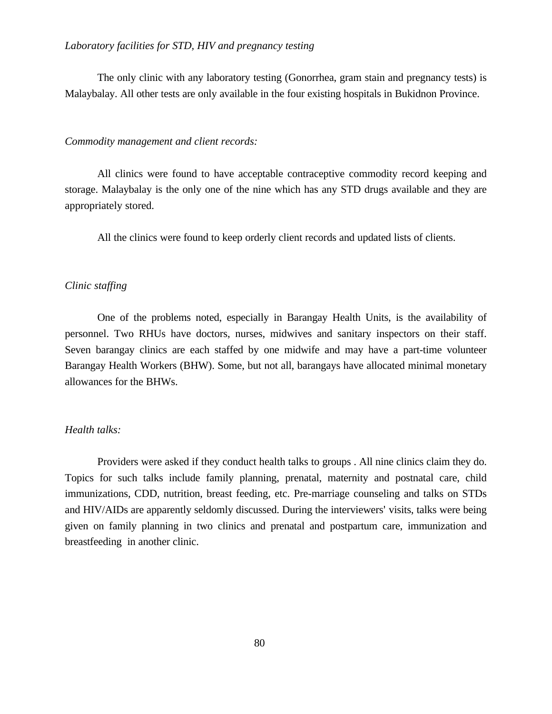#### *Laboratory facilities for STD, HIV and pregnancy testing*

The only clinic with any laboratory testing (Gonorrhea, gram stain and pregnancy tests) is Malaybalay. All other tests are only available in the four existing hospitals in Bukidnon Province.

#### *Commodity management and client records:*

All clinics were found to have acceptable contraceptive commodity record keeping and storage. Malaybalay is the only one of the nine which has any STD drugs available and they are appropriately stored.

All the clinics were found to keep orderly client records and updated lists of clients.

#### *Clinic staffing*

One of the problems noted, especially in Barangay Health Units, is the availability of personnel. Two RHUs have doctors, nurses, midwives and sanitary inspectors on their staff. Seven barangay clinics are each staffed by one midwife and may have a part-time volunteer Barangay Health Workers (BHW). Some, but not all, barangays have allocated minimal monetary allowances for the BHWs.

#### *Health talks:*

Providers were asked if they conduct health talks to groups . All nine clinics claim they do. Topics for such talks include family planning, prenatal, maternity and postnatal care, child immunizations, CDD, nutrition, breast feeding, etc. Pre-marriage counseling and talks on STDs and HIV/AIDs are apparently seldomly discussed. During the interviewers' visits, talks were being given on family planning in two clinics and prenatal and postpartum care, immunization and breastfeeding in another clinic.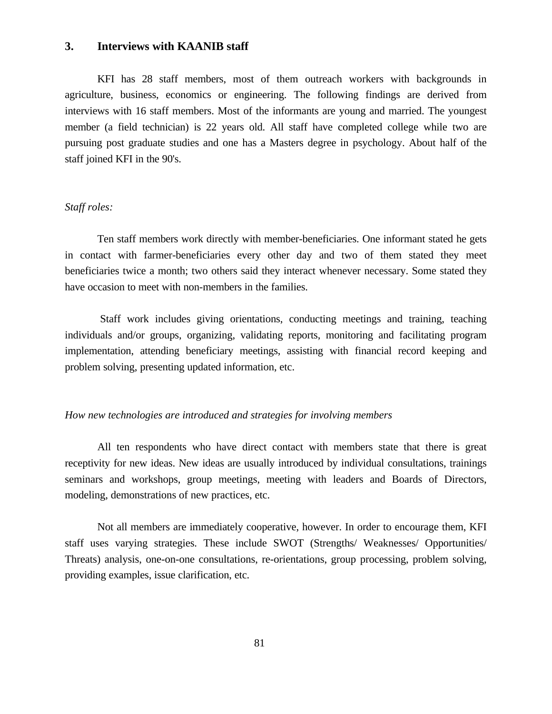## **3. Interviews with KAANIB staff**

KFI has 28 staff members, most of them outreach workers with backgrounds in agriculture, business, economics or engineering. The following findings are derived from interviews with 16 staff members. Most of the informants are young and married. The youngest member (a field technician) is 22 years old. All staff have completed college while two are pursuing post graduate studies and one has a Masters degree in psychology. About half of the staff joined KFI in the 90's.

#### *Staff roles:*

Ten staff members work directly with member-beneficiaries. One informant stated he gets in contact with farmer-beneficiaries every other day and two of them stated they meet beneficiaries twice a month; two others said they interact whenever necessary. Some stated they have occasion to meet with non-members in the families.

 Staff work includes giving orientations, conducting meetings and training, teaching individuals and/or groups, organizing, validating reports, monitoring and facilitating program implementation, attending beneficiary meetings, assisting with financial record keeping and problem solving, presenting updated information, etc.

#### *How new technologies are introduced and strategies for involving members*

All ten respondents who have direct contact with members state that there is great receptivity for new ideas. New ideas are usually introduced by individual consultations, trainings seminars and workshops, group meetings, meeting with leaders and Boards of Directors, modeling, demonstrations of new practices, etc.

Not all members are immediately cooperative, however. In order to encourage them, KFI staff uses varying strategies. These include SWOT (Strengths/ Weaknesses/ Opportunities/ Threats) analysis, one-on-one consultations, re-orientations, group processing, problem solving, providing examples, issue clarification, etc.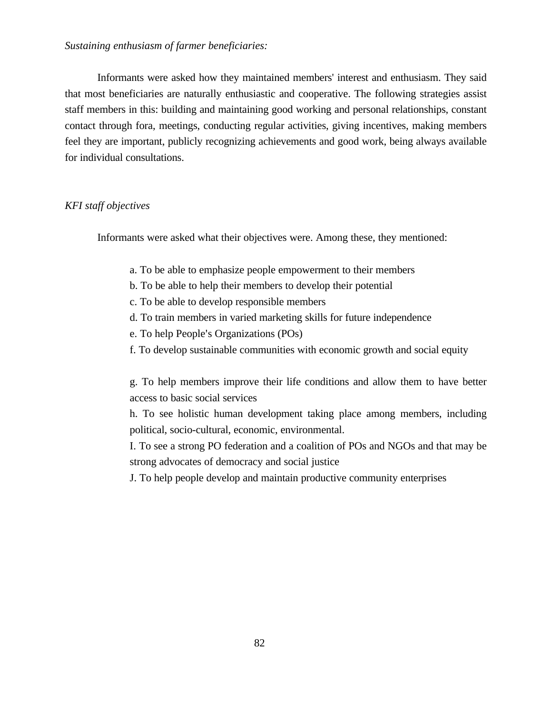## *Sustaining enthusiasm of farmer beneficiaries:*

Informants were asked how they maintained members' interest and enthusiasm. They said that most beneficiaries are naturally enthusiastic and cooperative. The following strategies assist staff members in this: building and maintaining good working and personal relationships, constant contact through fora, meetings, conducting regular activities, giving incentives, making members feel they are important, publicly recognizing achievements and good work, being always available for individual consultations.

## *KFI staff objectives*

Informants were asked what their objectives were. Among these, they mentioned:

- a. To be able to emphasize people empowerment to their members
- b. To be able to help their members to develop their potential
- c. To be able to develop responsible members
- d. To train members in varied marketing skills for future independence
- e. To help People's Organizations (POs)
- f. To develop sustainable communities with economic growth and social equity

g. To help members improve their life conditions and allow them to have better access to basic social services

h. To see holistic human development taking place among members, including political, socio-cultural, economic, environmental.

I. To see a strong PO federation and a coalition of POs and NGOs and that may be strong advocates of democracy and social justice

J. To help people develop and maintain productive community enterprises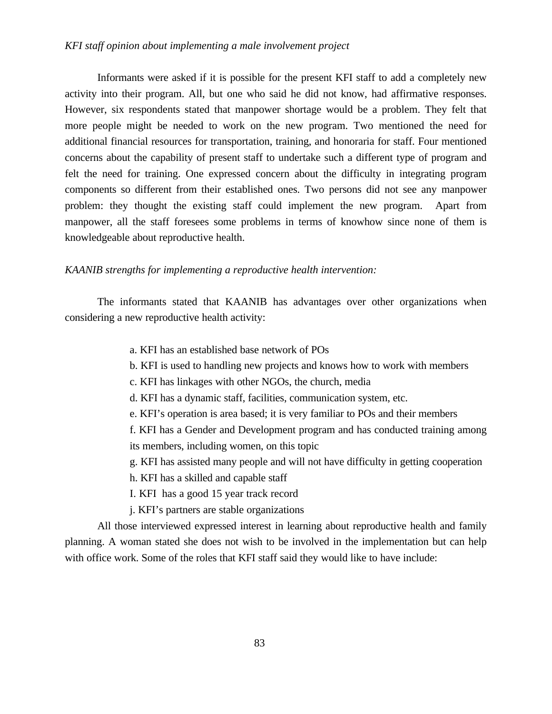#### *KFI staff opinion about implementing a male involvement project*

Informants were asked if it is possible for the present KFI staff to add a completely new activity into their program. All, but one who said he did not know, had affirmative responses. However, six respondents stated that manpower shortage would be a problem. They felt that more people might be needed to work on the new program. Two mentioned the need for additional financial resources for transportation, training, and honoraria for staff. Four mentioned concerns about the capability of present staff to undertake such a different type of program and felt the need for training. One expressed concern about the difficulty in integrating program components so different from their established ones. Two persons did not see any manpower problem: they thought the existing staff could implement the new program. Apart from manpower, all the staff foresees some problems in terms of knowhow since none of them is knowledgeable about reproductive health.

#### *KAANIB strengths for implementing a reproductive health intervention:*

The informants stated that KAANIB has advantages over other organizations when considering a new reproductive health activity:

- a. KFI has an established base network of POs
- b. KFI is used to handling new projects and knows how to work with members
- c. KFI has linkages with other NGOs, the church, media
- d. KFI has a dynamic staff, facilities, communication system, etc.
- e. KFI's operation is area based; it is very familiar to POs and their members

f. KFI has a Gender and Development program and has conducted training among its members, including women, on this topic

- g. KFI has assisted many people and will not have difficulty in getting cooperation
- h. KFI has a skilled and capable staff
- I. KFI has a good 15 year track record
- j. KFI's partners are stable organizations

All those interviewed expressed interest in learning about reproductive health and family planning. A woman stated she does not wish to be involved in the implementation but can help with office work. Some of the roles that KFI staff said they would like to have include: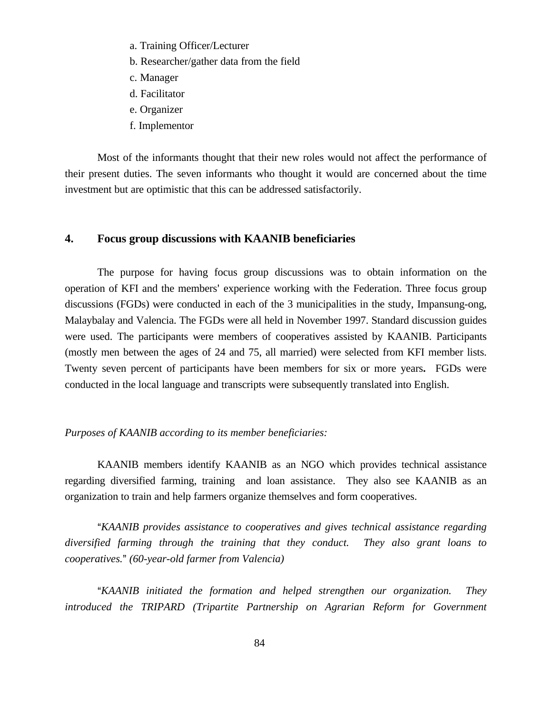- a. Training Officer/Lecturer
- b. Researcher/gather data from the field
- c. Manager
- d. Facilitator
- e. Organizer
- f. Implementor

Most of the informants thought that their new roles would not affect the performance of their present duties. The seven informants who thought it would are concerned about the time investment but are optimistic that this can be addressed satisfactorily.

# **4. Focus group discussions with KAANIB beneficiaries**

The purpose for having focus group discussions was to obtain information on the operation of KFI and the members' experience working with the Federation. Three focus group discussions (FGDs) were conducted in each of the 3 municipalities in the study, Impansung-ong, Malaybalay and Valencia. The FGDs were all held in November 1997. Standard discussion guides were used. The participants were members of cooperatives assisted by KAANIB. Participants (mostly men between the ages of 24 and 75, all married) were selected from KFI member lists. Twenty seven percent of participants have been members for six or more years**.** FGDs were conducted in the local language and transcripts were subsequently translated into English.

## *Purposes of KAANIB according to its member beneficiaries:*

KAANIB members identify KAANIB as an NGO which provides technical assistance regarding diversified farming, training and loan assistance. They also see KAANIB as an organization to train and help farmers organize themselves and form cooperatives.

*AKAANIB provides assistance to cooperatives and gives technical assistance regarding diversified farming through the training that they conduct. They also grant loans to cooperatives.@ (60-year-old farmer from Valencia)* 

*AKAANIB initiated the formation and helped strengthen our organization. They introduced the TRIPARD (Tripartite Partnership on Agrarian Reform for Government*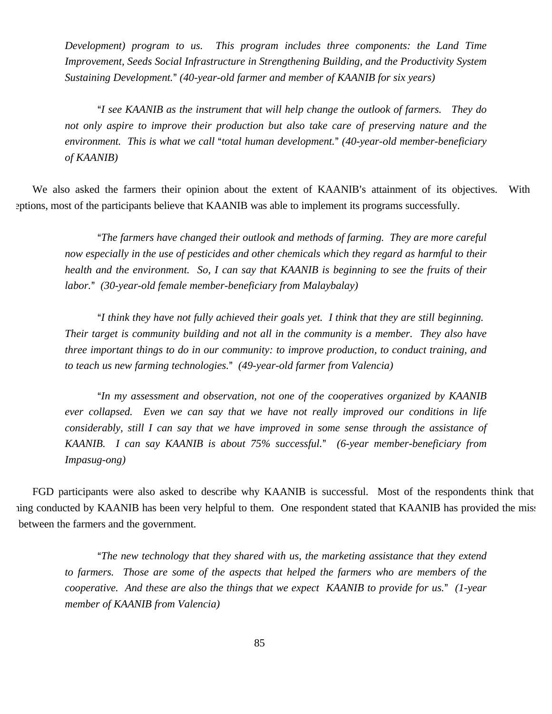*Development) program to us. This program includes three components: the Land Time Improvement, Seeds Social Infrastructure in Strengthening Building, and the Productivity System Sustaining Development.@ (40-year-old farmer and member of KAANIB for six years)*

*AI see KAANIB as the instrument that will help change the outlook of farmers. They do not only aspire to improve their production but also take care of preserving nature and the environment. This is what we call "total human development." (40-year-old member-beneficiary of KAANIB)*

We also asked the farmers their opinion about the extent of KAANIB's attainment of its objectives. With eptions, most of the participants believe that KAANIB was able to implement its programs successfully.

<sup>a</sup>The farmers have changed their outlook and methods of farming. They are more careful *now especially in the use of pesticides and other chemicals which they regard as harmful to their health and the environment. So, I can say that KAANIB is beginning to see the fruits of their labor.@ (30-year-old female member-beneficiary from Malaybalay)*

*AI think they have not fully achieved their goals yet. I think that they are still beginning. Their target is community building and not all in the community is a member. They also have three important things to do in our community: to improve production, to conduct training, and to teach us new farming technologies.@ (49-year-old farmer from Valencia)*

*A*<sup>*In my assessment and observation, not one of the cooperatives organized by KAANIB*</sup> *ever collapsed. Even we can say that we have not really improved our conditions in life considerably, still I can say that we have improved in some sense through the assistance of KAANIB. I can say KAANIB is about 75% successful.@ (6-year member-beneficiary from Impasug-ong)*

FGD participants were also asked to describe why KAANIB is successful. Most of the respondents think that ning conducted by KAANIB has been very helpful to them. One respondent stated that KAANIB has provided the miss between the farmers and the government.

*A*<sup>*The new technology that they shared with us, the marketing assistance that they extend*</sup> *to farmers. Those are some of the aspects that helped the farmers who are members of the cooperative. And these are also the things that we expect KAANIB to provide for us.@ (1-year member of KAANIB from Valencia)*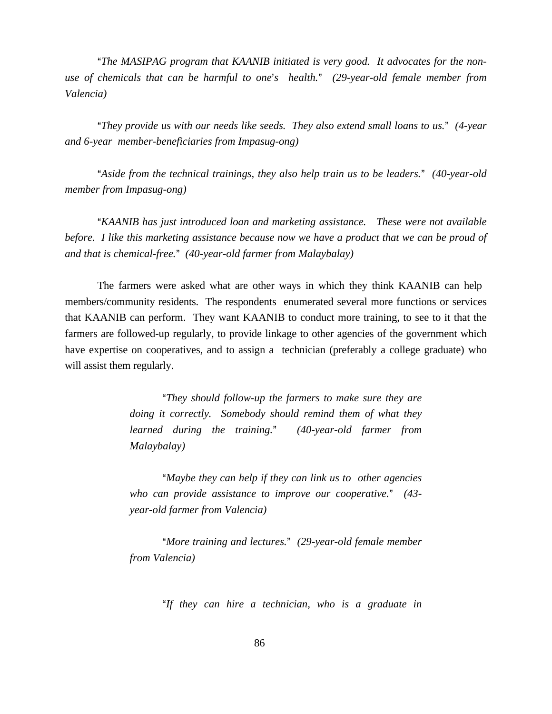"The MASIPAG program that KAANIB initiated is very good. It advocates for the non*use of chemicals that can be harmful to one*'s *health.*<sup>*n*</sup> (29-year-old female member from *Valencia)*

*AThey provide us with our needs like seeds. They also extend small loans to us.@ (4-year and 6-year member-beneficiaries from Impasug-ong)*

*AAside from the technical trainings, they also help train us to be leaders.@ (40-year-old member from Impasug-ong)*

*AKAANIB has just introduced loan and marketing assistance. These were not available before. I like this marketing assistance because now we have a product that we can be proud of and that is chemical-free.@ (40-year-old farmer from Malaybalay)*

The farmers were asked what are other ways in which they think KAANIB can help members/community residents. The respondents enumerated several more functions or services that KAANIB can perform. They want KAANIB to conduct more training, to see to it that the farmers are followed-up regularly, to provide linkage to other agencies of the government which have expertise on cooperatives, and to assign a technician (preferably a college graduate) who will assist them regularly.

> *A*<sup>*They should follow-up the farmers to make sure they are*</sup> *doing it correctly. Somebody should remind them of what they learned during the training.@ (40-year-old farmer from Malaybalay)*

> *AMaybe they can help if they can link us to other agencies who can provide assistance to improve our cooperative.@ (43 year-old farmer from Valencia)*

> *AMore training and lectures.@ (29-year-old female member from Valencia)*

> > *AIf they can hire a technician, who is a graduate in*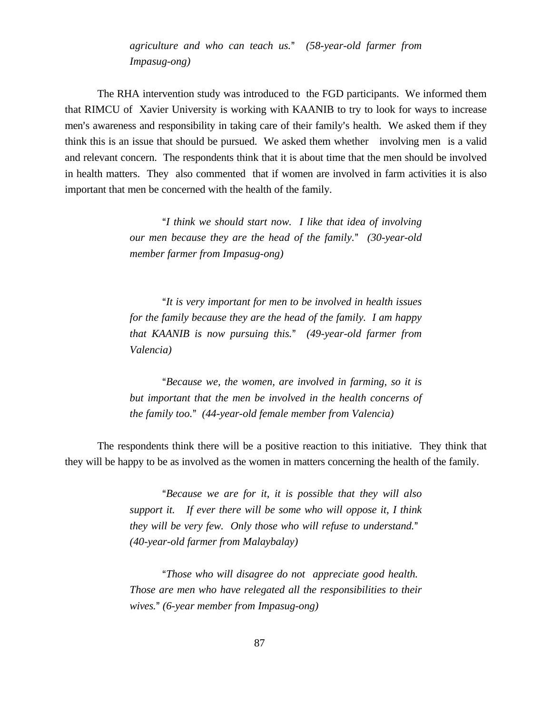*agriculture and who can teach us.@ (58-year-old farmer from Impasug-ong)*

The RHA intervention study was introduced to the FGD participants. We informed them that RIMCU of Xavier University is working with KAANIB to try to look for ways to increase men's awareness and responsibility in taking care of their family's health. We asked them if they think this is an issue that should be pursued. We asked them whether involving men is a valid and relevant concern. The respondents think that it is about time that the men should be involved in health matters. They also commented that if women are involved in farm activities it is also important that men be concerned with the health of the family.

> *AI think we should start now. I like that idea of involving our men because they are the head of the family.@ (30-year-old member farmer from Impasug-ong)*

> *A*<sup>*It is very important for men to be involved in health issues*</sup> *for the family because they are the head of the family. I am happy that KAANIB is now pursuing this.@ (49-year-old farmer from Valencia)*

> *A***Because** we, the women, are involved in farming, so it is *but important that the men be involved in the health concerns of the family too.@ (44-year-old female member from Valencia)*

The respondents think there will be a positive reaction to this initiative. They think that they will be happy to be as involved as the women in matters concerning the health of the family.

> *A***Because** we are for it, it is possible that they will also *support it. If ever there will be some who will oppose it, I think they will be very few. Only those who will refuse to understand.*<sup>*n*</sup> *(40-year-old farmer from Malaybalay)*

> *AThose who will disagree do not appreciate good health. Those are men who have relegated all the responsibilities to their wives.@ (6-year member from Impasug-ong)*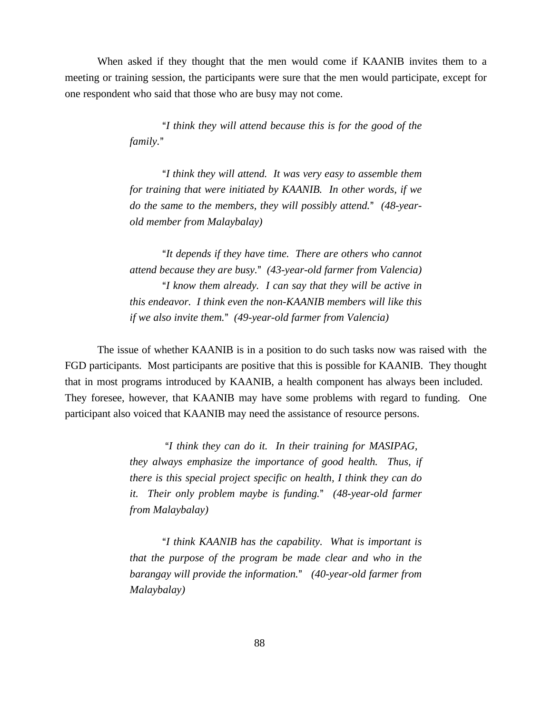When asked if they thought that the men would come if KAANIB invites them to a meeting or training session, the participants were sure that the men would participate, except for one respondent who said that those who are busy may not come.

> *AI think they will attend because this is for the good of the family.@*

> "*I think they will attend. It was very easy to assemble them for training that were initiated by KAANIB. In other words, if we do the same to the members, they will possibly attend.@ (48-yearold member from Malaybalay)*

> *A*<sup>*It depends if they have time. There are others who cannot*</sup> *attend because they are busy.@ (43-year-old farmer from Valencia) A*<sup>*I*</sup> know them already. I can say that they will be active in *this endeavor. I think even the non-KAANIB members will like this if we also invite them.@ (49-year-old farmer from Valencia)*

The issue of whether KAANIB is in a position to do such tasks now was raised with the FGD participants. Most participants are positive that this is possible for KAANIB. They thought that in most programs introduced by KAANIB, a health component has always been included. They foresee, however, that KAANIB may have some problems with regard to funding. One participant also voiced that KAANIB may need the assistance of resource persons.

> "*I think they can do it. In their training for MASIPAG, they always emphasize the importance of good health. Thus, if there is this special project specific on health, I think they can do it. Their only problem maybe is funding.@ (48-year-old farmer from Malaybalay)*

> "*I think KAANIB has the capability. What is important is that the purpose of the program be made clear and who in the barangay will provide the information.@ (40-year-old farmer from Malaybalay)*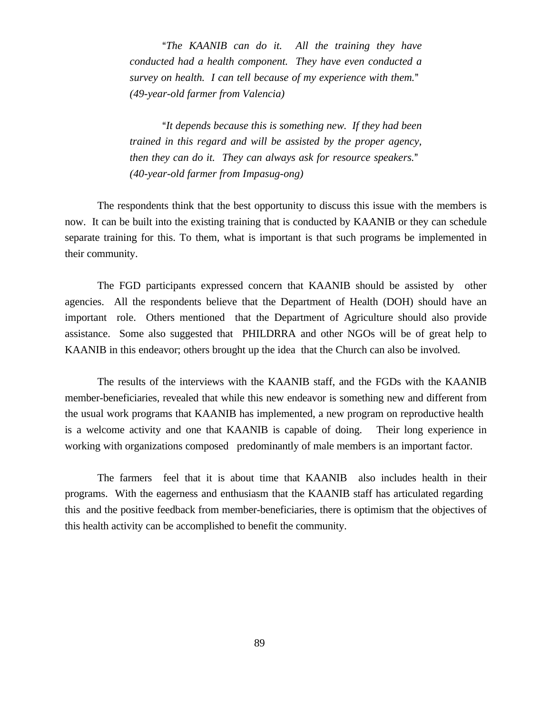*A*<sup>*The KAANIB can do it. All the training they have*</sup> *conducted had a health component. They have even conducted a survey on health. I can tell because of my experience with them.@ (49-year-old farmer from Valencia)*

*AIt depends because this is something new. If they had been trained in this regard and will be assisted by the proper agency, then they can do it. They can always ask for resource speakers.*<sup>*n*</sup> *(40-year-old farmer from Impasug-ong)* 

The respondents think that the best opportunity to discuss this issue with the members is now. It can be built into the existing training that is conducted by KAANIB or they can schedule separate training for this. To them, what is important is that such programs be implemented in their community.

The FGD participants expressed concern that KAANIB should be assisted by other agencies. All the respondents believe that the Department of Health (DOH) should have an important role. Others mentioned that the Department of Agriculture should also provide assistance. Some also suggested that PHILDRRA and other NGOs will be of great help to KAANIB in this endeavor; others brought up the idea that the Church can also be involved.

The results of the interviews with the KAANIB staff, and the FGDs with the KAANIB member-beneficiaries, revealed that while this new endeavor is something new and different from the usual work programs that KAANIB has implemented, a new program on reproductive health is a welcome activity and one that KAANIB is capable of doing. Their long experience in working with organizations composed predominantly of male members is an important factor.

The farmers feel that it is about time that KAANIB also includes health in their programs. With the eagerness and enthusiasm that the KAANIB staff has articulated regarding this and the positive feedback from member-beneficiaries, there is optimism that the objectives of this health activity can be accomplished to benefit the community.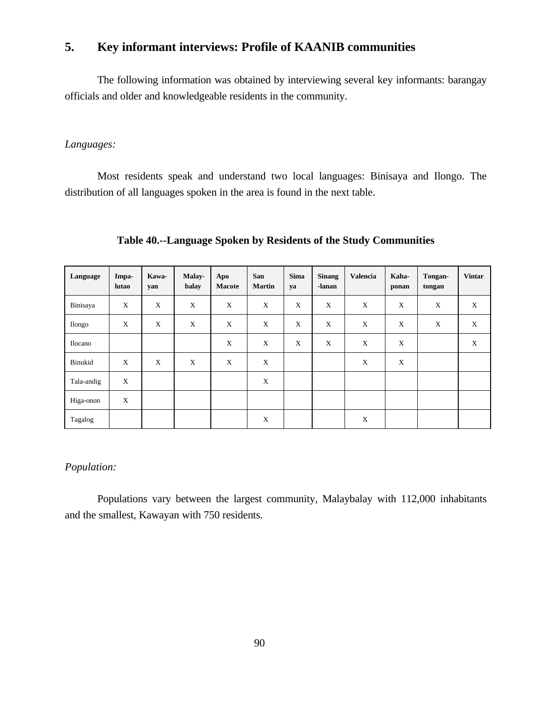# **5. Key informant interviews: Profile of KAANIB communities**

The following information was obtained by interviewing several key informants: barangay officials and older and knowledgeable residents in the community.

## *Languages:*

Most residents speak and understand two local languages: Binisaya and Ilongo. The distribution of all languages spoken in the area is found in the next table.

**Table 40.--Language Spoken by Residents of the Study Communities**

| Language   | Impa-<br>lutao | Kawa-<br>yan | Malay-<br>balay | Apo<br><b>Macote</b> | San<br><b>Martin</b> | <b>Sima</b><br>ya | <b>Sinang</b><br>-lanan | <b>Valencia</b> | Kaha-<br>ponan | Tongan-<br>tongan | <b>Vintar</b> |
|------------|----------------|--------------|-----------------|----------------------|----------------------|-------------------|-------------------------|-----------------|----------------|-------------------|---------------|
| Binisaya   | X              | X            | X               | X                    | X                    | X                 | X                       | X               | X              | X                 | X             |
| Ilongo     | X              | X            | X               | X                    | X                    | X                 | X                       | X               | X              | X                 | X             |
| Ilocano    |                |              |                 | X                    | X                    | X                 | X                       | X               | X              |                   | X             |
| Binukid    | X              | X            | X               | X                    | X                    |                   |                         | X               | X              |                   |               |
| Tala-andig | X              |              |                 |                      | X                    |                   |                         |                 |                |                   |               |
| Higa-onon  | X              |              |                 |                      |                      |                   |                         |                 |                |                   |               |
| Tagalog    |                |              |                 |                      | X                    |                   |                         | X               |                |                   |               |

## *Population:*

Populations vary between the largest community, Malaybalay with 112,000 inhabitants and the smallest, Kawayan with 750 residents.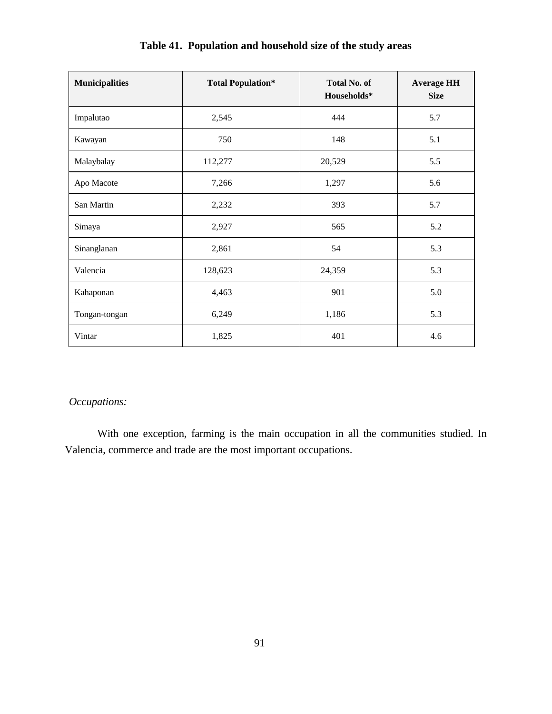| <b>Municipalities</b> | <b>Total Population*</b> | <b>Total No. of</b><br>Households* | <b>Average HH</b><br><b>Size</b> |
|-----------------------|--------------------------|------------------------------------|----------------------------------|
| Impalutao             | 2,545                    | 444                                | 5.7                              |
| Kawayan               | 750                      | 148                                | 5.1                              |
| Malaybalay            | 112,277                  | 20,529                             | 5.5                              |
| Apo Macote            | 7,266                    | 1,297                              | 5.6                              |
| San Martin            | 2,232                    | 393                                | 5.7                              |
| Simaya                | 2,927                    | 565                                | 5.2                              |
| Sinanglanan           | 2,861                    | 54                                 | 5.3                              |
| Valencia              | 128,623                  | 24,359                             | 5.3                              |
| Kahaponan             | 4,463                    | 901                                | 5.0                              |
| Tongan-tongan         | 6,249                    | 1,186                              | 5.3                              |
| Vintar                | 1,825                    | 401                                | 4.6                              |

# **Table 41. Population and household size of the study areas**

# *Occupations:*

With one exception, farming is the main occupation in all the communities studied. In Valencia, commerce and trade are the most important occupations.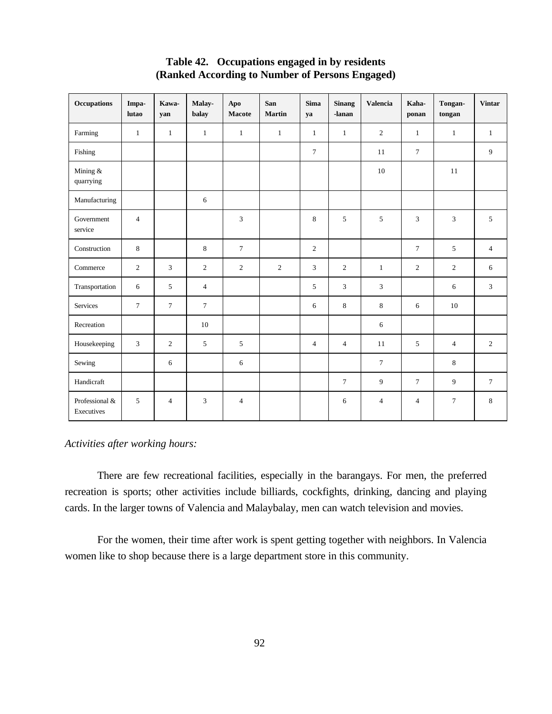| <b>Occupations</b>           | Impa-<br>lutao | Kawa-<br>yan   | Malay-<br>balay | Apo<br>Macote  | San<br><b>Martin</b> | <b>Sima</b><br>ya | <b>Sinang</b><br>-lanan | <b>Valencia</b> | Kaha-<br>ponan | Tongan-<br>tongan | <b>Vintar</b>  |
|------------------------------|----------------|----------------|-----------------|----------------|----------------------|-------------------|-------------------------|-----------------|----------------|-------------------|----------------|
| Farming                      | $\mathbf{1}$   | $\mathbf{1}$   | $\mathbf{1}$    | $\mathbf{1}$   | $\mathbf{1}$         | $\mathbf{1}$      | $\mathbf{1}$            | $\overline{2}$  | $\mathbf{1}$   | $\mathbf{1}$      | $\mathbf{1}$   |
| Fishing                      |                |                |                 |                |                      | $\tau$            |                         | 11              | $\overline{7}$ |                   | 9              |
| Mining &<br>quarrying        |                |                |                 |                |                      |                   |                         | 10              |                | 11                |                |
| Manufacturing                |                |                | 6               |                |                      |                   |                         |                 |                |                   |                |
| Government<br>service        | $\overline{4}$ |                |                 | 3              |                      | $8\,$             | 5                       | 5               | $\overline{3}$ | $\mathfrak{Z}$    | 5              |
| Construction                 | 8              |                | 8               | $\tau$         |                      | $\overline{2}$    |                         |                 | $\overline{7}$ | 5                 | $\overline{4}$ |
| Commerce                     | $\overline{2}$ | 3              | $\overline{2}$  | 2              | 2                    | $\mathfrak{Z}$    | $\overline{2}$          | $\mathbf{1}$    | 2              | 2                 | 6              |
| Transportation               | 6              | 5              | $\overline{4}$  |                |                      | 5                 | 3                       | 3               |                | 6                 | $\mathfrak{Z}$ |
| Services                     | $\tau$         | $\overline{7}$ | $\overline{7}$  |                |                      | 6                 | 8                       | 8               | 6              | 10                |                |
| Recreation                   |                |                | 10              |                |                      |                   |                         | 6               |                |                   |                |
| Housekeeping                 | 3              | $\overline{2}$ | 5               | 5              |                      | $\overline{4}$    | $\overline{4}$          | 11              | 5              | $\overline{4}$    | $\overline{2}$ |
| Sewing                       |                | 6              |                 | 6              |                      |                   |                         | $\tau$          |                | 8                 |                |
| Handicraft                   |                |                |                 |                |                      |                   | $\overline{7}$          | 9               | $\overline{7}$ | 9                 | $\tau$         |
| Professional &<br>Executives | 5              | $\overline{4}$ | 3               | $\overline{4}$ |                      |                   | 6                       | $\overline{4}$  | $\overline{4}$ | $\tau$            | 8              |

# **Table 42. Occupations engaged in by residents (Ranked According to Number of Persons Engaged)**

# *Activities after working hours:*

There are few recreational facilities, especially in the barangays. For men, the preferred recreation is sports; other activities include billiards, cockfights, drinking, dancing and playing cards. In the larger towns of Valencia and Malaybalay, men can watch television and movies.

For the women, their time after work is spent getting together with neighbors. In Valencia women like to shop because there is a large department store in this community.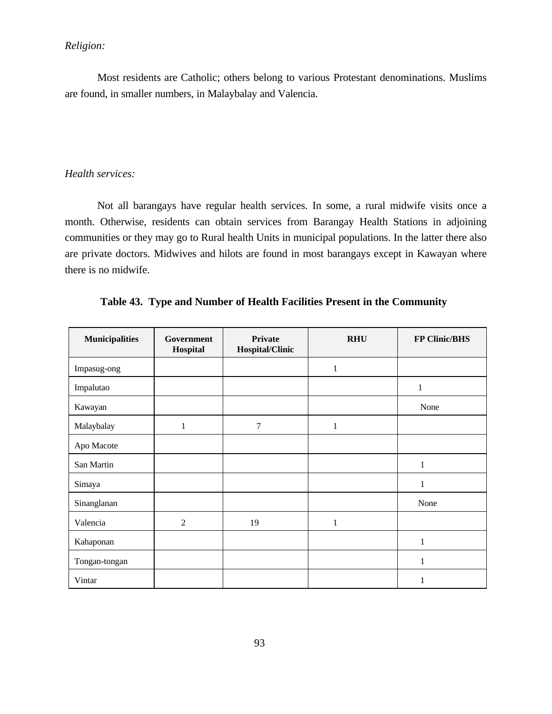# *Religion:*

Most residents are Catholic; others belong to various Protestant denominations. Muslims are found, in smaller numbers, in Malaybalay and Valencia.

## *Health services:*

Not all barangays have regular health services. In some, a rural midwife visits once a month. Otherwise, residents can obtain services from Barangay Health Stations in adjoining communities or they may go to Rural health Units in municipal populations. In the latter there also are private doctors. Midwives and hilots are found in most barangays except in Kawayan where there is no midwife.

| <b>Municipalities</b> | Government<br>Hospital | Private<br>Hospital/Clinic | <b>RHU</b>   | <b>FP Clinic/BHS</b> |
|-----------------------|------------------------|----------------------------|--------------|----------------------|
| Impasug-ong           |                        |                            | $\mathbf{1}$ |                      |
| Impalutao             |                        |                            |              | 1                    |
| Kawayan               |                        |                            |              | None                 |
| Malaybalay            | $\mathbf{1}$           | 7                          | $\mathbf{1}$ |                      |
| Apo Macote            |                        |                            |              |                      |
| San Martin            |                        |                            |              | 1                    |
| Simaya                |                        |                            |              | 1                    |
| Sinanglanan           |                        |                            |              | None                 |
| Valencia              | $\overline{2}$         | 19                         | $\mathbf{1}$ |                      |
| Kahaponan             |                        |                            |              | 1                    |
| Tongan-tongan         |                        |                            |              | 1                    |
| Vintar                |                        |                            |              | 1                    |

|  |  |  |  |  |  |  | Table 43. Type and Number of Health Facilities Present in the Community |
|--|--|--|--|--|--|--|-------------------------------------------------------------------------|
|--|--|--|--|--|--|--|-------------------------------------------------------------------------|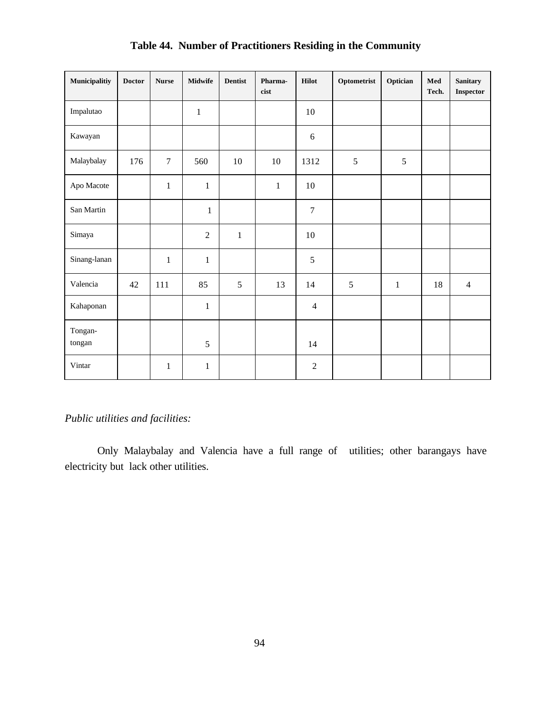| Municipalitiy     | <b>Doctor</b> | <b>Nurse</b>     | <b>Midwife</b> | <b>Dentist</b> | Pharma-<br>cist | <b>Hilot</b>     | Optometrist | Optician     | Med<br>Tech. | <b>Sanitary</b><br>Inspector |
|-------------------|---------------|------------------|----------------|----------------|-----------------|------------------|-------------|--------------|--------------|------------------------------|
| Impalutao         |               |                  | $\mathbf 1$    |                |                 | 10               |             |              |              |                              |
| Kawayan           |               |                  |                |                |                 | $6\,$            |             |              |              |                              |
| Malaybalay        | 176           | $\boldsymbol{7}$ | 560            | $10\,$         | 10              | 1312             | 5           | 5            |              |                              |
| Apo Macote        |               | $\mathbf{1}$     | $\mathbf{1}$   |                | $\,1\,$         | 10               |             |              |              |                              |
| San Martin        |               |                  | $\mathbf 1$    |                |                 | $\boldsymbol{7}$ |             |              |              |                              |
| Simaya            |               |                  | $\overline{2}$ | $\mathbf{1}$   |                 | 10               |             |              |              |                              |
| Sinang-lanan      |               | $\mathbf{1}$     | $\mathbf{1}$   |                |                 | $\sqrt{5}$       |             |              |              |                              |
| Valencia          | 42            | 111              | 85             | 5              | 13              | 14               | 5           | $\mathbf{1}$ | 18           | $\overline{4}$               |
| Kahaponan         |               |                  | $\mathbf{1}$   |                |                 | $\overline{4}$   |             |              |              |                              |
| Tongan-<br>tongan |               |                  | 5              |                |                 | 14               |             |              |              |                              |
| Vintar            |               | $\mathbf{1}$     | $\,1$          |                |                 | $\mathfrak{2}$   |             |              |              |                              |

# **Table 44. Number of Practitioners Residing in the Community**

# *Public utilities and facilities:*

Only Malaybalay and Valencia have a full range of utilities; other barangays have electricity but lack other utilities.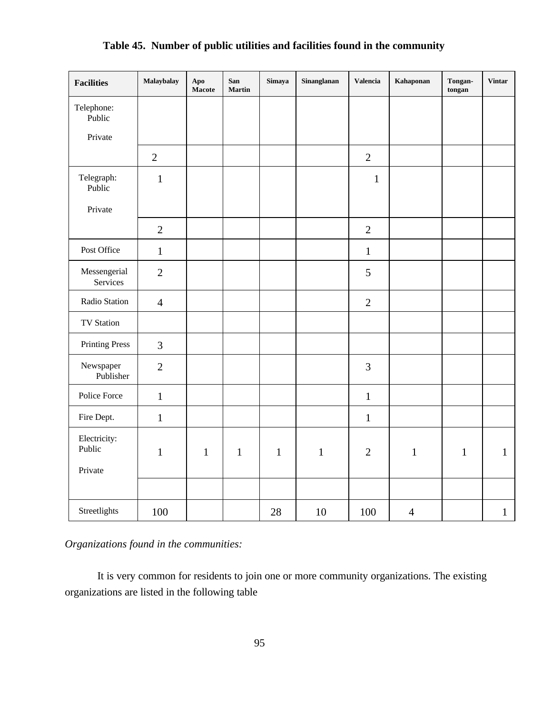| <b>Facilities</b>               | Malaybalay     | Apo<br>Macote | San<br><b>Martin</b> | Simaya       | Sinanglanan  | <b>Valencia</b> | Kahaponan      | Tongan-<br>tongan | <b>Vintar</b> |
|---------------------------------|----------------|---------------|----------------------|--------------|--------------|-----------------|----------------|-------------------|---------------|
| Telephone:<br>Public<br>Private |                |               |                      |              |              |                 |                |                   |               |
|                                 | $\mathbf{2}$   |               |                      |              |              | $\overline{2}$  |                |                   |               |
| Telegraph:<br>Public            | $\mathbf{1}$   |               |                      |              |              | $\mathbf{1}$    |                |                   |               |
| Private                         |                |               |                      |              |              |                 |                |                   |               |
|                                 | $\overline{2}$ |               |                      |              |              | $\overline{2}$  |                |                   |               |
| Post Office                     | $\mathbf{1}$   |               |                      |              |              | $\mathbf{1}$    |                |                   |               |
| Messengerial<br>Services        | $\overline{2}$ |               |                      |              |              | 5               |                |                   |               |
| Radio Station                   | $\overline{4}$ |               |                      |              |              | $\overline{2}$  |                |                   |               |
| <b>TV Station</b>               |                |               |                      |              |              |                 |                |                   |               |
| <b>Printing Press</b>           | 3              |               |                      |              |              |                 |                |                   |               |
| Newspaper<br>Publisher          | $\overline{2}$ |               |                      |              |              | 3               |                |                   |               |
| Police Force                    | $\mathbf{1}$   |               |                      |              |              | $\mathbf{1}$    |                |                   |               |
| Fire Dept.                      | $\mathbf{1}$   |               |                      |              |              | $\mathbf{1}$    |                |                   |               |
| Electricity:<br>Public          | $\mathbf{1}$   | $\mathbf{1}$  | $\mathbf{1}$         | $\mathbf{1}$ | $\mathbf{1}$ | $\overline{2}$  | $\mathbf{1}$   | $\mathbf{1}$      | $\mathbf{1}$  |
| Private                         |                |               |                      |              |              |                 |                |                   |               |
| Streetlights                    | 100            |               |                      | 28           | 10           | 100             | $\overline{4}$ |                   | $\mathbf{1}$  |

# **Table 45. Number of public utilities and facilities found in the community**

*Organizations found in the communities:*

It is very common for residents to join one or more community organizations. The existing organizations are listed in the following table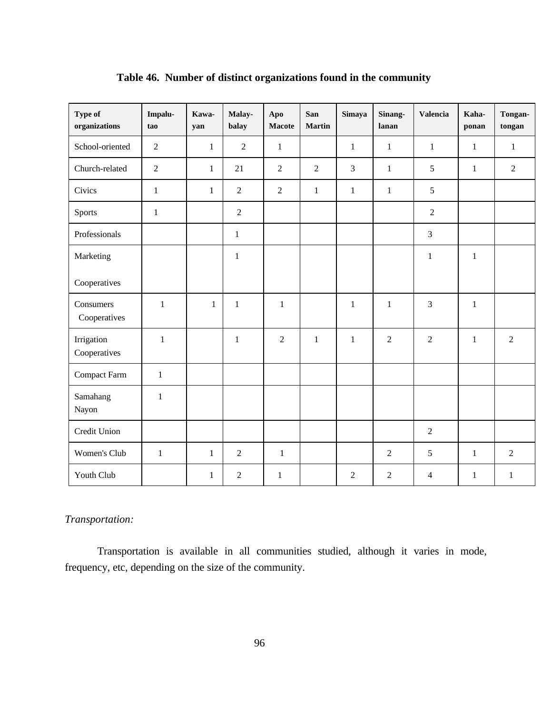| Type of<br>organizations   | Impalu-<br>tao | Kawa-<br>yan | Malay-<br>balay | Apo<br>Macote  | San<br><b>Martin</b> | Simaya         | Sinang-<br>lanan | Valencia       | Kaha-<br>ponan | Tongan-<br>tongan |
|----------------------------|----------------|--------------|-----------------|----------------|----------------------|----------------|------------------|----------------|----------------|-------------------|
| School-oriented            | $\overline{c}$ | $\mathbf{1}$ | $\overline{2}$  | $\mathbf{1}$   |                      | $\mathbf{1}$   | $\mathbf{1}$     | $\mathbf{1}$   | $\mathbf{1}$   | $\mathbf{1}$      |
| Church-related             | $\overline{2}$ | $\mathbf{1}$ | 21              | $\overline{2}$ | $\overline{2}$       | 3              | $\mathbf{1}$     | 5              | $\mathbf{1}$   | $\overline{2}$    |
| Civics                     | $\mathbf{1}$   | $\mathbf{1}$ | $\overline{2}$  | $\overline{2}$ | $\mathbf{1}$         | $\mathbf{1}$   | $\mathbf{1}$     | 5              |                |                   |
| Sports                     | $\mathbf{1}$   |              | $\overline{2}$  |                |                      |                |                  | $\overline{2}$ |                |                   |
| Professionals              |                |              | $\mathbf{1}$    |                |                      |                |                  | $\overline{3}$ |                |                   |
| Marketing                  |                |              | $\mathbf{1}$    |                |                      |                |                  | $\mathbf{1}$   | $\mathbf{1}$   |                   |
| Cooperatives               |                |              |                 |                |                      |                |                  |                |                |                   |
| Consumers<br>Cooperatives  | $\mathbf{1}$   | $\mathbf{1}$ | $\mathbf{1}$    | $\mathbf{1}$   |                      | $\mathbf{1}$   | $\mathbf{1}$     | 3              | $\mathbf{1}$   |                   |
| Irrigation<br>Cooperatives | $\mathbf{1}$   |              | $\mathbf{1}$    | $\overline{2}$ | $\mathbf{1}$         | $\mathbf{1}$   | $\overline{2}$   | $\overline{2}$ | $\mathbf{1}$   | $\overline{2}$    |
| Compact Farm               | $\mathbf{1}$   |              |                 |                |                      |                |                  |                |                |                   |
| Samahang<br>Nayon          | 1              |              |                 |                |                      |                |                  |                |                |                   |
| Credit Union               |                |              |                 |                |                      |                |                  | $\mathfrak{2}$ |                |                   |
| Women's Club               | $\mathbf{1}$   | $\mathbf{1}$ | $\overline{2}$  | $\mathbf{1}$   |                      |                | $\overline{2}$   | 5              | $\mathbf{1}$   | $\overline{2}$    |
| Youth Club                 |                | 1            | $\overline{2}$  | $\mathbf{1}$   |                      | $\overline{2}$ | $\overline{2}$   | $\overline{4}$ | $\mathbf{1}$   | $\mathbf{1}$      |

# **Table 46. Number of distinct organizations found in the community**

# *Transportation:*

Transportation is available in all communities studied, although it varies in mode, frequency, etc, depending on the size of the community.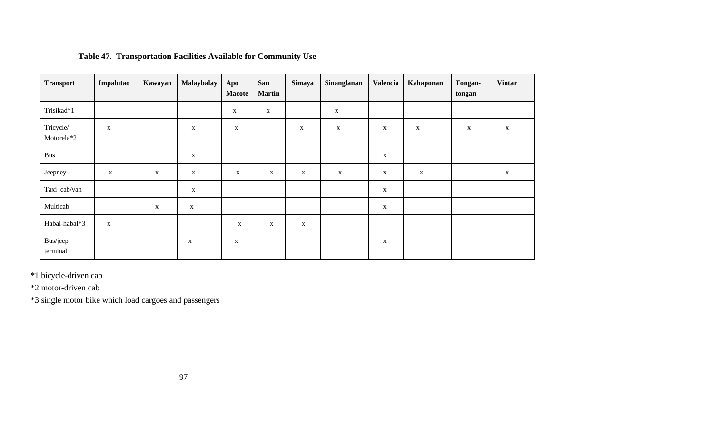| <b>Transport</b>        | Impalutao    | Kawayan     | Malaybalay   | Apo<br><b>Macote</b> | San<br><b>Martin</b> | Simaya       | Sinanglanan  | Valencia     | Kahaponan   | Tongan-<br>tongan | <b>Vintar</b> |
|-------------------------|--------------|-------------|--------------|----------------------|----------------------|--------------|--------------|--------------|-------------|-------------------|---------------|
| Trisikad*1              |              |             |              | $\mathbf X$          | $\mathbf X$          |              | $\mathbf{X}$ |              |             |                   |               |
| Tricycle/<br>Motorela*2 | $\mathbf X$  |             | $\mathbf X$  | $\mathbf X$          |                      | $\mathbf X$  | $\mathbf X$  | $\mathbf{X}$ | $\mathbf X$ | $\mathbf{X}$      | $\mathbf X$   |
| Bus                     |              |             | $\mathbf X$  |                      |                      |              |              | $\mathbf X$  |             |                   |               |
| Jeepney                 | $\mathbf{X}$ | $\mathbf X$ | $\mathbf{X}$ | $\mathbf{X}$         | $\mathbf{X}$         | $\mathbf{X}$ | $\mathbf X$  | $\mathbf X$  | $\mathbf X$ |                   | $\mathbf X$   |
| Taxi cab/van            |              |             | $\mathbf X$  |                      |                      |              |              | $\mathbf X$  |             |                   |               |
| Multicab                |              | $\mathbf X$ | $\mathbf X$  |                      |                      |              |              | X            |             |                   |               |
| Habal-habal*3           | $\mathbf X$  |             |              | $\mathbf X$          | $\mathbf X$          | $\mathbf X$  |              |              |             |                   |               |
| Bus/jeep<br>terminal    |              |             | $\mathbf X$  | $\mathbf X$          |                      |              |              | X            |             |                   |               |

# **Table 47. Transportation Facilities Available for Community Use**

\*1 bicycle-driven cab

\*2 motor-driven cab

\*3 single motor bike which load cargoes and passengers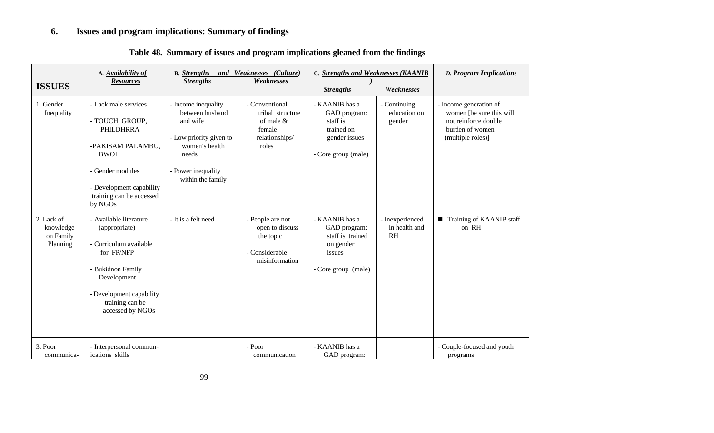# **6. Issues and program implications: Summary of findings**

| <b>ISSUES</b>                                    | A. Availability of<br><b>Resources</b>                                                                                                                                                 | and Weaknesses (Culture)<br><b>B.</b> Strengths<br>Weaknesses<br><b>Strengths</b>                                                                   |                                                                                        | C. Strengths and Weaknesses (KAANIB<br>Weaknesses<br><b>Strengths</b>                            |                                        | <b>D. Program Implications</b>                                                                                     |
|--------------------------------------------------|----------------------------------------------------------------------------------------------------------------------------------------------------------------------------------------|-----------------------------------------------------------------------------------------------------------------------------------------------------|----------------------------------------------------------------------------------------|--------------------------------------------------------------------------------------------------|----------------------------------------|--------------------------------------------------------------------------------------------------------------------|
| 1. Gender<br>Inequality                          | - Lack male services<br>- TOUCH, GROUP,<br>PHILDHRRA<br>-PAKISAM PALAMBU,<br><b>BWOI</b><br>- Gender modules<br>- Development capability<br>training can be accessed<br>by NGOs        | - Income inequality<br>between husband<br>and wife<br>- Low priority given to<br>women's health<br>needs<br>- Power inequality<br>within the family | - Conventional<br>tribal structure<br>of male $&$<br>female<br>relationships/<br>roles | - KAANIB has a<br>GAD program:<br>staff is<br>trained on<br>gender issues<br>- Core group (male) | - Continuing<br>education on<br>gender | - Income generation of<br>women [be sure this will<br>not reinforce double<br>burden of women<br>(multiple roles)] |
| 2. Lack of<br>knowledge<br>on Family<br>Planning | - Available literature<br>(appropriate)<br>- Curriculum available<br>for FP/NFP<br>- Bukidnon Family<br>Development<br>- Development capability<br>training can be<br>accessed by NGOs | - It is a felt need                                                                                                                                 | - People are not<br>open to discuss<br>the topic<br>- Considerable<br>misinformation   | - KAANIB has a<br>GAD program:<br>staff is trained<br>on gender<br>issues<br>- Core group (male) | - Inexperienced<br>in health and<br>RH | ■ Training of KAANIB staff<br>on RH                                                                                |
| 3. Poor<br>communica-                            | - Interpersonal commun-<br>ications skills                                                                                                                                             |                                                                                                                                                     | - Poor<br>communication                                                                | - KAANIB has a<br>GAD program:                                                                   |                                        | - Couple-focused and youth<br>programs                                                                             |

# **Table 48. Summary of issues and program implications gleaned from the findings**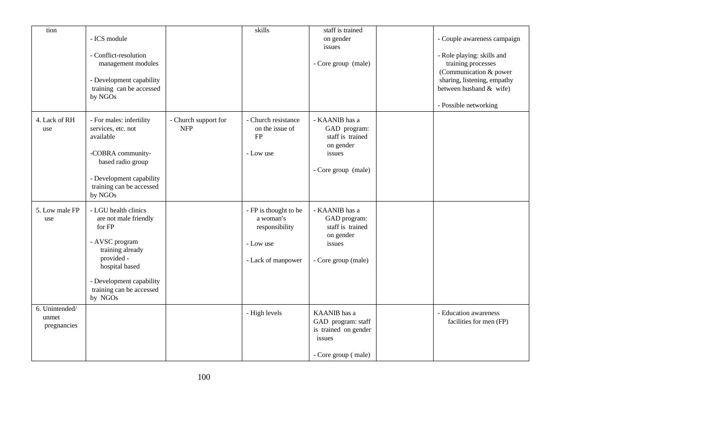| tion                                   | - ICS module<br>- Conflict-resolution<br>management modules<br>- Development capability<br>training can be accessed<br>by NGOs                                                                   |                                    | skills                                                                                  | staff is trained<br>on gender<br>issues<br>- Core group (male)                                   | - Couple awareness campaign<br>- Role playing: skills and<br>training processes<br>(Communication & power<br>sharing, listening, empathy<br>between husband $&$ wife)<br>- Possible networking |
|----------------------------------------|--------------------------------------------------------------------------------------------------------------------------------------------------------------------------------------------------|------------------------------------|-----------------------------------------------------------------------------------------|--------------------------------------------------------------------------------------------------|------------------------------------------------------------------------------------------------------------------------------------------------------------------------------------------------|
| 4. Lack of RH<br>use                   | - For males: infertility<br>services, etc. not<br>available<br>-COBRA community-<br>based radio group<br>- Development capability<br>training can be accessed<br>by NGOs                         | - Church support for<br><b>NFP</b> | - Church resistance<br>on the issue of<br>FP<br>- Low use                               | - KAANIB has a<br>GAD program:<br>staff is trained<br>on gender<br>issues<br>- Core group (male) |                                                                                                                                                                                                |
| 5. Low male FP<br>use                  | - LGU health clinics<br>are not male friendly<br>for FP<br>- AVSC program<br>training already<br>provided -<br>hospital based<br>- Development capability<br>training can be accessed<br>by NGOs |                                    | - FP is thought to be<br>a woman's<br>responsibility<br>- Low use<br>- Lack of manpower | - KAANIB has a<br>GAD program:<br>staff is trained<br>on gender<br>issues<br>- Core group (male) |                                                                                                                                                                                                |
| 6. Unintended/<br>unmet<br>pregnancies |                                                                                                                                                                                                  |                                    | - High levels                                                                           | KAANIB has a<br>GAD program: staff<br>is trained on gender<br>issues<br>- Core group (male)      | - Education awareness<br>facilities for men (FP)                                                                                                                                               |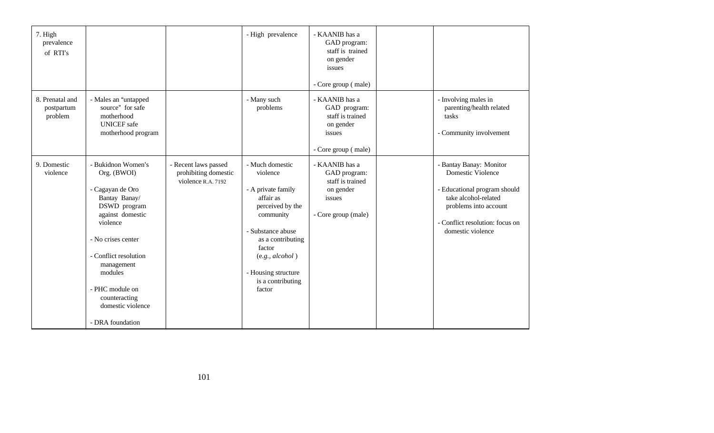| 7. High<br>prevalence<br>of RTI's        |                                                                                                                                                                                                                                                                             |                                                                    | - High prevalence                                                                                                                                                                                                            | - KAANIB has a<br>GAD program:<br>staff is trained<br>on gender<br>issues<br>- Core group (male) |                                                                                                                                                                                              |
|------------------------------------------|-----------------------------------------------------------------------------------------------------------------------------------------------------------------------------------------------------------------------------------------------------------------------------|--------------------------------------------------------------------|------------------------------------------------------------------------------------------------------------------------------------------------------------------------------------------------------------------------------|--------------------------------------------------------------------------------------------------|----------------------------------------------------------------------------------------------------------------------------------------------------------------------------------------------|
| 8. Prenatal and<br>postpartum<br>problem | - Males an "untapped<br>source" for safe<br>motherhood<br><b>UNICEF</b> safe<br>motherhood program                                                                                                                                                                          |                                                                    | - Many such<br>problems                                                                                                                                                                                                      | - KAANIB has a<br>GAD program:<br>staff is trained<br>on gender<br>issues<br>- Core group (male) | - Involving males in<br>parenting/health related<br>tasks<br>- Community involvement                                                                                                         |
| 9. Domestic<br>violence                  | - Bukidnon Women's<br>Org. (BWOI)<br>- Cagayan de Oro<br>Bantay Banay/<br>DSWD program<br>against domestic<br>violence<br>- No crises center<br>- Conflict resolution<br>management<br>modules<br>- PHC module on<br>counteracting<br>domestic violence<br>- DRA foundation | - Recent laws passed<br>prohibiting domestic<br>violence R.A. 7192 | - Much domestic<br>violence<br>- A private family<br>affair as<br>perceived by the<br>community<br>- Substance abuse<br>as a contributing<br>factor<br>(e.g., alcohol)<br>- Housing structure<br>is a contributing<br>factor | - KAANIB has a<br>GAD program:<br>staff is trained<br>on gender<br>issues<br>- Core group (male) | - Bantay Banay: Monitor<br><b>Domestic Violence</b><br>- Educational program should<br>take alcohol-related<br>problems into account<br>- Conflict resolution: focus on<br>domestic violence |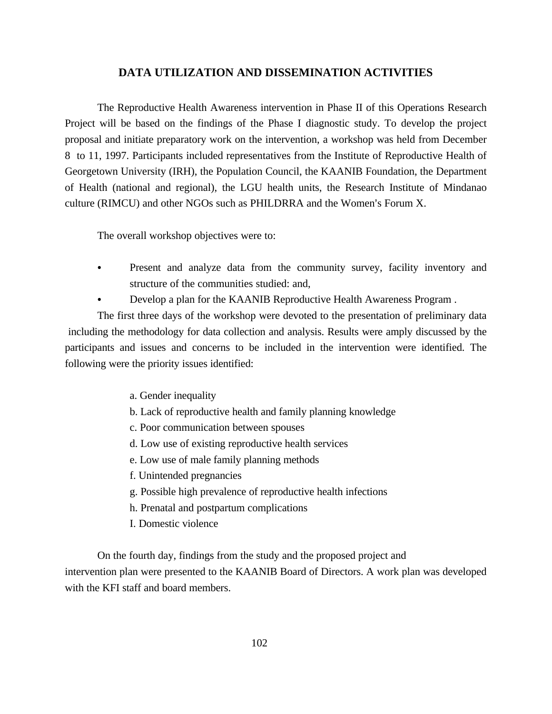# **DATA UTILIZATION AND DISSEMINATION ACTIVITIES**

The Reproductive Health Awareness intervention in Phase II of this Operations Research Project will be based on the findings of the Phase I diagnostic study. To develop the project proposal and initiate preparatory work on the intervention, a workshop was held from December 8 to 11, 1997. Participants included representatives from the Institute of Reproductive Health of Georgetown University (IRH), the Population Council, the KAANIB Foundation, the Department of Health (national and regional), the LGU health units, the Research Institute of Mindanao culture (RIMCU) and other NGOs such as PHILDRRA and the Women's Forum X.

The overall workshop objectives were to:

- Present and analyze data from the community survey, facility inventory and structure of the communities studied: and,
- Develop a plan for the KAANIB Reproductive Health Awareness Program.

The first three days of the workshop were devoted to the presentation of preliminary data including the methodology for data collection and analysis. Results were amply discussed by the participants and issues and concerns to be included in the intervention were identified. The following were the priority issues identified:

- a. Gender inequality
- b. Lack of reproductive health and family planning knowledge
- c. Poor communication between spouses
- d. Low use of existing reproductive health services
- e. Low use of male family planning methods
- f. Unintended pregnancies
- g. Possible high prevalence of reproductive health infections
- h. Prenatal and postpartum complications
- I. Domestic violence

On the fourth day, findings from the study and the proposed project and intervention plan were presented to the KAANIB Board of Directors. A work plan was developed with the KFI staff and board members.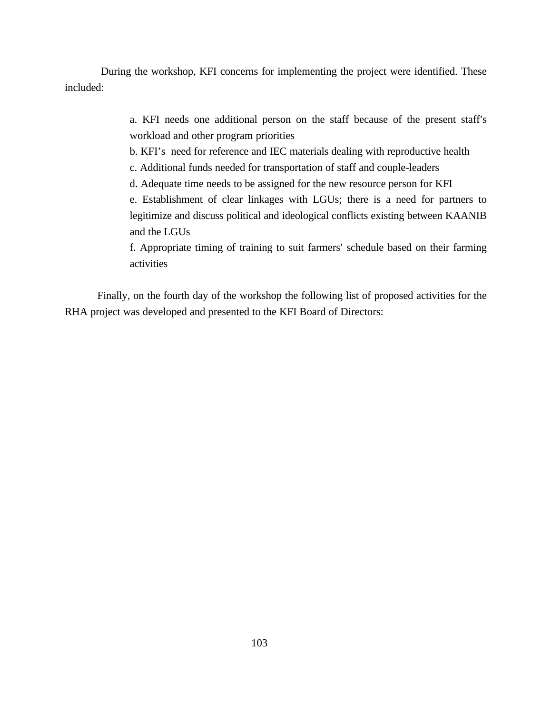During the workshop, KFI concerns for implementing the project were identified. These included:

> a. KFI needs one additional person on the staff because of the present staff's workload and other program priorities

b. KFI's need for reference and IEC materials dealing with reproductive health

c. Additional funds needed for transportation of staff and couple-leaders

d. Adequate time needs to be assigned for the new resource person for KFI

e. Establishment of clear linkages with LGUs; there is a need for partners to legitimize and discuss political and ideological conflicts existing between KAANIB and the LGUs

f. Appropriate timing of training to suit farmers' schedule based on their farming activities

Finally, on the fourth day of the workshop the following list of proposed activities for the RHA project was developed and presented to the KFI Board of Directors: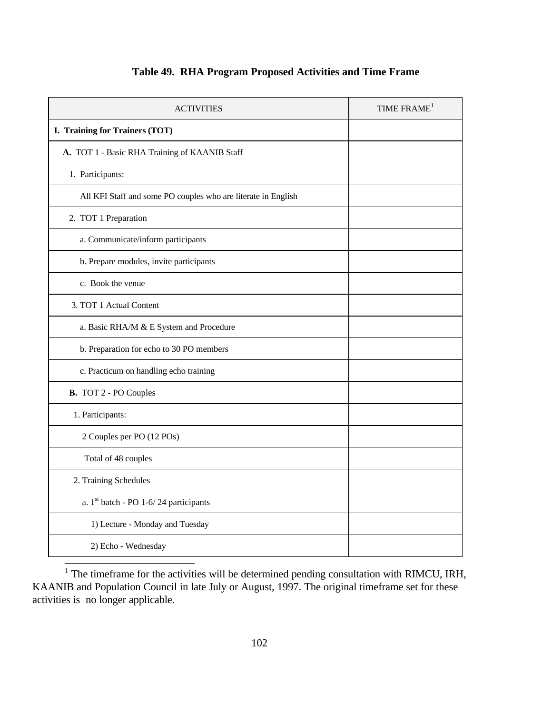| <b>ACTIVITIES</b>                                             | TIME FRAME <sup>1</sup> |
|---------------------------------------------------------------|-------------------------|
| I. Training for Trainers (TOT)                                |                         |
| A. TOT 1 - Basic RHA Training of KAANIB Staff                 |                         |
| 1. Participants:                                              |                         |
| All KFI Staff and some PO couples who are literate in English |                         |
| 2. TOT 1 Preparation                                          |                         |
| a. Communicate/inform participants                            |                         |
| b. Prepare modules, invite participants                       |                         |
| c. Book the venue                                             |                         |
| 3. TOT 1 Actual Content                                       |                         |
| a. Basic RHA/M & E System and Procedure                       |                         |
| b. Preparation for echo to 30 PO members                      |                         |
| c. Practicum on handling echo training                        |                         |
| <b>B.</b> TOT 2 - PO Couples                                  |                         |
| 1. Participants:                                              |                         |
| 2 Couples per PO (12 POs)                                     |                         |
| Total of 48 couples                                           |                         |
| 2. Training Schedules                                         |                         |
| a. 1st batch - PO 1-6/24 participants                         |                         |
| 1) Lecture - Monday and Tuesday                               |                         |
| 2) Echo - Wednesday                                           |                         |

# **Table 49. RHA Program Proposed Activities and Time Frame**

<sup>1</sup> The timeframe for the activities will be determined pending consultation with RIMCU, IRH, KAANIB and Population Council in late July or August, 1997. The original timeframe set for these activities is no longer applicable.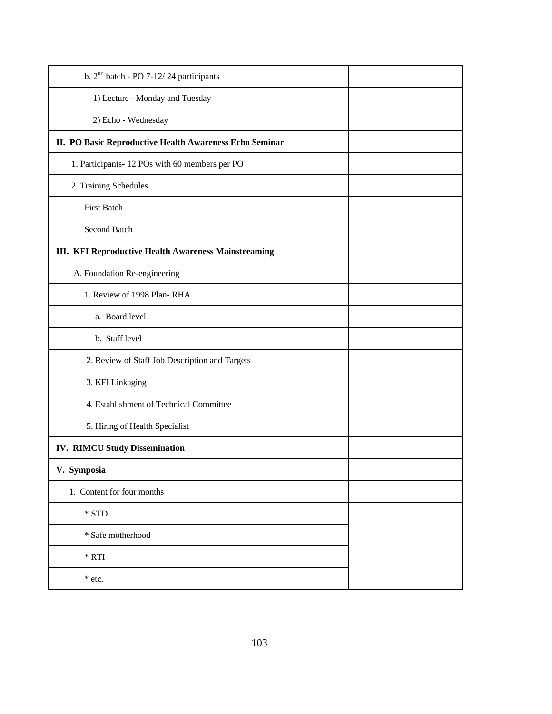| b. $2nd$ batch - PO 7-12/24 participants                |  |
|---------------------------------------------------------|--|
| 1) Lecture - Monday and Tuesday                         |  |
| 2) Echo - Wednesday                                     |  |
| II. PO Basic Reproductive Health Awareness Echo Seminar |  |
| 1. Participants-12 POs with 60 members per PO           |  |
| 2. Training Schedules                                   |  |
| <b>First Batch</b>                                      |  |
| Second Batch                                            |  |
| III. KFI Reproductive Health Awareness Mainstreaming    |  |
| A. Foundation Re-engineering                            |  |
| 1. Review of 1998 Plan-RHA                              |  |
| a. Board level                                          |  |
| b. Staff level                                          |  |
| 2. Review of Staff Job Description and Targets          |  |
| 3. KFI Linkaging                                        |  |
| 4. Establishment of Technical Committee                 |  |
| 5. Hiring of Health Specialist                          |  |
| <b>IV. RIMCU Study Dissemination</b>                    |  |
| V. Symposia                                             |  |
| 1. Content for four months                              |  |
| * STD                                                   |  |
| * Safe motherhood                                       |  |
| $\,^*$ RTI                                              |  |
| * etc.                                                  |  |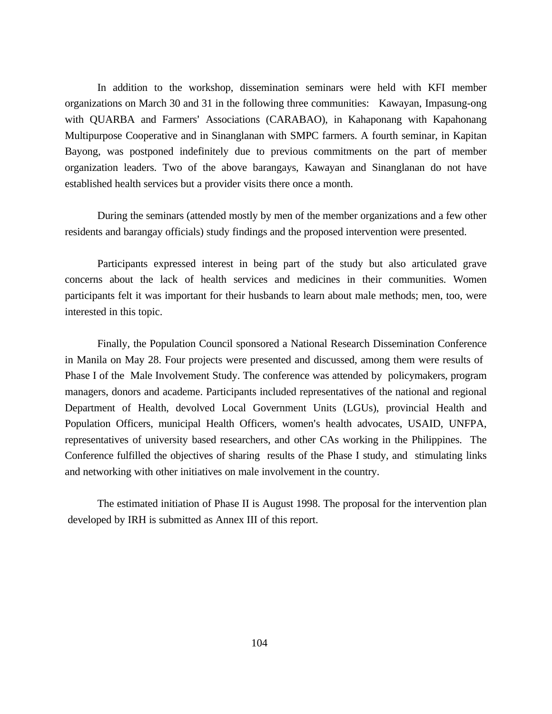In addition to the workshop, dissemination seminars were held with KFI member organizations on March 30 and 31 in the following three communities: Kawayan, Impasung-ong with QUARBA and Farmers' Associations (CARABAO), in Kahaponang with Kapahonang Multipurpose Cooperative and in Sinanglanan with SMPC farmers. A fourth seminar, in Kapitan Bayong, was postponed indefinitely due to previous commitments on the part of member organization leaders. Two of the above barangays, Kawayan and Sinanglanan do not have established health services but a provider visits there once a month.

During the seminars (attended mostly by men of the member organizations and a few other residents and barangay officials) study findings and the proposed intervention were presented.

Participants expressed interest in being part of the study but also articulated grave concerns about the lack of health services and medicines in their communities. Women participants felt it was important for their husbands to learn about male methods; men, too, were interested in this topic.

Finally, the Population Council sponsored a National Research Dissemination Conference in Manila on May 28. Four projects were presented and discussed, among them were results of Phase I of the Male Involvement Study. The conference was attended by policymakers, program managers, donors and academe. Participants included representatives of the national and regional Department of Health, devolved Local Government Units (LGUs), provincial Health and Population Officers, municipal Health Officers, women's health advocates, USAID, UNFPA, representatives of university based researchers, and other CAs working in the Philippines. The Conference fulfilled the objectives of sharing results of the Phase I study, and stimulating links and networking with other initiatives on male involvement in the country.

The estimated initiation of Phase II is August 1998. The proposal for the intervention plan developed by IRH is submitted as Annex III of this report.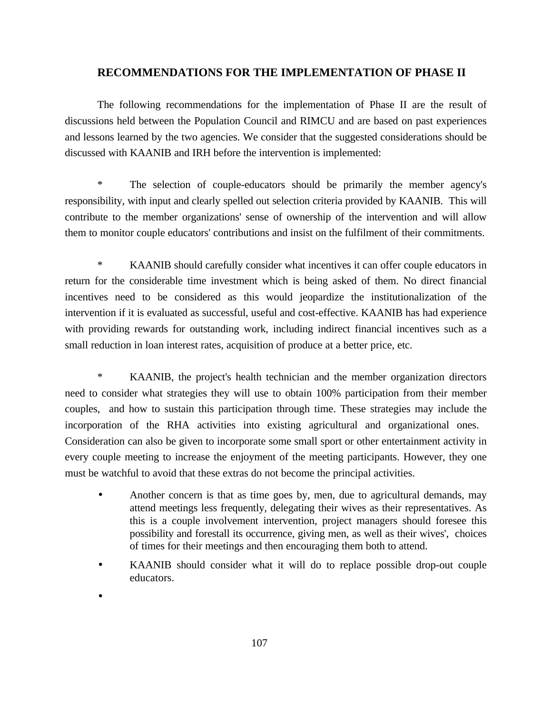## **RECOMMENDATIONS FOR THE IMPLEMENTATION OF PHASE II**

The following recommendations for the implementation of Phase II are the result of discussions held between the Population Council and RIMCU and are based on past experiences and lessons learned by the two agencies. We consider that the suggested considerations should be discussed with KAANIB and IRH before the intervention is implemented:

\* The selection of couple-educators should be primarily the member agency's responsibility, with input and clearly spelled out selection criteria provided by KAANIB. This will contribute to the member organizations' sense of ownership of the intervention and will allow them to monitor couple educators' contributions and insist on the fulfilment of their commitments.

\* KAANIB should carefully consider what incentives it can offer couple educators in return for the considerable time investment which is being asked of them. No direct financial incentives need to be considered as this would jeopardize the institutionalization of the intervention if it is evaluated as successful, useful and cost-effective. KAANIB has had experience with providing rewards for outstanding work, including indirect financial incentives such as a small reduction in loan interest rates, acquisition of produce at a better price, etc.

\* KAANIB, the project's health technician and the member organization directors need to consider what strategies they will use to obtain 100% participation from their member couples, and how to sustain this participation through time. These strategies may include the incorporation of the RHA activities into existing agricultural and organizational ones. Consideration can also be given to incorporate some small sport or other entertainment activity in every couple meeting to increase the enjoyment of the meeting participants. However, they one must be watchful to avoid that these extras do not become the principal activities.

- Another concern is that as time goes by, men, due to agricultural demands, may attend meetings less frequently, delegating their wives as their representatives. As this is a couple involvement intervention, project managers should foresee this possibility and forestall its occurrence, giving men, as well as their wives', choices of times for their meetings and then encouraging them both to attend.
- KAANIB should consider what it will do to replace possible drop-out couple educators.

•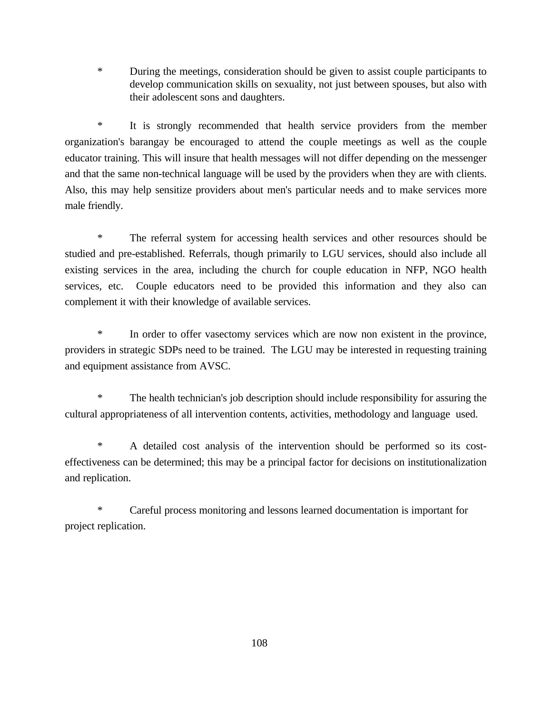\* During the meetings, consideration should be given to assist couple participants to develop communication skills on sexuality, not just between spouses, but also with their adolescent sons and daughters.

\* It is strongly recommended that health service providers from the member organization's barangay be encouraged to attend the couple meetings as well as the couple educator training. This will insure that health messages will not differ depending on the messenger and that the same non-technical language will be used by the providers when they are with clients. Also, this may help sensitize providers about men's particular needs and to make services more male friendly.

\* The referral system for accessing health services and other resources should be studied and pre-established. Referrals, though primarily to LGU services, should also include all existing services in the area, including the church for couple education in NFP, NGO health services, etc. Couple educators need to be provided this information and they also can complement it with their knowledge of available services.

\* In order to offer vasectomy services which are now non existent in the province, providers in strategic SDPs need to be trained. The LGU may be interested in requesting training and equipment assistance from AVSC.

\* The health technician's job description should include responsibility for assuring the cultural appropriateness of all intervention contents, activities, methodology and language used.

\* A detailed cost analysis of the intervention should be performed so its costeffectiveness can be determined; this may be a principal factor for decisions on institutionalization and replication.

\* Careful process monitoring and lessons learned documentation is important for project replication.